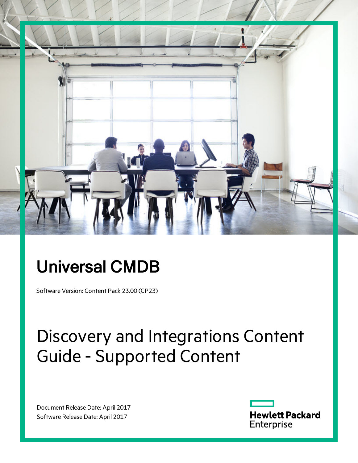

## Universal CMDB

Software Version: Content Pack 23.00 (CP23)

# Discovery and Integrations Content Guide - Supported Content

Document Release Date: April 2017 Software Release Date: April 2017

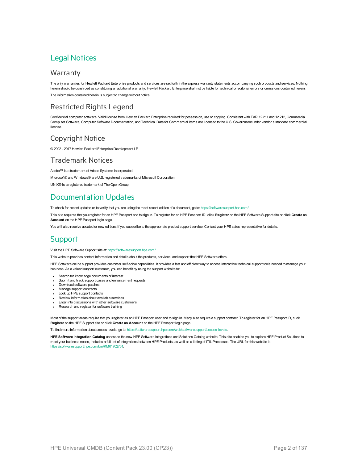### Legal Notices

#### **Warranty**

The only warranties for Hewlett Packard Enterprise products and services are set forth in the express warranty statements accompanying such products and services. Nothing herein should be construed as constituting an additional warranty. Hewlett Packard Enterprise shall not be liable for technical or editorial errors or omissions contained herein. The information contained herein is subject to change without notice.

#### Restricted Rights Legend

Confidential computer software. Valid license from Hewlett Packard Enterprise required for possession, use or copying. Consistent with FAR 12.211 and 12.212, Commercial Computer Software, Computer Software Documentation, and Technical Data for Commercial Items are licensed to the U.S. Government under vendor's standard commercial license.

#### Copyright Notice

© 2002 - 2017 Hewlett Packard Enterprise Development LP

#### Trademark Notices

Adobe™ is a trademark of Adobe Systems Incorporated.

Microsoft® and Windows® are U.S. registered trademarks of Microsoft Corporation.

UNIX® is a registered trademark of The Open Group.

### Documentation Updates

To check for recent updates or to verify that you are using the most recent edition of a document, go to: <https://softwaresupport.hpe.com/>.

This site requires that you register for an HPE Passport and to sign in. To register for an HPE Passport ID, click **Register** on the HPE Software Support site or click **Create an Account** on the HPE Passport login page.

You will also receive updated or new editions if you subscribe to the appropriate product support service. Contact your HPE sales representative for details.

#### **Support**

#### Visit the HPE Software Support site at: <https://softwaresupport.hpe.com/>.

This website provides contact information and details about the products, services, and support that HPE Software offers.

HPE Software online support provides customer self-solve capabilities. It provides a fast and efficient way to access interactive technical support tools needed to manage your business. As a valued support customer, you can benefit by using the support website to:

- Search for knowledge documents of interest
- Submit and track support cases and enhancement requests
- Download software patches
- Manage support contracts
- Look up HPE support contacts
- Review information about available services
- Enter into discussions with other software customers
- Research and register for software training

Most of the support areas require that you register as an HPE Passport user and to sign in. Many also require a support contract. To register for an HPE Passport ID, click **Register** on the HPE Support site or click **Create an Account** on the HPE Passport login page.

To find more information about access levels, go to: [https://softwaresupport.hpe.com/web/softwaresupport/access-levels](https://softwaresupport.hp.com/web/softwaresupport/access-levels).

**HPE Software Integration Catalog** accesses the new HPE Software Integrations and Solutions Catalog website. This site enables you to explore HPE Product Solutions to meet your business needs, includes a full list of Integrations between HPE Products, as well as a listing of ITIL Processes. The URL for this website is [https://softwaresupport.hpe.com/km/KM01702731.](https://softwaresupport.hpe.com/km/KM01702731)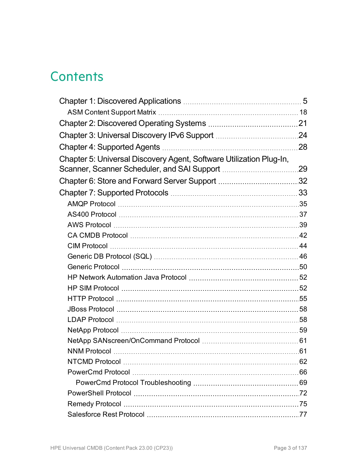### **Contents**

|                                                                     | 21  |
|---------------------------------------------------------------------|-----|
|                                                                     |     |
|                                                                     | 28  |
| Chapter 5: Universal Discovery Agent, Software Utilization Plug-In, |     |
|                                                                     | .29 |
|                                                                     |     |
|                                                                     |     |
|                                                                     |     |
|                                                                     |     |
|                                                                     |     |
|                                                                     |     |
|                                                                     |     |
|                                                                     |     |
|                                                                     |     |
|                                                                     |     |
|                                                                     |     |
|                                                                     |     |
|                                                                     |     |
|                                                                     |     |
|                                                                     |     |
|                                                                     |     |
|                                                                     |     |
|                                                                     |     |
|                                                                     |     |
|                                                                     |     |
|                                                                     |     |
|                                                                     |     |
|                                                                     |     |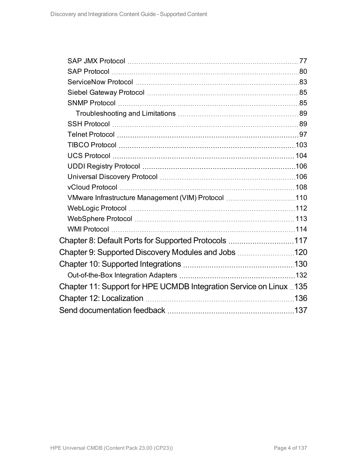| VMware Infrastructure Management (VIM) Protocol 110                |  |
|--------------------------------------------------------------------|--|
|                                                                    |  |
|                                                                    |  |
|                                                                    |  |
| Chapter 8: Default Ports for Supported Protocols 117               |  |
| Chapter 9: Supported Discovery Modules and Jobs 120                |  |
|                                                                    |  |
|                                                                    |  |
| Chapter 11: Support for HPE UCMDB Integration Service on Linux 135 |  |
|                                                                    |  |
|                                                                    |  |
|                                                                    |  |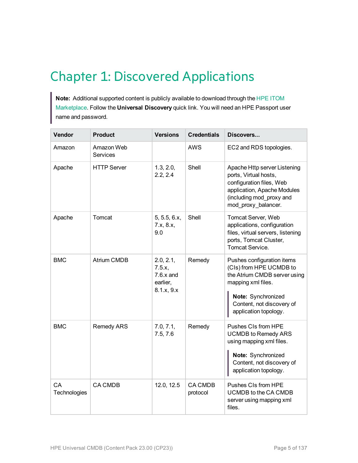### <span id="page-4-0"></span>Chapter 1: Discovered Applications

**Note:** Additional supported content is publicly available to download through the HPE [ITOM](https://marketplace.saas.hpe.com/itom/content/community-content-ud-0) [Marketplace](https://marketplace.saas.hpe.com/itom/content/community-content-ud-0). Follow the **Universal Discovery** quick link. You will need an HPE Passport user name and password.

| Vendor             | <b>Product</b>         | <b>Versions</b>                                                   | <b>Credentials</b>         | Discovers                                                                                                                                                                               |
|--------------------|------------------------|-------------------------------------------------------------------|----------------------------|-----------------------------------------------------------------------------------------------------------------------------------------------------------------------------------------|
| Amazon             | Amazon Web<br>Services |                                                                   | <b>AWS</b>                 | EC2 and RDS topologies.                                                                                                                                                                 |
| Apache             | <b>HTTP Server</b>     | 1.3, 2.0,<br>2.2, 2.4                                             | Shell                      | Apache Http server Listening<br>ports, Virtual hosts,<br>configuration files, Web<br>application, Apache Modules<br>(including mod_proxy and<br>mod_proxy_balancer.                     |
| Apache             | Tomcat                 | 5, 5.5, 6.x,<br>7.x, 8.x,<br>9.0                                  | Shell                      | Tomcat Server, Web<br>applications, configuration<br>files, virtual servers, listening<br>ports, Tomcat Cluster,<br><b>Tomcat Service.</b>                                              |
| <b>BMC</b>         | <b>Atrium CMDB</b>     | 2.0, 2.1,<br>7.5.x,<br>$7.6 \times$ and<br>earlier,<br>8.1.x, 9.x | Remedy                     | Pushes configuration items<br>(CIs) from HPE UCMDB to<br>the Atrium CMDB server using<br>mapping xml files.<br>Note: Synchronized<br>Content, not discovery of<br>application topology. |
| <b>BMC</b>         | <b>Remedy ARS</b>      | 7.0, 7.1,<br>7.5, 7.6                                             | Remedy                     | Pushes CIs from HPE<br><b>UCMDB to Remedy ARS</b><br>using mapping xml files.<br>Note: Synchronized<br>Content, not discovery of<br>application topology.                               |
| CA<br>Technologies | <b>CA CMDB</b>         | 12.0, 12.5                                                        | <b>CA CMDB</b><br>protocol | Pushes CIs from HPE<br>UCMDB to the CA CMDB<br>server using mapping xml<br>files.                                                                                                       |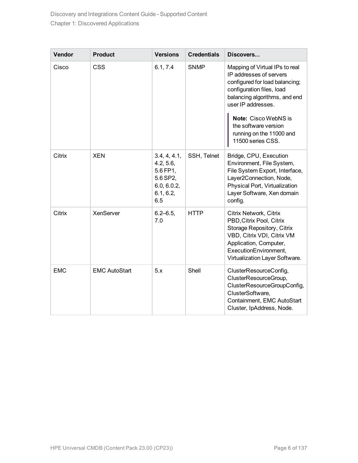| Vendor     | <b>Product</b>       | <b>Versions</b>                                                                      | <b>Credentials</b> | Discovers                                                                                                                                                                                                                                                                        |
|------------|----------------------|--------------------------------------------------------------------------------------|--------------------|----------------------------------------------------------------------------------------------------------------------------------------------------------------------------------------------------------------------------------------------------------------------------------|
| Cisco      | <b>CSS</b>           | 6.1, 7.4                                                                             | <b>SNMP</b>        | Mapping of Virtual IPs to real<br>IP addresses of servers<br>configured for load balancing;<br>configuration files, load<br>balancing algorithms, and end<br>user IP addresses.<br>Note: Cisco WebNS is<br>the software version<br>running on the 11000 and<br>11500 series CSS. |
| Citrix     | <b>XEN</b>           | 3.4, 4, 4.1,<br>4.2, 5.6,<br>5.6 FP1,<br>5.6 SP2,<br>6.0, 6.0.2,<br>6.1, 6.2,<br>6.5 | SSH, Telnet        | Bridge, CPU, Execution<br>Environment, File System,<br>File System Export, Interface,<br>Layer2Connection, Node,<br>Physical Port, Virtualization<br>Layer Software, Xen domain<br>config.                                                                                       |
| Citrix     | XenServer            | $6.2 - 6.5$<br>7.0                                                                   | <b>HTTP</b>        | Citrix Network, Citrix<br>PBD, Citrix Pool, Citrix<br>Storage Repository, Citrix<br>VBD, Citrix VDI, Citrix VM<br>Application, Computer,<br>ExecutionEnvironment,<br>Virtualization Layer Software.                                                                              |
| <b>EMC</b> | <b>EMC AutoStart</b> | 5.x                                                                                  | Shell              | ClusterResourceConfig,<br>ClusterResourceGroup,<br>ClusterResourceGroupConfig,<br>ClusterSoftware,<br>Containment, EMC AutoStart<br>Cluster, IpAddress, Node.                                                                                                                    |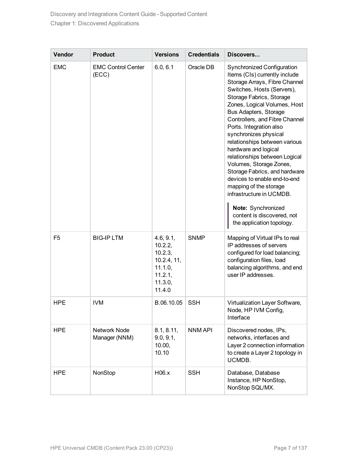| Vendor         | <b>Product</b>                     | <b>Versions</b>                                                                           | <b>Credentials</b> | Discovers                                                                                                                                                                                                                                                                                                                                                                                                                                                                                                                                                                                                                          |
|----------------|------------------------------------|-------------------------------------------------------------------------------------------|--------------------|------------------------------------------------------------------------------------------------------------------------------------------------------------------------------------------------------------------------------------------------------------------------------------------------------------------------------------------------------------------------------------------------------------------------------------------------------------------------------------------------------------------------------------------------------------------------------------------------------------------------------------|
| <b>EMC</b>     | <b>EMC Control Center</b><br>(ECC) | 6.0, 6.1                                                                                  | Oracle DB          | Synchronized Configuration<br>Items (CIs) currently include<br>Storage Arrays, Fibre Channel<br>Switches, Hosts (Servers),<br>Storage Fabrics, Storage<br>Zones, Logical Volumes, Host<br>Bus Adapters, Storage<br>Controllers, and Fibre Channel<br>Ports. Integration also<br>synchronizes physical<br>relationships between various<br>hardware and logical<br>relationships between Logical<br>Volumes, Storage Zones,<br>Storage Fabrics, and hardware<br>devices to enable end-to-end<br>mapping of the storage<br>infrastructure in UCMDB.<br>Note: Synchronized<br>content is discovered, not<br>the application topology. |
| F <sub>5</sub> | <b>BIG-IP LTM</b>                  | 4.6, 9.1,<br>10.2.2,<br>10.2.3,<br>10.2.4, 11,<br>11.1.0,<br>11.2.1,<br>11.3.0,<br>11.4.0 | <b>SNMP</b>        | Mapping of Virtual IPs to real<br>IP addresses of servers<br>configured for load balancing;<br>configuration files, load<br>balancing algorithms, and end<br>user IP addresses.                                                                                                                                                                                                                                                                                                                                                                                                                                                    |
| <b>HPE</b>     | <b>IVM</b>                         | B.06.10.05                                                                                | <b>SSH</b>         | Virtualization Layer Software,<br>Node, HP IVM Config,<br>Interface                                                                                                                                                                                                                                                                                                                                                                                                                                                                                                                                                                |
| <b>HPE</b>     | Network Node<br>Manager (NNM)      | 8.1, 8.11,<br>9.0, 9.1,<br>10.00,<br>10.10                                                | <b>NNM API</b>     | Discovered nodes, IPs,<br>networks, interfaces and<br>Layer 2 connection information<br>to create a Layer 2 topology in<br>UCMDB.                                                                                                                                                                                                                                                                                                                                                                                                                                                                                                  |
| <b>HPE</b>     | NonStop                            | H06.x                                                                                     | <b>SSH</b>         | Database, Database<br>Instance, HP NonStop,<br>NonStop SQL/MX.                                                                                                                                                                                                                                                                                                                                                                                                                                                                                                                                                                     |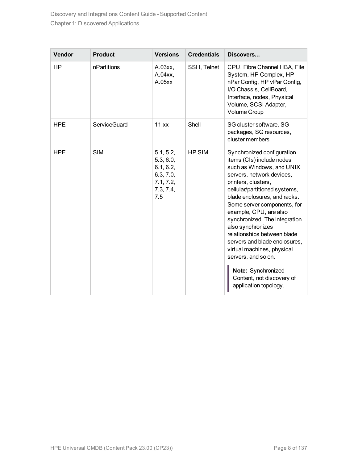| Vendor     | <b>Product</b> | <b>Versions</b>                                                                   | <b>Credentials</b> | Discovers                                                                                                                                                                                                                                                                                                                                                                                                                                                                                                                 |
|------------|----------------|-----------------------------------------------------------------------------------|--------------------|---------------------------------------------------------------------------------------------------------------------------------------------------------------------------------------------------------------------------------------------------------------------------------------------------------------------------------------------------------------------------------------------------------------------------------------------------------------------------------------------------------------------------|
| <b>HP</b>  | nPartitions    | A.03xx,<br>A.04xx,<br>A.05xx                                                      | SSH, Telnet        | CPU, Fibre Channel HBA, File<br>System, HP Complex, HP<br>nPar Config, HP vPar Config,<br>I/O Chassis, CellBoard,<br>Interface, nodes, Physical<br>Volume, SCSI Adapter,<br><b>Volume Group</b>                                                                                                                                                                                                                                                                                                                           |
| <b>HPE</b> | ServiceGuard   | 11.xx                                                                             | Shell              | SG cluster software, SG<br>packages, SG resources,<br>cluster members                                                                                                                                                                                                                                                                                                                                                                                                                                                     |
| <b>HPE</b> | <b>SIM</b>     | 5.1, 5.2,<br>5.3, 6.0,<br>6.1, 6.2,<br>6.3, 7.0,<br>7.1, 7.2,<br>7.3, 7.4,<br>7.5 | <b>HP SIM</b>      | Synchronized configuration<br>items (CIs) include nodes<br>such as Windows, and UNIX<br>servers, network devices,<br>printers, clusters,<br>cellular/partitioned systems,<br>blade enclosures, and racks.<br>Some server components, for<br>example, CPU, are also<br>synchronized. The integration<br>also synchronizes<br>relationships between blade<br>servers and blade enclosures,<br>virtual machines, physical<br>servers, and so on.<br>Note: Synchronized<br>Content, not discovery of<br>application topology. |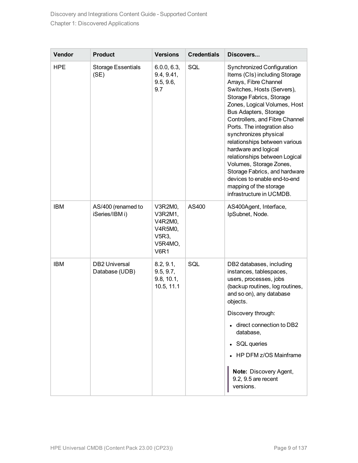| Vendor     | <b>Product</b>                         | <b>Versions</b>                                                             | <b>Credentials</b> | Discovers                                                                                                                                                                                                                                                                                                                                                                                                                                                                                                                                            |
|------------|----------------------------------------|-----------------------------------------------------------------------------|--------------------|------------------------------------------------------------------------------------------------------------------------------------------------------------------------------------------------------------------------------------------------------------------------------------------------------------------------------------------------------------------------------------------------------------------------------------------------------------------------------------------------------------------------------------------------------|
| <b>HPE</b> | <b>Storage Essentials</b><br>(SE)      | 6.0.0, 6.3,<br>9.4, 9.41,<br>9.5, 9.6,<br>9.7                               | SQL                | <b>Synchronized Configuration</b><br>Items (CIs) including Storage<br>Arrays, Fibre Channel<br>Switches, Hosts (Servers),<br>Storage Fabrics, Storage<br>Zones, Logical Volumes, Host<br>Bus Adapters, Storage<br>Controllers, and Fibre Channel<br>Ports. The integration also<br>synchronizes physical<br>relationships between various<br>hardware and logical<br>relationships between Logical<br>Volumes, Storage Zones,<br>Storage Fabrics, and hardware<br>devices to enable end-to-end<br>mapping of the storage<br>infrastructure in UCMDB. |
| <b>IBM</b> | AS/400 (renamed to<br>iSeries/IBM i)   | V3R2M0,<br>V3R2M1,<br>V4R2M0,<br>V4R5M0,<br>V5R3,<br>V5R4MO,<br><b>V6R1</b> | AS400              | AS400Agent, Interface,<br>IpSubnet, Node.                                                                                                                                                                                                                                                                                                                                                                                                                                                                                                            |
| <b>IBM</b> | <b>DB2 Universal</b><br>Database (UDB) | 8.2, 9.1,<br>9.5, 9.7,<br>9.8, 10.1,<br>10.5, 11.1                          | SQL                | DB2 databases, including<br>instances, tablespaces,<br>users, processes, jobs<br>(backup routines, log routines,<br>and so on), any database<br>objects.<br>Discovery through:                                                                                                                                                                                                                                                                                                                                                                       |
|            |                                        |                                                                             |                    | direct connection to DB2<br>database,                                                                                                                                                                                                                                                                                                                                                                                                                                                                                                                |
|            |                                        |                                                                             |                    | SQL queries<br>٠                                                                                                                                                                                                                                                                                                                                                                                                                                                                                                                                     |
|            |                                        |                                                                             |                    | HP DFM z/OS Mainframe                                                                                                                                                                                                                                                                                                                                                                                                                                                                                                                                |
|            |                                        |                                                                             |                    | Note: Discovery Agent,<br>9.2, 9.5 are recent<br>versions.                                                                                                                                                                                                                                                                                                                                                                                                                                                                                           |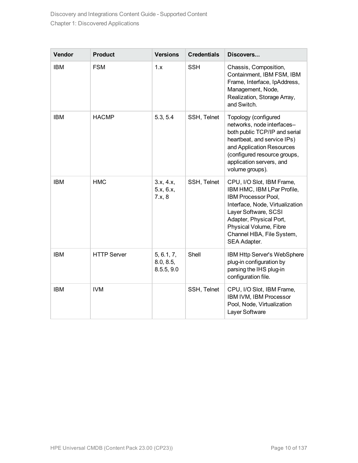| Vendor     | <b>Product</b>     | <b>Versions</b>                       | <b>Credentials</b> | Discovers                                                                                                                                                                                                                                   |
|------------|--------------------|---------------------------------------|--------------------|---------------------------------------------------------------------------------------------------------------------------------------------------------------------------------------------------------------------------------------------|
| <b>IBM</b> | <b>FSM</b>         | 1.x                                   | <b>SSH</b>         | Chassis, Composition,<br>Containment, IBM FSM, IBM<br>Frame, Interface, IpAddress,<br>Management, Node,<br>Realization, Storage Array,<br>and Switch.                                                                                       |
| <b>IBM</b> | <b>HACMP</b>       | 5.3, 5.4                              | SSH, Telnet        | Topology (configured<br>networks, node interfaces-<br>both public TCP/IP and serial<br>heartbeat, and service IPs)<br>and Application Resources<br>(configured resource groups,<br>application servers, and<br>volume groups).              |
| <b>IBM</b> | <b>HMC</b>         | 3.x, 4.x,<br>5.x, 6.x,<br>7.x, 8      | SSH, Telnet        | CPU, I/O Slot, IBM Frame,<br>IBM HMC, IBM LPar Profile,<br>IBM Processor Pool,<br>Interface, Node, Virtualization<br>Layer Software, SCSI<br>Adapter, Physical Port,<br>Physical Volume, Fibre<br>Channel HBA, File System,<br>SEA Adapter. |
| <b>IBM</b> | <b>HTTP Server</b> | 5, 6.1, 7,<br>8.0, 8.5,<br>8.5.5, 9.0 | Shell              | IBM Http Server's WebSphere<br>plug-in configuration by<br>parsing the IHS plug-in<br>configuration file.                                                                                                                                   |
| <b>IBM</b> | <b>IVM</b>         |                                       | SSH, Telnet        | CPU, I/O Slot, IBM Frame,<br>IBM IVM, IBM Processor<br>Pool, Node, Virtualization<br>Layer Software                                                                                                                                         |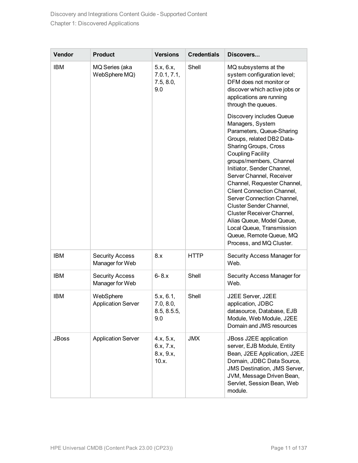| Vendor       | <b>Product</b>                            | <b>Versions</b>                              | <b>Credentials</b> | Discovers                                                                                                                                                                                                                                                                                                                                                                                                                                                                                                                          |
|--------------|-------------------------------------------|----------------------------------------------|--------------------|------------------------------------------------------------------------------------------------------------------------------------------------------------------------------------------------------------------------------------------------------------------------------------------------------------------------------------------------------------------------------------------------------------------------------------------------------------------------------------------------------------------------------------|
| <b>IBM</b>   | MQ Series (aka<br>WebSphere MQ)           | 5.x, 6.x,<br>7.0.1, 7.1,<br>7.5, 8.0,<br>9.0 | Shell              | MQ subsystems at the<br>system configuration level;<br>DFM does not monitor or<br>discover which active jobs or<br>applications are running<br>through the queues.                                                                                                                                                                                                                                                                                                                                                                 |
|              |                                           |                                              |                    | Discovery includes Queue<br>Managers, System<br>Parameters, Queue-Sharing<br>Groups, related DB2 Data-<br><b>Sharing Groups, Cross</b><br><b>Coupling Facility</b><br>groups/members, Channel<br>Initiator, Sender Channel,<br>Server Channel, Receiver<br>Channel, Requester Channel,<br><b>Client Connection Channel,</b><br>Server Connection Channel,<br>Cluster Sender Channel,<br>Cluster Receiver Channel,<br>Alias Queue, Model Queue,<br>Local Queue, Transmission<br>Queue, Remote Queue, MQ<br>Process, and MQ Cluster. |
| <b>IBM</b>   | <b>Security Access</b><br>Manager for Web | 8.x                                          | <b>HTTP</b>        | Security Access Manager for<br>Web.                                                                                                                                                                                                                                                                                                                                                                                                                                                                                                |
| <b>IBM</b>   | <b>Security Access</b><br>Manager for Web | $6 - 8.x$                                    | Shell              | Security Access Manager for<br>Web.                                                                                                                                                                                                                                                                                                                                                                                                                                                                                                |
| <b>IBM</b>   | WebSphere<br><b>Application Server</b>    | 5.x, 6.1,<br>7.0, 8.0,<br>8.5, 8.5.5,<br>9.0 | Shell              | J2EE Server, J2EE<br>application, JDBC<br>datasource, Database, EJB<br>Module, Web Module, J2EE<br>Domain and JMS resources                                                                                                                                                                                                                                                                                                                                                                                                        |
| <b>JBoss</b> | <b>Application Server</b>                 | 4.x, 5.x,<br>6.x, 7.x,<br>8.x, 9.x,<br>10.x. | <b>JMX</b>         | JBoss J2EE application<br>server, EJB Module, Entity<br>Bean, J2EE Application, J2EE<br>Domain, JDBC Data Source,<br><b>JMS Destination, JMS Server,</b><br>JVM, Message Driven Bean,<br>Servlet, Session Bean, Web<br>module.                                                                                                                                                                                                                                                                                                     |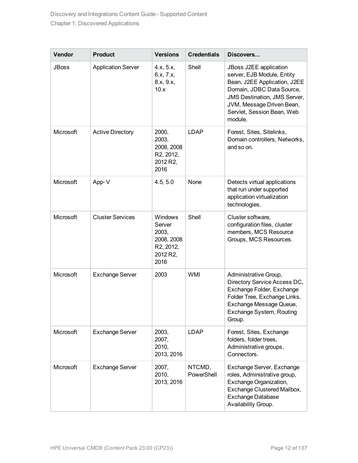| Vendor       | <b>Product</b>            | <b>Versions</b>                                                           | <b>Credentials</b>   | Discovers                                                                                                                                                                                                                      |
|--------------|---------------------------|---------------------------------------------------------------------------|----------------------|--------------------------------------------------------------------------------------------------------------------------------------------------------------------------------------------------------------------------------|
| <b>JBoss</b> | <b>Application Server</b> | 4.x, 5.x,<br>6.x, 7.x,<br>8.x, 9.x,<br>10.x                               | Shell                | JBoss J2EE application<br>server, EJB Module, Entity<br>Bean, J2EE Application, J2EE<br>Domain, JDBC Data Source,<br><b>JMS Destination, JMS Server,</b><br>JVM, Message Driven Bean,<br>Servlet, Session Bean, Web<br>module. |
| Microsoft    | <b>Active Directory</b>   | 2000,<br>2003,<br>2008, 2008<br>R2, 2012,<br>2012 R2,<br>2016             | <b>LDAP</b>          | Forest, Sites, Sitelinks,<br>Domain controllers, Networks,<br>and so on.                                                                                                                                                       |
| Microsoft    | App-V                     | 4.5, 5.0                                                                  | None                 | Detects virtual applications<br>that run under supported<br>application virtualization<br>technologies.                                                                                                                        |
| Microsoft    | <b>Cluster Services</b>   | Windows<br>Server<br>2003,<br>2008, 2008<br>R2, 2012,<br>2012 R2,<br>2016 | Shell                | Cluster software,<br>configuration files, cluster<br>members, MCS Resource<br>Groups, MCS Resources.                                                                                                                           |
| Microsoft    | <b>Exchange Server</b>    | 2003                                                                      | <b>WMI</b>           | Administrative Group,<br>Directory Service Access DC,<br>Exchange Folder, Exchange<br>Folder Tree, Exchange Links,<br>Exchange Message Queue,<br>Exchange System, Routing<br>Group.                                            |
| Microsoft    | <b>Exchange Server</b>    | 2003,<br>2007,<br>2010,<br>2013, 2016                                     | <b>LDAP</b>          | Forest, Sites, Exchange<br>folders, folder trees,<br>Administrative groups,<br>Connectors.                                                                                                                                     |
| Microsoft    | <b>Exchange Server</b>    | 2007,<br>2010.<br>2013, 2016                                              | NTCMD,<br>PowerShell | Exchange Server, Exchange<br>roles, Administrative group,<br>Exchange Organization,<br>Exchange Clustered Mailbox,<br>Exchange Database<br>Availability Group.                                                                 |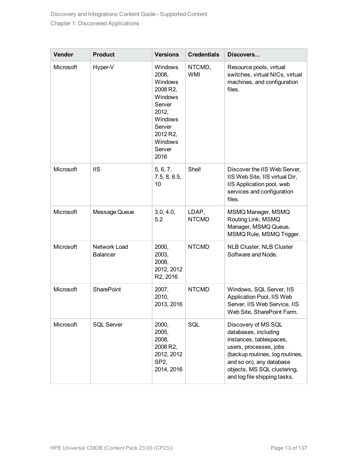| Vendor    | <b>Product</b>                  | <b>Versions</b>                                                                                                                            | <b>Credentials</b>    | Discovers                                                                                                                                                                                                                      |
|-----------|---------------------------------|--------------------------------------------------------------------------------------------------------------------------------------------|-----------------------|--------------------------------------------------------------------------------------------------------------------------------------------------------------------------------------------------------------------------------|
| Microsoft | Hyper-V                         | Windows<br>2008,<br>Windows<br>2008 R2,<br>Windows<br>Server<br>2012,<br><b>Windows</b><br>Server<br>2012 R2,<br>Windows<br>Server<br>2016 | NTCMD,<br><b>WMI</b>  | Resource pools, virtual<br>switches, virtual NICs, virtual<br>machines, and configuration<br>files.                                                                                                                            |
| Microsoft | <b>IIS</b>                      | 5, 6, 7,<br>7.5, 8, 8.5,<br>10                                                                                                             | Shell                 | Discover the IIS Web Server,<br>IIS Web Site, IIS virtual Dir,<br>IIS Application pool, web<br>services and configuration<br>files.                                                                                            |
| Microsoft | Message Queue                   | 3.0, 4.0,<br>5.2                                                                                                                           | LDAP,<br><b>NTCMD</b> | MSMQ Manager, MSMQ<br>Routing Link, MSMQ<br>Manager, MSMQ Queue,<br>MSMQ Rule, MSMQ Trigger.                                                                                                                                   |
| Microsoft | Network Load<br><b>Balancer</b> | 2000,<br>2003,<br>2008,<br>2012, 2012<br>R2, 2016                                                                                          | <b>NTCMD</b>          | <b>NLB Cluster, NLB Cluster</b><br>Software and Node.                                                                                                                                                                          |
| Microsoft | <b>SharePoint</b>               | 2007,<br>2010,<br>2013, 2016                                                                                                               | <b>NTCMD</b>          | Windows, SQL Server, IIS<br>Application Pool, IIS Web<br>Server, IIS Web Service, IIS<br>Web Site, SharePoint Farm.                                                                                                            |
| Microsoft | <b>SQL Server</b>               | 2000,<br>2005,<br>2008,<br>2008 R2,<br>2012, 2012<br>SP <sub>2</sub><br>2014, 2016                                                         | SQL                   | Discovery of MS SQL<br>databases, including<br>instances, tablespaces,<br>users, processes, jobs<br>(backup routines, log routines,<br>and so on), any database<br>objects, MS SQL clustering,<br>and log file shipping tasks. |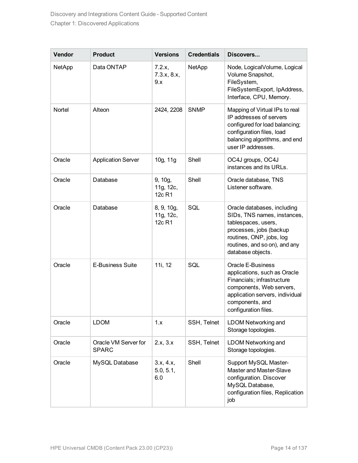| Vendor | <b>Product</b>                       | <b>Versions</b>                   | <b>Credentials</b> | Discovers                                                                                                                                                                                      |
|--------|--------------------------------------|-----------------------------------|--------------------|------------------------------------------------------------------------------------------------------------------------------------------------------------------------------------------------|
| NetApp | Data ONTAP                           | 7.2.x,<br>7.3.x, 8.x,<br>9.x      | NetApp             | Node, LogicalVolume, Logical<br>Volume Snapshot,<br>FileSystem,<br>FileSystemExport, IpAddress,<br>Interface, CPU, Memory.                                                                     |
| Nortel | Alteon                               | 2424, 2208                        | <b>SNMP</b>        | Mapping of Virtual IPs to real<br>IP addresses of servers<br>configured for load balancing;<br>configuration files, load<br>balancing algorithms, and end<br>user IP addresses.                |
| Oracle | <b>Application Server</b>            | 10g, 11g                          | Shell              | OC4J groups, OC4J<br>instances and its URLs.                                                                                                                                                   |
| Oracle | Database                             | 9, 10g,<br>11g, 12c,<br>12c R1    | Shell              | Oracle database, TNS<br>Listener software.                                                                                                                                                     |
| Oracle | Database                             | 8, 9, 10g,<br>11g, 12c,<br>12c R1 | SQL                | Oracle databases, including<br>SIDs, TNS names, instances,<br>tablespaces, users,<br>processes, jobs (backup<br>routines, ONP, jobs, log<br>routines, and so on), and any<br>database objects. |
| Oracle | E-Business Suite                     | 11i, 12                           | SQL                | Oracle E-Business<br>applications, such as Oracle<br>Financials; infrastructure<br>components, Web servers,<br>application servers, individual<br>components, and<br>configuration files.      |
| Oracle | <b>LDOM</b>                          | 1.x                               | SSH, Telnet        | LDOM Networking and<br>Storage topologies.                                                                                                                                                     |
| Oracle | Oracle VM Server for<br><b>SPARC</b> | 2.x, 3.x                          | SSH, Telnet        | <b>LDOM Networking and</b><br>Storage topologies.                                                                                                                                              |
| Oracle | MySQL Database                       | 3.x, 4.x,<br>5.0, 5.1,<br>6.0     | Shell              | Support MySQL Master-<br>Master and Master-Slave<br>configuration. Discover<br>MySQL Database,<br>configuration files, Replication<br>job                                                      |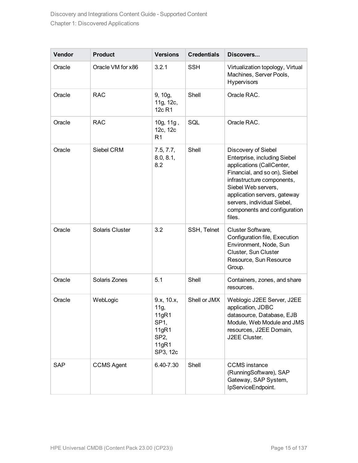| Vendor     | <b>Product</b>    | <b>Versions</b>                                                                                   | <b>Credentials</b> | Discovers                                                                                                                                                                                                                                                                       |
|------------|-------------------|---------------------------------------------------------------------------------------------------|--------------------|---------------------------------------------------------------------------------------------------------------------------------------------------------------------------------------------------------------------------------------------------------------------------------|
| Oracle     | Oracle VM for x86 | 3.2.1                                                                                             | <b>SSH</b>         | Virtualization topology, Virtual<br>Machines, Server Pools,<br><b>Hypervisors</b>                                                                                                                                                                                               |
| Oracle     | <b>RAC</b>        | 9, 10g,<br>11g, 12c,<br>12c R1                                                                    | Shell              | Oracle RAC.                                                                                                                                                                                                                                                                     |
| Oracle     | <b>RAC</b>        | 10g, 11g,<br>12c, 12c<br>R <sub>1</sub>                                                           | SQL                | Oracle RAC.                                                                                                                                                                                                                                                                     |
| Oracle     | Siebel CRM        | 7.5, 7.7,<br>8.0, 8.1,<br>8.2                                                                     | Shell              | Discovery of Siebel<br>Enterprise, including Siebel<br>applications (CallCenter,<br>Financial, and so on), Siebel<br>infrastructure components,<br>Siebel Web servers,<br>application servers, gateway<br>servers, individual Siebel,<br>components and configuration<br>files. |
| Oracle     | Solaris Cluster   | 3.2                                                                                               | SSH, Telnet        | Cluster Software,<br>Configuration file, Execution<br>Environment, Node, Sun<br>Cluster, Sun Cluster<br>Resource, Sun Resource<br>Group.                                                                                                                                        |
| Oracle     | Solaris Zones     | 5.1                                                                                               | Shell              | Containers, zones, and share<br>resources.                                                                                                                                                                                                                                      |
| Oracle     | WebLogic          | 9.x, 10.x,<br>11g,<br>11gR1<br>SP <sub>1</sub><br>11gR1<br>SP <sub>2</sub> ,<br>11gR1<br>SP3, 12c | Shell or JMX       | Weblogic J2EE Server, J2EE<br>application, JDBC<br>datasource, Database, EJB<br>Module, Web Module and JMS<br>resources, J2EE Domain,<br>J2EE Cluster.                                                                                                                          |
| <b>SAP</b> | <b>CCMS Agent</b> | 6.40-7.30                                                                                         | Shell              | <b>CCMS</b> instance<br>(RunningSoftware), SAP<br>Gateway, SAP System,<br>IpServiceEndpoint.                                                                                                                                                                                    |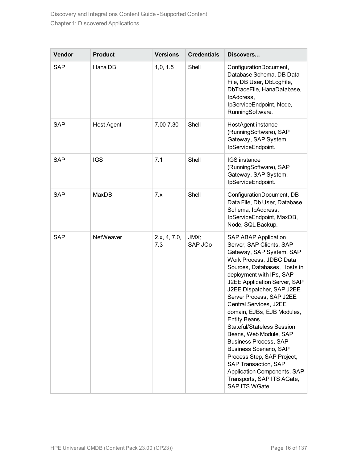| Vendor     | <b>Product</b>    | <b>Versions</b>     | <b>Credentials</b> | Discovers                                                                                                                                                                                                                                                                                                                                                                                                                                                                                                                                                                                                         |
|------------|-------------------|---------------------|--------------------|-------------------------------------------------------------------------------------------------------------------------------------------------------------------------------------------------------------------------------------------------------------------------------------------------------------------------------------------------------------------------------------------------------------------------------------------------------------------------------------------------------------------------------------------------------------------------------------------------------------------|
| <b>SAP</b> | Hana DB           | 1,0, 1.5            | Shell              | ConfigurationDocument,<br>Database Schema, DB Data<br>File, DB User, DbLogFile,<br>DbTraceFile, HanaDatabase,<br>IpAddress,<br>IpServiceEndpoint, Node,<br>RunningSoftware.                                                                                                                                                                                                                                                                                                                                                                                                                                       |
| <b>SAP</b> | <b>Host Agent</b> | 7.00-7.30           | Shell              | HostAgent instance<br>(RunningSoftware), SAP<br>Gateway, SAP System,<br>IpServiceEndpoint.                                                                                                                                                                                                                                                                                                                                                                                                                                                                                                                        |
| <b>SAP</b> | <b>IGS</b>        | 7.1                 | Shell              | <b>IGS</b> instance<br>(RunningSoftware), SAP<br>Gateway, SAP System,<br>IpServiceEndpoint.                                                                                                                                                                                                                                                                                                                                                                                                                                                                                                                       |
| <b>SAP</b> | MaxDB             | 7.x                 | Shell              | ConfigurationDocument, DB<br>Data File, Db User, Database<br>Schema, IpAddress,<br>IpServiceEndpoint, MaxDB,<br>Node, SQL Backup.                                                                                                                                                                                                                                                                                                                                                                                                                                                                                 |
| <b>SAP</b> | NetWeaver         | 2.x, 4, 7.0,<br>7.3 | JMX;<br>SAP JCo    | <b>SAP ABAP Application</b><br>Server, SAP Clients, SAP<br>Gateway, SAP System, SAP<br>Work Process, JDBC Data<br>Sources, Databases, Hosts in<br>deployment with IPs, SAP<br>J2EE Application Server, SAP<br>J2EE Dispatcher, SAP J2EE<br>Server Process, SAP J2EE<br>Central Services, J2EE<br>domain, EJBs, EJB Modules,<br>Entity Beans,<br><b>Stateful/Stateless Session</b><br>Beans, Web Module, SAP<br><b>Business Process, SAP</b><br><b>Business Scenario, SAP</b><br>Process Step, SAP Project,<br>SAP Transaction, SAP<br>Application Components, SAP<br>Transports, SAP ITS AGate,<br>SAP ITS WGate. |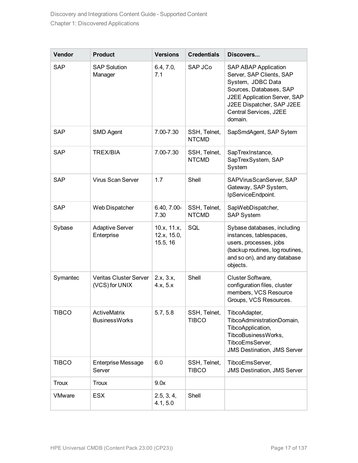| Vendor        | <b>Product</b>                                  | <b>Versions</b>                        | <b>Credentials</b>           | Discovers                                                                                                                                                                                                 |
|---------------|-------------------------------------------------|----------------------------------------|------------------------------|-----------------------------------------------------------------------------------------------------------------------------------------------------------------------------------------------------------|
| <b>SAP</b>    | <b>SAP Solution</b><br>Manager                  | 6.4, 7.0,<br>7.1                       | SAP JCo                      | <b>SAP ABAP Application</b><br>Server, SAP Clients, SAP<br>System, JDBC Data<br>Sources, Databases, SAP<br>J2EE Application Server, SAP<br>J2EE Dispatcher, SAP J2EE<br>Central Services, J2EE<br>domain. |
| <b>SAP</b>    | <b>SMD Agent</b>                                | 7.00-7.30                              | SSH, Telnet,<br><b>NTCMD</b> | SapSmdAgent, SAP Sytem                                                                                                                                                                                    |
| <b>SAP</b>    | <b>TREX/BIA</b>                                 | 7.00-7.30                              | SSH, Telnet,<br><b>NTCMD</b> | SapTrexInstance,<br>SapTrexSystem, SAP<br>System                                                                                                                                                          |
| <b>SAP</b>    | Virus Scan Server                               | 1.7                                    | Shell                        | SAPVirusScanServer, SAP<br>Gateway, SAP System,<br>IpServiceEndpoint.                                                                                                                                     |
| <b>SAP</b>    | Web Dispatcher                                  | 6.40, 7.00-<br>7.30                    | SSH, Telnet,<br><b>NTCMD</b> | SapWebDispatcher,<br><b>SAP System</b>                                                                                                                                                                    |
| Sybase        | <b>Adaptive Server</b><br>Enterprise            | 10.x, 11.x,<br>12.x, 15.0,<br>15.5, 16 | SQL                          | Sybase databases, including<br>instances, tablespaces,<br>users, processes, jobs<br>(backup routines, log routines,<br>and so on), and any database<br>objects.                                           |
| Symantec      | <b>Veritas Cluster Server</b><br>(VCS) for UNIX | 2.x, 3.x,<br>4.x, 5.x                  | Shell                        | Cluster Software,<br>configuration files, cluster<br>members, VCS Resource<br>Groups, VCS Resources.                                                                                                      |
| <b>TIBCO</b>  | <b>ActiveMatrix</b><br><b>BusinessWorks</b>     | 5.7, 5.8                               | SSH, Telnet,<br><b>TIBCO</b> | TibcoAdapter,<br>TibcoAdministrationDomain,<br>TibcoApplication,<br>TibcoBusinessWorks,<br>TibcoEmsServer,<br><b>JMS Destination, JMS Server</b>                                                          |
| <b>TIBCO</b>  | <b>Enterprise Message</b><br>Server             | 6.0                                    | SSH, Telnet,<br><b>TIBCO</b> | TibcoEmsServer,<br><b>JMS Destination, JMS Server</b>                                                                                                                                                     |
| <b>Troux</b>  | <b>Troux</b>                                    | 9.0x                                   |                              |                                                                                                                                                                                                           |
| <b>VMware</b> | <b>ESX</b>                                      | 2.5, 3, 4,<br>4.1, 5.0                 | Shell                        |                                                                                                                                                                                                           |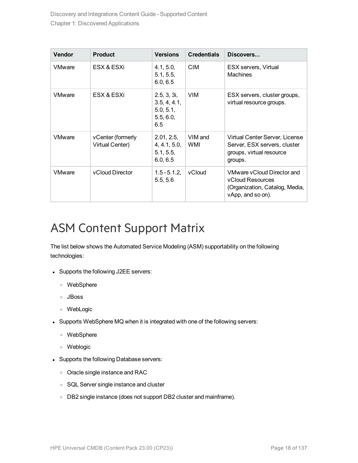| <b>Vendor</b> | <b>Product</b>                       | <b>Versions</b>                                              | <b>Credentials</b> | Discovers                                                                                                    |
|---------------|--------------------------------------|--------------------------------------------------------------|--------------------|--------------------------------------------------------------------------------------------------------------|
| <b>VMware</b> | ESX & ESXi                           | 4.1, 5.0,<br>5.1, 5.5,<br>6.0, 6.5                           | <b>CIM</b>         | ESX servers, Virtual<br><b>Machines</b>                                                                      |
| <b>VMware</b> | ESX & ESXi                           | 2.5, 3, 3i,<br>3.5, 4, 4.1,<br>5.0, 5.1,<br>5.5, 6.0,<br>6.5 | <b>VIM</b>         | ESX servers, cluster groups,<br>virtual resource groups.                                                     |
| <b>VMware</b> | vCenter (formerly<br>Virtual Center) | 2.01, 2.5,<br>4, 4.1, 5.0,<br>5.1, 5.5,<br>6.0, 6.5          | VIM and<br>WMI     | Virtual Center Server, License<br>Server, ESX servers, cluster<br>groups, virtual resource<br>groups.        |
| <b>VMware</b> | vCloud Director                      | $1.5 - 5.1.2$<br>5.5, 5.6                                    | vCloud             | VMware vCloud Director and<br><b>vCloud Resources</b><br>(Organization, Catalog, Media,<br>vApp, and so on). |

### <span id="page-17-0"></span>ASM Content Support Matrix

The list below shows the Automated Service Modeling (ASM) supportability on the following technologies:

- Supports the following J2EE servers:
	- <sup>o</sup> WebSphere
	- <sup>o</sup> JBoss
	- <sup>o</sup> WebLogic
- Supports WebSphere MQ when it is integrated with one of the following servers:
	- <sup>o</sup> WebSphere
	- <sup>o</sup> Weblogic
- Supports the following Database servers:
	- <sup>o</sup> Oracle single instance and RAC
	- <sup>o</sup> SQL Server single instance and cluster
	- o DB2 single instance (does not support DB2 cluster and mainframe).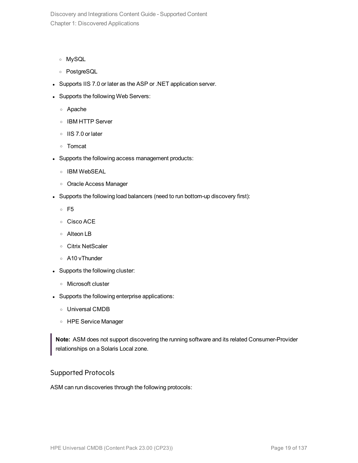- <sup>o</sup> MySQL
- <sup>o</sup> PostgreSQL
- Supports IIS 7.0 or later as the ASP or .NET application server.
- Supports the following Web Servers:
	- <sup>o</sup> Apache
	- <sup>o</sup> IBM HTTP Server
	- <sup>o</sup> IIS 7.0 or later
	- <sup>o</sup> Tomcat
- Supports the following access management products:
	- <sup>o</sup> IBM WebSEAL
	- <sup>o</sup> Oracle Access Manager
- Supports the following load balancers (need to run bottom-up discovery first):
	- <sup>o</sup> F5
	- <sup>o</sup> Cisco ACE
	- <sup>o</sup> Alteon LB
	- <sup>o</sup> Citrix NetScaler
	- <sup>o</sup> A10 vThunder
- Supports the following cluster:
	- <sup>o</sup> Microsoft cluster
- Supports the following enterprise applications:
	- <sup>o</sup> Universal CMDB
	- <sup>o</sup> HPE Service Manager

**Note:** ASM does not support discovering the running software and its related Consumer-Provider relationships on a Solaris Local zone.

#### Supported Protocols

ASM can run discoveries through the following protocols: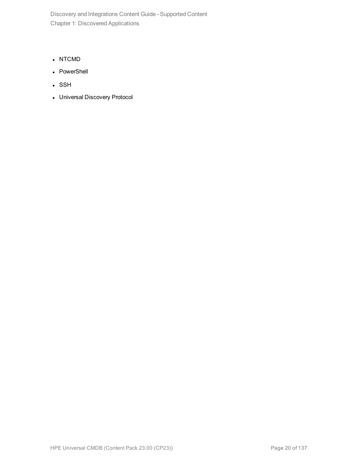- NTCMD
- PowerShell
- . SSH
- Universal Discovery Protocol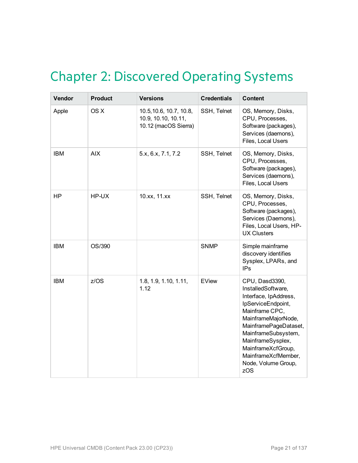### <span id="page-20-0"></span>Chapter 2: Discovered Operating Systems

| Vendor     | <b>Product</b> | <b>Versions</b>                                                        | <b>Credentials</b> | <b>Content</b>                                                                                                                                                                                                                                                               |
|------------|----------------|------------------------------------------------------------------------|--------------------|------------------------------------------------------------------------------------------------------------------------------------------------------------------------------------------------------------------------------------------------------------------------------|
| Apple      | OS X           | 10.5, 10.6, 10.7, 10.8,<br>10.9, 10.10, 10.11,<br>10.12 (macOS Sierra) | SSH, Telnet        | OS, Memory, Disks,<br>CPU, Processes,<br>Software (packages),<br>Services (daemons),<br>Files, Local Users                                                                                                                                                                   |
| <b>IBM</b> | <b>AIX</b>     | 5.x, 6.x, 7.1, 7.2                                                     | SSH, Telnet        | OS, Memory, Disks,<br>CPU, Processes,<br>Software (packages),<br>Services (daemons),<br>Files, Local Users                                                                                                                                                                   |
| <b>HP</b>  | HP-UX          | 10.xx, 11.xx                                                           | SSH, Telnet        | OS, Memory, Disks,<br>CPU, Processes,<br>Software (packages),<br>Services (Daemons),<br>Files, Local Users, HP-<br><b>UX Clusters</b>                                                                                                                                        |
| <b>IBM</b> | OS/390         |                                                                        | <b>SNMP</b>        | Simple mainframe<br>discovery identifies<br>Sysplex, LPARs, and<br><b>IPs</b>                                                                                                                                                                                                |
| <b>IBM</b> | z/OS           | 1.8, 1.9, 1.10, 1.11,<br>1.12                                          | EView              | CPU, Dasd3390,<br>InstalledSoftware,<br>Interface, IpAddress,<br>IpServiceEndpoint,<br>Mainframe CPC,<br>MainframeMajorNode,<br>MainframePageDataset,<br>MainframeSubsystem,<br>MainframeSysplex,<br>MainframeXcfGroup,<br>MainframeXcfMember,<br>Node, Volume Group,<br>zOS |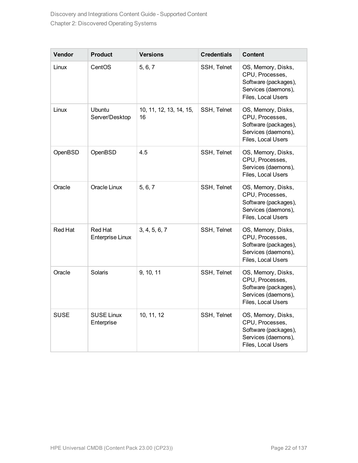| Vendor         | <b>Product</b>                     | <b>Versions</b>               | <b>Credentials</b> | Content                                                                                                    |
|----------------|------------------------------------|-------------------------------|--------------------|------------------------------------------------------------------------------------------------------------|
| Linux          | CentOS                             | 5, 6, 7                       | SSH, Telnet        | OS, Memory, Disks,<br>CPU, Processes,<br>Software (packages),<br>Services (daemons),<br>Files, Local Users |
| Linux          | Ubuntu<br>Server/Desktop           | 10, 11, 12, 13, 14, 15,<br>16 | SSH, Telnet        | OS, Memory, Disks,<br>CPU, Processes,<br>Software (packages),<br>Services (daemons),<br>Files, Local Users |
| OpenBSD        | OpenBSD                            | 4.5                           | SSH, Telnet        | OS, Memory, Disks,<br>CPU, Processes,<br>Services (daemons),<br>Files, Local Users                         |
| Oracle         | Oracle Linux                       | 5, 6, 7                       | SSH, Telnet        | OS, Memory, Disks,<br>CPU, Processes,<br>Software (packages),<br>Services (daemons),<br>Files, Local Users |
| <b>Red Hat</b> | <b>Red Hat</b><br>Enterprise Linux | 3, 4, 5, 6, 7                 | SSH, Telnet        | OS, Memory, Disks,<br>CPU, Processes,<br>Software (packages),<br>Services (daemons),<br>Files, Local Users |
| Oracle         | Solaris                            | 9, 10, 11                     | SSH, Telnet        | OS, Memory, Disks,<br>CPU, Processes,<br>Software (packages),<br>Services (daemons),<br>Files, Local Users |
| <b>SUSE</b>    | <b>SUSE Linux</b><br>Enterprise    | 10, 11, 12                    | SSH, Telnet        | OS, Memory, Disks,<br>CPU, Processes,<br>Software (packages),<br>Services (daemons),<br>Files, Local Users |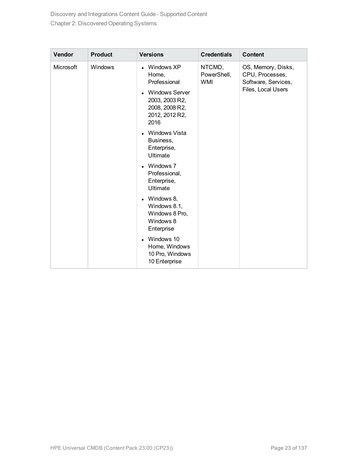| Vendor    | <b>Product</b> | <b>Versions</b>                                                                                                            | <b>Credentials</b>                  | <b>Content</b>                                                                     |
|-----------|----------------|----------------------------------------------------------------------------------------------------------------------------|-------------------------------------|------------------------------------------------------------------------------------|
| Microsoft | Windows        | Windows XP<br>Home,<br>Professional<br><b>Windows Server</b><br>2003, 2003 R2,<br>2008, 2008 R2,<br>2012, 2012 R2,<br>2016 | NTCMD,<br>PowerShell,<br><b>WMI</b> | OS, Memory, Disks,<br>CPU, Processes,<br>Software, Services,<br>Files, Local Users |
|           |                | Windows Vista<br>Business,<br>Enterprise,<br><b>Ultimate</b>                                                               |                                     |                                                                                    |
|           |                | • Windows 7<br>Professional,<br>Enterprise,<br>Ultimate                                                                    |                                     |                                                                                    |
|           |                | • Windows 8,<br>Windows 8.1,<br>Windows 8 Pro,<br>Windows 8<br>Enterprise                                                  |                                     |                                                                                    |
|           |                | Windows 10<br>Home, Windows<br>10 Pro, Windows<br>10 Enterprise                                                            |                                     |                                                                                    |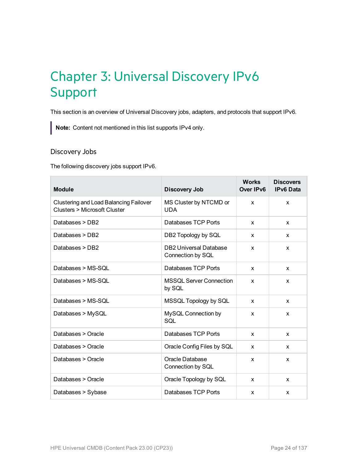### <span id="page-23-0"></span>Chapter 3: Universal Discovery IPv6 Support

This section is an overview of Universal Discovery jobs, adapters, and protocols that support IPv6.

**Note:** Content not mentioned in this list supports IPv4 only.

#### Discovery Jobs

The following discovery jobs support IPv6.

| <b>Module</b>                                                                 | <b>Discovery Job</b>                               | <b>Works</b><br>Over IPv6 | <b>Discovers</b><br><b>IPv6 Data</b> |
|-------------------------------------------------------------------------------|----------------------------------------------------|---------------------------|--------------------------------------|
| <b>Clustering and Load Balancing Failover</b><br>Clusters > Microsoft Cluster | MS Cluster by NTCMD or<br><b>UDA</b>               | X                         | X                                    |
| Databases > DB2                                                               | Databases TCP Ports                                | x                         | X                                    |
| Databases > DB2                                                               | DB2 Topology by SQL                                | x                         | $\mathsf{x}$                         |
| Databases > DB2                                                               | <b>DB2 Universal Database</b><br>Connection by SQL | X                         | X                                    |
| Databases > MS-SOL                                                            | Databases TCP Ports                                | X                         | $\mathsf{x}$                         |
| Databases > MS-SOL                                                            | <b>MSSQL Server Connection</b><br>by SQL           | X                         | X                                    |
| Databases > MS-SOL                                                            | MSSQL Topology by SQL                              | x                         | $\mathsf{x}$                         |
| Databases > MySQL                                                             | MySQL Connection by<br>SQL                         | $\boldsymbol{\mathsf{x}}$ | X                                    |
| Databases > Oracle                                                            | Databases TCP Ports                                | X                         | $\mathsf{x}$                         |
| Databases > Oracle                                                            | Oracle Config Files by SQL                         | X                         | X                                    |
| Databases > Oracle                                                            | Oracle Database<br>Connection by SQL               | X                         | $\mathsf{x}$                         |
| Databases > Oracle                                                            | Oracle Topology by SQL                             | $\mathsf{x}$              | X                                    |
| Databases > Sybase                                                            | Databases TCP Ports                                | X                         | X                                    |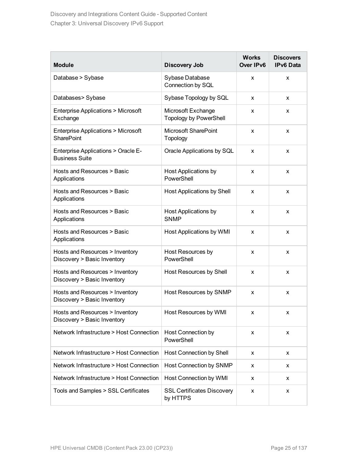| <b>Module</b>                                                      | <b>Discovery Job</b>                                | <b>Works</b><br>Over IPv6 | <b>Discovers</b><br><b>IPv6 Data</b> |
|--------------------------------------------------------------------|-----------------------------------------------------|---------------------------|--------------------------------------|
| Database > Sybase                                                  | Sybase Database<br>Connection by SQL                | X                         | X                                    |
| Databases> Sybase                                                  | Sybase Topology by SQL                              | X                         | x                                    |
| <b>Enterprise Applications &gt; Microsoft</b><br>Exchange          | Microsoft Exchange<br><b>Topology by PowerShell</b> | x                         | X                                    |
| <b>Enterprise Applications &gt; Microsoft</b><br><b>SharePoint</b> | Microsoft SharePoint<br>Topology                    | X                         | X                                    |
| Enterprise Applications > Oracle E-<br><b>Business Suite</b>       | Oracle Applications by SQL                          | X                         | X                                    |
| Hosts and Resources > Basic<br>Applications                        | <b>Host Applications by</b><br>PowerShell           | X                         | X                                    |
| Hosts and Resources > Basic<br>Applications                        | Host Applications by Shell                          | X                         | X                                    |
| Hosts and Resources > Basic<br>Applications                        | <b>Host Applications by</b><br><b>SNMP</b>          | X                         | X                                    |
| Hosts and Resources > Basic<br>Applications                        | Host Applications by WMI                            | X                         | X                                    |
| Hosts and Resources > Inventory<br>Discovery > Basic Inventory     | Host Resources by<br>PowerShell                     | X                         | X                                    |
| Hosts and Resources > Inventory<br>Discovery > Basic Inventory     | Host Resources by Shell                             | X                         | X                                    |
| Hosts and Resources > Inventory<br>Discovery > Basic Inventory     | Host Resources by SNMP                              | X                         | X                                    |
| Hosts and Resources > Inventory<br>Discovery > Basic Inventory     | Host Resources by WMI                               | x                         |                                      |
| Network Infrastructure > Host Connection                           | Host Connection by<br>PowerShell                    | X                         | x                                    |
| Network Infrastructure > Host Connection                           | Host Connection by Shell                            | X                         | X                                    |
| Network Infrastructure > Host Connection                           | Host Connection by SNMP                             | X                         | x                                    |
| Network Infrastructure > Host Connection                           | Host Connection by WMI                              | x                         | x                                    |
| Tools and Samples > SSL Certificates                               | <b>SSL Certificates Discovery</b><br>by HTTPS       | x                         | x                                    |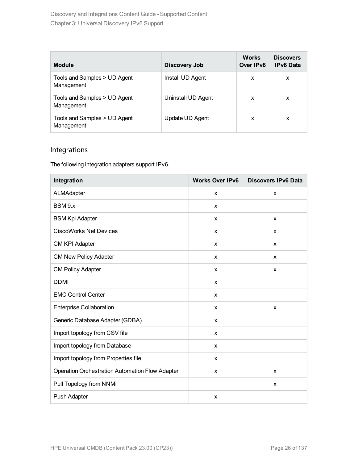| <b>Module</b>                              | Discovery Job      | <b>Works</b><br>Over IPv6 | <b>Discovers</b><br><b>IPv6 Data</b> |
|--------------------------------------------|--------------------|---------------------------|--------------------------------------|
| Tools and Samples > UD Agent<br>Management | Install UD Agent   | x                         | x                                    |
| Tools and Samples > UD Agent<br>Management | Uninstall UD Agent | X                         | X                                    |
| Tools and Samples > UD Agent<br>Management | Update UD Agent    | x                         | x                                    |

#### Integrations

The following integration adapters support IPv6.

| Integration                                     | <b>Works Over IPv6</b>    | <b>Discovers IPv6 Data</b> |
|-------------------------------------------------|---------------------------|----------------------------|
| ALMAdapter                                      | X                         | X                          |
| BSM 9.x                                         | X                         |                            |
| <b>BSM Kpi Adapter</b>                          | X                         | X                          |
| <b>CiscoWorks Net Devices</b>                   | X                         | X                          |
| CM KPI Adapter                                  | X                         | X                          |
| <b>CM New Policy Adapter</b>                    | X                         | X                          |
| <b>CM Policy Adapter</b>                        | X                         | X                          |
| <b>DDMI</b>                                     | X                         |                            |
| <b>EMC Control Center</b>                       | X                         |                            |
| <b>Enterprise Collaboration</b>                 | X                         | X                          |
| Generic Database Adapter (GDBA)                 | X                         |                            |
| Import topology from CSV file                   | X                         |                            |
| Import topology from Database                   | X                         |                            |
| Import topology from Properties file            | X                         |                            |
| Operation Orchestration Automation Flow Adapter | X                         | X                          |
| Pull Topology from NNMi                         |                           | X                          |
| Push Adapter                                    | $\boldsymbol{\mathsf{x}}$ |                            |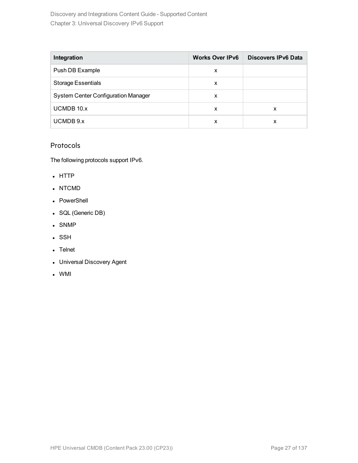Discovery and Integrations Content Guide - Supported Content Chapter 3: Universal Discovery IPv6 Support

| Integration                                | <b>Works Over IPv6</b> | Discovers IPv6 Data |
|--------------------------------------------|------------------------|---------------------|
| Push DB Example                            | x                      |                     |
| <b>Storage Essentials</b>                  | х                      |                     |
| <b>System Center Configuration Manager</b> | x                      |                     |
| <b>UCMDB 10.x</b>                          | x                      | x                   |
| UCMDB 9.x                                  | x                      | x                   |

#### Protocols

The following protocols support IPv6.

- HTTP
- NTCMD
- PowerShell
- SQL (Generic DB)
- SNMP
- . SSH
- Telnet
- Universal Discovery Agent
- <sup>l</sup> WMI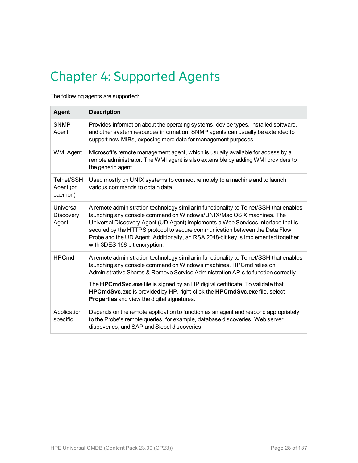## <span id="page-27-0"></span>Chapter 4: Supported Agents

The following agents are supported:

| Agent                              | <b>Description</b>                                                                                                                                                                                                                                                                                                                                                                                                                                      |
|------------------------------------|---------------------------------------------------------------------------------------------------------------------------------------------------------------------------------------------------------------------------------------------------------------------------------------------------------------------------------------------------------------------------------------------------------------------------------------------------------|
| <b>SNMP</b><br>Agent               | Provides information about the operating systems, device types, installed software,<br>and other system resources information. SNMP agents can usually be extended to<br>support new MIBs, exposing more data for management purposes.                                                                                                                                                                                                                  |
| <b>WMI Agent</b>                   | Microsoft's remote management agent, which is usually available for access by a<br>remote administrator. The WMI agent is also extensible by adding WMI providers to<br>the generic agent.                                                                                                                                                                                                                                                              |
| Telnet/SSH<br>Agent (or<br>daemon) | Used mostly on UNIX systems to connect remotely to a machine and to launch<br>various commands to obtain data.                                                                                                                                                                                                                                                                                                                                          |
| Universal<br>Discovery<br>Agent    | A remote administration technology similar in functionality to Telnet/SSH that enables<br>launching any console command on Windows/UNIX/Mac OS X machines. The<br>Universal Discovery Agent (UD Agent) implements a Web Services interface that is<br>secured by the HTTPS protocol to secure communication between the Data Flow<br>Probe and the UD Agent. Additionally, an RSA 2048-bit key is implemented together<br>with 3DES 168-bit encryption. |
| <b>HPCmd</b>                       | A remote administration technology similar in functionality to Telnet/SSH that enables<br>launching any console command on Windows machines. HPCmd relies on<br>Administrative Shares & Remove Service Administration APIs to function correctly.                                                                                                                                                                                                       |
|                                    | The HPCmdSvc.exe file is signed by an HP digital certificate. To validate that<br>HPCmdSvc.exe is provided by HP, right-click the HPCmdSvc.exe file, select<br><b>Properties</b> and view the digital signatures.                                                                                                                                                                                                                                       |
| Application<br>specific            | Depends on the remote application to function as an agent and respond appropriately<br>to the Probe's remote queries, for example, database discoveries, Web server<br>discoveries, and SAP and Siebel discoveries.                                                                                                                                                                                                                                     |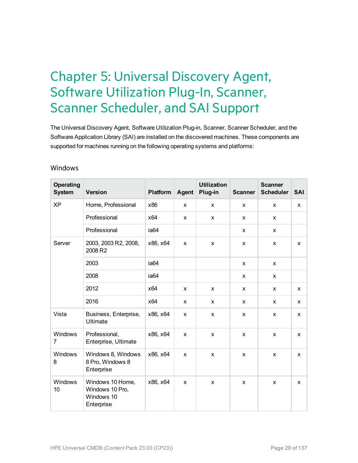### <span id="page-28-0"></span>Chapter 5: Universal Discovery Agent, Software Utilization Plug-In, Scanner, Scanner Scheduler, and SAI Support

The Universal Discovery Agent, Software Utilization Plug-in, Scanner, Scanner Scheduler, and the Software Application Library (SAI) are installed on the discovered machines. These components are supported for machines running on the following operating systems and platforms:

#### Windows

| Operating<br><b>System</b> | <b>Version</b>                                                  | <b>Platform</b>  | Agent        | <b>Utilization</b><br>Plug-in | <b>Scanner</b> | <b>Scanner</b><br><b>Scheduler</b> | <b>SAI</b> |
|----------------------------|-----------------------------------------------------------------|------------------|--------------|-------------------------------|----------------|------------------------------------|------------|
| <b>XP</b>                  | Home, Professional                                              | x86              | X            | X                             | X              | X                                  | X          |
|                            | Professional                                                    | x64              | X            | X                             | X              | X                                  |            |
|                            | Professional                                                    | ia <sub>64</sub> |              |                               | X              | X                                  |            |
| Server                     | 2003, 2003 R2, 2008,<br>2008 R2                                 | x86, x64         | X            | X                             | X              | X                                  | X          |
|                            | 2003                                                            | ia <sub>64</sub> |              |                               | X              | $\mathsf{x}$                       |            |
|                            | 2008                                                            | ia64             |              |                               | X              | X                                  |            |
|                            | 2012                                                            | x64              | X            | X                             | X              | X                                  | X          |
|                            | 2016                                                            | x64              | $\mathsf{x}$ | X                             | X              | X                                  | X          |
| Vista                      | Business, Enterprise,<br><b>Ultimate</b>                        | x86, x64         | X            | X                             | X              | X                                  | X          |
| Windows<br>$\overline{7}$  | Professional,<br>Enterprise, Ultimate                           | x86, x64         | X            | X                             | X              | X                                  | X          |
| Windows<br>8               | Windows 8, Windows<br>8 Pro, Windows 8<br>Enterprise            | x86, x64         | X            | X                             | X              | X                                  | X          |
| Windows<br>10              | Windows 10 Home,<br>Windows 10 Pro,<br>Windows 10<br>Enterprise | x86, x64         | X            | X                             | X              | X                                  | X          |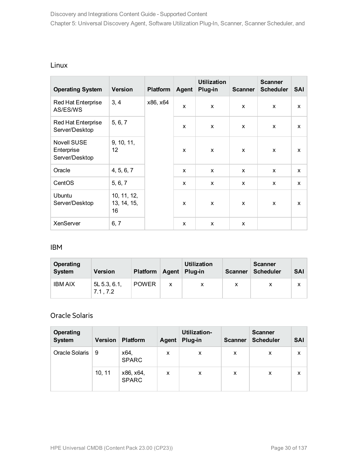#### Linux

| <b>Operating System</b>                            | <b>Version</b>                   | <b>Platform</b> | Agent | <b>Utilization</b><br>Plug-in | <b>Scanner</b> | <b>Scanner</b><br><b>Scheduler</b> | <b>SAI</b> |   |
|----------------------------------------------------|----------------------------------|-----------------|-------|-------------------------------|----------------|------------------------------------|------------|---|
| <b>Red Hat Enterprise</b><br>AS/ES/WS              | 3, 4                             | x86, x64        | X     | X                             | X              | x                                  | X          |   |
| Red Hat Enterprise<br>Server/Desktop               | 5, 6, 7                          |                 | X     | X                             | X              | X                                  | X          |   |
| <b>Novell SUSE</b><br>Enterprise<br>Server/Desktop | 9, 10, 11,<br>12                 |                 | X     | X                             | X              | X                                  | X          |   |
| Oracle                                             | 4, 5, 6, 7                       |                 |       | X                             | X              | $\mathsf{x}$                       | X          | X |
| CentOS                                             | 5, 6, 7                          |                 |       | x                             | X              | X                                  | x          | X |
| Ubuntu<br>Server/Desktop                           | 10, 11, 12,<br>13, 14, 15,<br>16 |                 | X     | X                             | $\mathsf{x}$   | X                                  | X          |   |
| XenServer                                          | 6, 7                             |                 | X     | X                             | X              |                                    |            |   |

#### IBM

| Operating<br><b>System</b> | <b>Version</b>            | <b>Platform</b> | Agent | <b>Utilization</b><br>Plug-in | <b>Scanner</b> | <b>Scanner</b><br><b>Scheduler</b> | <b>SAI</b> |
|----------------------------|---------------------------|-----------------|-------|-------------------------------|----------------|------------------------------------|------------|
| <b>IBM AIX</b>             | $5L$ 5.3, 6.1,<br>7.1.7.2 | <b>POWER</b>    | x     |                               | х              |                                    | x          |

#### Oracle Solaris

| <b>Operating</b><br><b>System</b> | <b>Version</b> | <b>Platform</b>           | Agent | Utilization-<br>Plug-in | <b>Scanner</b> | <b>Scanner</b><br><b>Scheduler</b> | <b>SAI</b> |
|-----------------------------------|----------------|---------------------------|-------|-------------------------|----------------|------------------------------------|------------|
| Oracle Solaris                    | 9              | x64,<br><b>SPARC</b>      | x     | X                       | X              | X                                  | X          |
|                                   | 10, 11         | x86, x64,<br><b>SPARC</b> | x     | X                       | X              | X                                  | X          |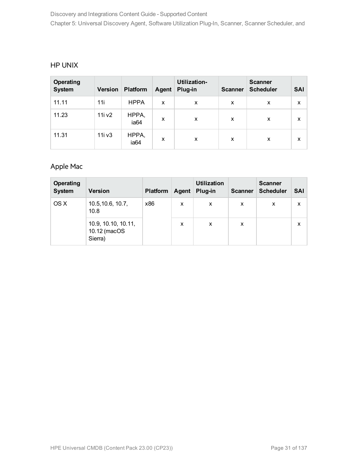#### HP UNIX

| Operating<br><b>System</b> | <b>Version</b> | <b>Platform</b>           | Agent | <b>Utilization-</b><br>Plug-in | <b>Scanner</b> | <b>Scanner</b><br><b>Scheduler</b> | <b>SAI</b> |
|----------------------------|----------------|---------------------------|-------|--------------------------------|----------------|------------------------------------|------------|
| 11.11                      | 11i            | <b>HPPA</b>               | X     | X                              | x              | X                                  | X          |
| 11.23                      | 11i v2         | HPPA,<br>ia <sub>64</sub> | X     | X                              | X              | X                                  | X          |
| 11.31                      | 11i v3         | HPPA,<br>ia64             | X     | x                              | X              | X                                  | X          |

### Apple Mac

| Operating<br><b>System</b> | <b>Version</b>                                 | <b>Platform</b> | Agent | <b>Utilization</b><br>Plug-in | <b>Scanner</b> | <b>Scanner</b><br><b>Scheduler</b> | <b>SAI</b> |
|----------------------------|------------------------------------------------|-----------------|-------|-------------------------------|----------------|------------------------------------|------------|
| OS X                       | 10.5, 10.6, 10.7,<br>10.8                      | x86             | x     | x                             | X              | X                                  | x          |
|                            | 10.9, 10.10, 10.11,<br>10.12 (macOS<br>Sierra) |                 | x     | X                             | x              |                                    | x          |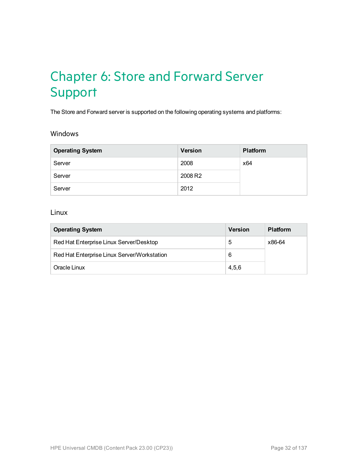### <span id="page-31-0"></span>Chapter 6: Store and Forward Server Support

The Store and Forward server is supported on the following operating systems and platforms:

#### Windows

| <b>Operating System</b> | <b>Version</b> | <b>Platform</b> |
|-------------------------|----------------|-----------------|
| Server                  | 2008           | x64             |
| Server                  | 2008 R2        |                 |
| Server                  | 2012           |                 |

#### Linux

| <b>Operating System</b>                     | Version | <b>Platform</b> |
|---------------------------------------------|---------|-----------------|
| Red Hat Enterprise Linux Server/Desktop     | 5       | x86-64          |
| Red Hat Enterprise Linux Server/Workstation | 6       |                 |
| Oracle Linux                                | 4.5.6   |                 |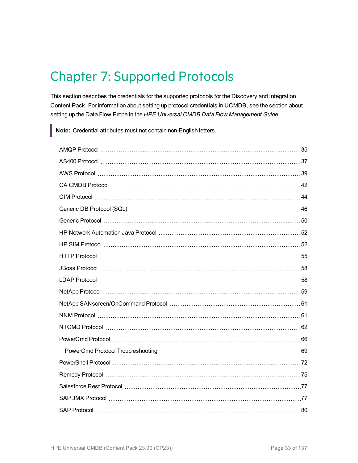### <span id="page-32-0"></span>Chapter 7: Supported Protocols

This section describes the credentials for the supported protocols for the Discovery and Integration Content Pack. For information about setting up protocol credentials in UCMDB, see the section about setting up the Data Flow Probe in the *HPE Universal CMDB Data Flow Management Guide*.

**Note:** Credential attributes must not contain non-English letters.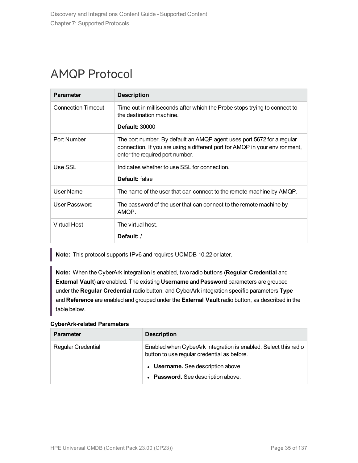### <span id="page-34-0"></span>AMQP Protocol

| <b>Parameter</b>          | <b>Description</b>                                                                                                                                                                       |
|---------------------------|------------------------------------------------------------------------------------------------------------------------------------------------------------------------------------------|
| <b>Connection Timeout</b> | Time-out in milliseconds after which the Probe stops trying to connect to<br>the destination machine.<br><b>Default: 30000</b>                                                           |
| Port Number               | The port number. By default an AMQP agent uses port 5672 for a regular<br>connection. If you are using a different port for AMQP in your environment,<br>enter the required port number. |
| Use SSL                   | Indicates whether to use SSL for connection.<br>Default: false                                                                                                                           |
| User Name                 | The name of the user that can connect to the remote machine by AMQP.                                                                                                                     |
| User Password             | The password of the user that can connect to the remote machine by<br>AMQP.                                                                                                              |
| Virtual Host              | The virtual host.<br>Default:/                                                                                                                                                           |

**Note:** This protocol supports IPv6 and requires UCMDB 10.22 or later.

**Note:** When the CyberArk integration is enabled, two radio buttons (**Regular Credential** and **External Vault**) are enabled. The existing **Username** and **Password** parameters are grouped under the **Regular Credential** radio button, and CyberArk integration specific parameters **Type** and **Reference** are enabled and grouped under the **External Vault** radio button, as described in the table below.

#### **CyberArk-related Parameters**

| <b>Parameter</b>          | <b>Description</b>                                                                                             |
|---------------------------|----------------------------------------------------------------------------------------------------------------|
| <b>Regular Credential</b> | Enabled when CyberArk integration is enabled. Select this radio<br>button to use regular credential as before. |
|                           | • Username. See description above.                                                                             |
|                           | • Password. See description above.                                                                             |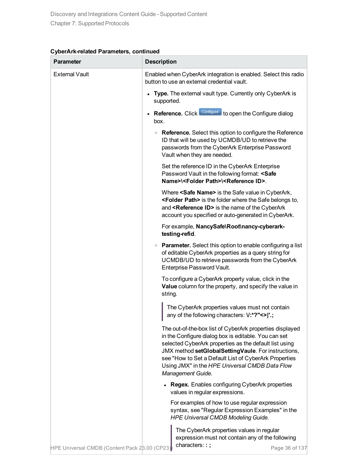| CyberArk-related Parameters, continued |  |  |
|----------------------------------------|--|--|
|----------------------------------------|--|--|

| Parameter                                     | <b>Description</b>                                                                                                                                                                                                                                                                                                                                                |
|-----------------------------------------------|-------------------------------------------------------------------------------------------------------------------------------------------------------------------------------------------------------------------------------------------------------------------------------------------------------------------------------------------------------------------|
| <b>External Vault</b>                         | Enabled when CyberArk integration is enabled. Select this radio<br>button to use an external credential vault.                                                                                                                                                                                                                                                    |
|                                               | Type. The external vault type. Currently only CyberArk is<br>supported.                                                                                                                                                                                                                                                                                           |
|                                               | Reference. Click Configure to open the Configure dialog<br>box.                                                                                                                                                                                                                                                                                                   |
|                                               | • Reference. Select this option to configure the Reference<br>ID that will be used by UCMDB/UD to retrieve the<br>passwords from the CyberArk Enterprise Password<br>Vault when they are needed.                                                                                                                                                                  |
|                                               | Set the reference ID in the CyberArk Enterprise<br>Password Vault in the following format: <safe<br>Name&gt;\<folder path="">\<reference id="">.</reference></folder></safe<br>                                                                                                                                                                                   |
|                                               | Where <safe name=""> is the Safe value in CyberArk,<br/><folder path=""> is the folder where the Safe belongs to,<br/>and <reference id=""> is the name of the CyberArk<br/>account you specified or auto-generated in CyberArk.</reference></folder></safe>                                                                                                      |
|                                               | For example, NancySafe\Root\nancy-cyberark-<br>testing-refid.                                                                                                                                                                                                                                                                                                     |
|                                               | • Parameter. Select this option to enable configuring a list<br>of editable CyberArk properties as a query string for<br>UCMDB/UD to retrieve passwords from the CyberArk<br>Enterprise Password Vault.                                                                                                                                                           |
|                                               | To configure a CyberArk property value, click in the<br>Value column for the property, and specify the value in<br>string.                                                                                                                                                                                                                                        |
|                                               | The CyberArk properties values must not contain<br>any of the following characters: V:*?"<> '.;                                                                                                                                                                                                                                                                   |
|                                               | The out-of-the-box list of CyberArk properties displayed<br>in the Configure dialog box is editable. You can set<br>selected CyberArk properties as the default list using<br>JMX method setGlobalSettingVaule. For instructions,<br>see "How to Set a Default List of CyberArk Properties<br>Using JMX" in the HPE Universal CMDB Data Flow<br>Management Guide. |
|                                               | <b>Regex.</b> Enables configuring CyberArk properties<br>values in regular expressions.                                                                                                                                                                                                                                                                           |
|                                               | For examples of how to use regular expression<br>syntax, see "Regular Expression Examples" in the<br><b>HPE Universal CMDB Modeling Guide.</b>                                                                                                                                                                                                                    |
| HPE Universal CMDB (Content Pack 28.00 (CP23) | The CyberArk properties values in regular<br>expression must not contain any of the following<br>characters::;<br>Page 36 of 137                                                                                                                                                                                                                                  |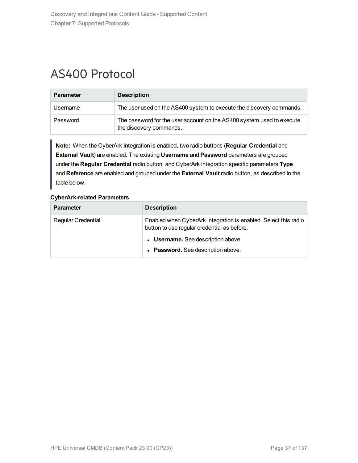# AS400 Protocol

| <b>Parameter</b> | <b>Description</b>                                                                               |
|------------------|--------------------------------------------------------------------------------------------------|
| Username         | The user used on the AS400 system to execute the discovery commands.                             |
| Password         | The password for the user account on the AS400 system used to execute<br>the discovery commands. |

**Note:** When the CyberArk integration is enabled, two radio buttons (**Regular Credential** and **External Vault**) are enabled. The existing **Username** and **Password** parameters are grouped under the **Regular Credential** radio button, and CyberArk integration specific parameters **Type** and **Reference** are enabled and grouped under the **External Vault** radio button, as described in the table below.

| <b>Parameter</b>          | <b>Description</b>                                                                                             |
|---------------------------|----------------------------------------------------------------------------------------------------------------|
| <b>Regular Credential</b> | Enabled when CyberArk integration is enabled. Select this radio<br>button to use regular credential as before. |
|                           | • Username. See description above.                                                                             |
|                           | • Password. See description above.                                                                             |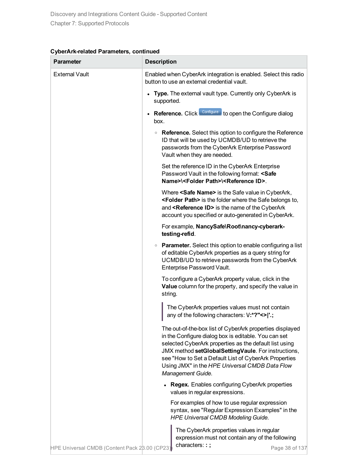| Parameter                                     | <b>Description</b>                                                                                                                                                                                                                                                                                                                                                |
|-----------------------------------------------|-------------------------------------------------------------------------------------------------------------------------------------------------------------------------------------------------------------------------------------------------------------------------------------------------------------------------------------------------------------------|
| <b>External Vault</b>                         | Enabled when CyberArk integration is enabled. Select this radio<br>button to use an external credential vault.                                                                                                                                                                                                                                                    |
|                                               | Type. The external vault type. Currently only CyberArk is<br>supported.                                                                                                                                                                                                                                                                                           |
|                                               | Reference. Click Configure to open the Configure dialog<br>box.                                                                                                                                                                                                                                                                                                   |
|                                               | • Reference. Select this option to configure the Reference<br>ID that will be used by UCMDB/UD to retrieve the<br>passwords from the CyberArk Enterprise Password<br>Vault when they are needed.                                                                                                                                                                  |
|                                               | Set the reference ID in the CyberArk Enterprise<br>Password Vault in the following format: <safe<br>Name&gt;\<folder path="">\<reference id="">.</reference></folder></safe<br>                                                                                                                                                                                   |
|                                               | Where <safe name=""> is the Safe value in CyberArk,<br/><folder path=""> is the folder where the Safe belongs to,<br/>and <reference id=""> is the name of the CyberArk<br/>account you specified or auto-generated in CyberArk.</reference></folder></safe>                                                                                                      |
|                                               | For example, NancySafe\Root\nancy-cyberark-<br>testing-refid.                                                                                                                                                                                                                                                                                                     |
|                                               | • Parameter. Select this option to enable configuring a list<br>of editable CyberArk properties as a query string for<br>UCMDB/UD to retrieve passwords from the CyberArk<br>Enterprise Password Vault.                                                                                                                                                           |
|                                               | To configure a CyberArk property value, click in the<br>Value column for the property, and specify the value in<br>string.                                                                                                                                                                                                                                        |
|                                               | The CyberArk properties values must not contain<br>any of the following characters: V:*?"<> '.;                                                                                                                                                                                                                                                                   |
|                                               | The out-of-the-box list of CyberArk properties displayed<br>in the Configure dialog box is editable. You can set<br>selected CyberArk properties as the default list using<br>JMX method setGlobalSettingVaule. For instructions,<br>see "How to Set a Default List of CyberArk Properties<br>Using JMX" in the HPE Universal CMDB Data Flow<br>Management Guide. |
|                                               | <b>Regex.</b> Enables configuring CyberArk properties<br>values in regular expressions.                                                                                                                                                                                                                                                                           |
|                                               | For examples of how to use regular expression<br>syntax, see "Regular Expression Examples" in the<br><b>HPE Universal CMDB Modeling Guide.</b>                                                                                                                                                                                                                    |
| HPE Universal CMDB (Content Pack 28.00 (CP23) | The CyberArk properties values in regular<br>expression must not contain any of the following<br>characters::;<br>Page 38 of 137                                                                                                                                                                                                                                  |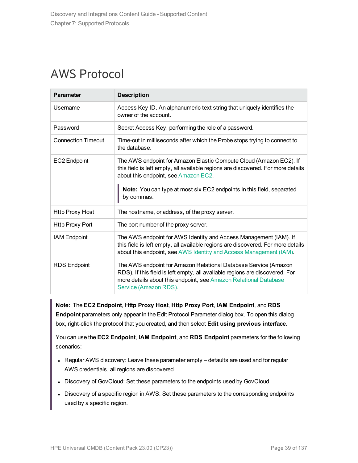# AWS Protocol

| <b>Parameter</b>          | <b>Description</b>                                                                                                                                                                                                                                                                    |
|---------------------------|---------------------------------------------------------------------------------------------------------------------------------------------------------------------------------------------------------------------------------------------------------------------------------------|
| Username                  | Access Key ID. An alphanumeric text string that uniquely identifies the<br>owner of the account.                                                                                                                                                                                      |
| Password                  | Secret Access Key, performing the role of a password.                                                                                                                                                                                                                                 |
| <b>Connection Timeout</b> | Time-out in milliseconds after which the Probe stops trying to connect to<br>the database.                                                                                                                                                                                            |
| <b>EC2 Endpoint</b>       | The AWS endpoint for Amazon Elastic Compute Cloud (Amazon EC2). If<br>this field is left empty, all available regions are discovered. For more details<br>about this endpoint, see Amazon EC2.<br>Note: You can type at most six EC2 endpoints in this field, separated<br>by commas. |
| <b>Http Proxy Host</b>    | The hostname, or address, of the proxy server.                                                                                                                                                                                                                                        |
| <b>Http Proxy Port</b>    | The port number of the proxy server.                                                                                                                                                                                                                                                  |
| <b>IAM Endpoint</b>       | The AWS endpoint for AWS Identity and Access Management (IAM). If<br>this field is left empty, all available regions are discovered. For more details<br>about this endpoint, see AWS Identity and Access Management (IAM).                                                           |
| <b>RDS Endpoint</b>       | The AWS endpoint for Amazon Relational Database Service (Amazon<br>RDS). If this field is left empty, all available regions are discovered. For<br>more details about this endpoint, see Amazon Relational Database<br>Service (Amazon RDS).                                          |

**Note:** The **EC2 Endpoint**, **Http Proxy Host**, **Http Proxy Port**, **IAM Endpoint**, and **RDS Endpoint** parameters only appear in the Edit Protocol Parameter dialog box. To open this dialog box, right-click the protocol that you created, and then select **Edit using previous interface**.

You can use the **EC2 Endpoint**, **IAM Endpoint**, and **RDS Endpoint** parameters for the following scenarios:

- Regular AWS discovery: Leave these parameter empty defaults are used and for regular AWS credentials, all regions are discovered.
- Discovery of GovCloud: Set these parameters to the endpoints used by GovCloud.
- Discovery of a specific region in AWS: Set these parameters to the corresponding endpoints used by a specific region.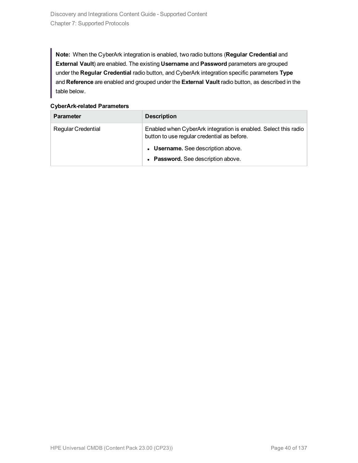**Note:** When the CyberArk integration is enabled, two radio buttons (**Regular Credential** and **External Vault**) are enabled. The existing **Username** and **Password** parameters are grouped under the **Regular Credential** radio button, and CyberArk integration specific parameters **Type** and **Reference** are enabled and grouped under the **External Vault** radio button, as described in the table below.

| <b>Parameter</b>          | <b>Description</b>                                                                                             |
|---------------------------|----------------------------------------------------------------------------------------------------------------|
| <b>Regular Credential</b> | Enabled when CyberArk integration is enabled. Select this radio<br>button to use regular credential as before. |
|                           | • Username. See description above.                                                                             |
|                           | • Password. See description above.                                                                             |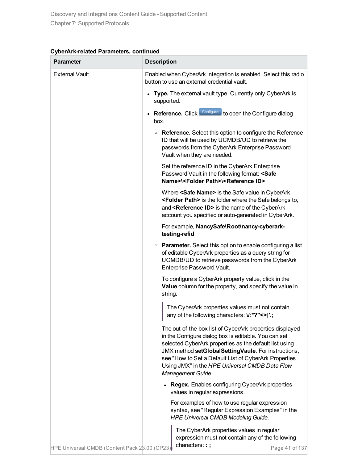| CyberArk-related Parameters, continued |  |  |
|----------------------------------------|--|--|
|----------------------------------------|--|--|

| Parameter                                     | <b>Description</b>                                                                                                                                                                                                                                                                                                                                                |
|-----------------------------------------------|-------------------------------------------------------------------------------------------------------------------------------------------------------------------------------------------------------------------------------------------------------------------------------------------------------------------------------------------------------------------|
| <b>External Vault</b>                         | Enabled when CyberArk integration is enabled. Select this radio<br>button to use an external credential vault.                                                                                                                                                                                                                                                    |
|                                               | Type. The external vault type. Currently only CyberArk is<br>supported.                                                                                                                                                                                                                                                                                           |
|                                               | Reference. Click Configure to open the Configure dialog<br>box.                                                                                                                                                                                                                                                                                                   |
|                                               | • Reference. Select this option to configure the Reference<br>ID that will be used by UCMDB/UD to retrieve the<br>passwords from the CyberArk Enterprise Password<br>Vault when they are needed.                                                                                                                                                                  |
|                                               | Set the reference ID in the CyberArk Enterprise<br>Password Vault in the following format: <safe<br>Name&gt;\<folder path="">\<reference id="">.</reference></folder></safe<br>                                                                                                                                                                                   |
|                                               | Where <safe name=""> is the Safe value in CyberArk,<br/><folder path=""> is the folder where the Safe belongs to,<br/>and <reference id=""> is the name of the CyberArk<br/>account you specified or auto-generated in CyberArk.</reference></folder></safe>                                                                                                      |
|                                               | For example, NancySafe\Root\nancy-cyberark-<br>testing-refid.                                                                                                                                                                                                                                                                                                     |
|                                               | • Parameter. Select this option to enable configuring a list<br>of editable CyberArk properties as a query string for<br>UCMDB/UD to retrieve passwords from the CyberArk<br>Enterprise Password Vault.                                                                                                                                                           |
|                                               | To configure a CyberArk property value, click in the<br>Value column for the property, and specify the value in<br>string.                                                                                                                                                                                                                                        |
|                                               | The CyberArk properties values must not contain<br>any of the following characters: V:*?"<> '.;                                                                                                                                                                                                                                                                   |
|                                               | The out-of-the-box list of CyberArk properties displayed<br>in the Configure dialog box is editable. You can set<br>selected CyberArk properties as the default list using<br>JMX method setGlobalSettingVaule. For instructions,<br>see "How to Set a Default List of CyberArk Properties<br>Using JMX" in the HPE Universal CMDB Data Flow<br>Management Guide. |
|                                               | <b>Regex.</b> Enables configuring CyberArk properties<br>values in regular expressions.                                                                                                                                                                                                                                                                           |
|                                               | For examples of how to use regular expression<br>syntax, see "Regular Expression Examples" in the<br><b>HPE Universal CMDB Modeling Guide.</b>                                                                                                                                                                                                                    |
| HPE Universal CMDB (Content Pack 28.00 (CP23) | The CyberArk properties values in regular<br>expression must not contain any of the following<br>characters::;<br>Page 41 of 137                                                                                                                                                                                                                                  |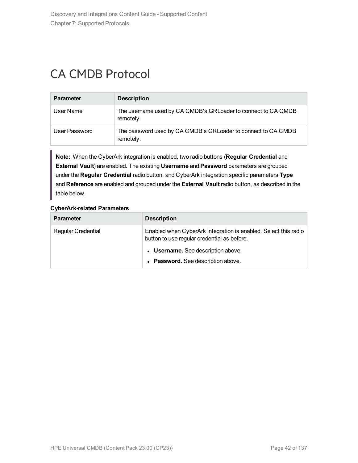# CA CMDB Protocol

| <b>Parameter</b> | <b>Description</b>                                                         |
|------------------|----------------------------------------------------------------------------|
| User Name        | The username used by CA CMDB's GRLoader to connect to CA CMDB<br>remotely. |
| User Password    | The password used by CA CMDB's GRLoader to connect to CA CMDB<br>remotely. |

**Note:** When the CyberArk integration is enabled, two radio buttons (**Regular Credential** and **External Vault**) are enabled. The existing **Username** and **Password** parameters are grouped under the **Regular Credential** radio button, and CyberArk integration specific parameters **Type** and **Reference** are enabled and grouped under the **External Vault** radio button, as described in the table below.

| <b>Parameter</b>          | <b>Description</b>                                                                                             |
|---------------------------|----------------------------------------------------------------------------------------------------------------|
| <b>Regular Credential</b> | Enabled when CyberArk integration is enabled. Select this radio<br>button to use regular credential as before. |
|                           | • Username. See description above.                                                                             |
|                           | • Password. See description above.                                                                             |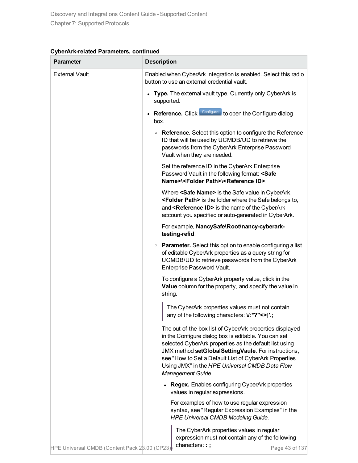| Parameter                                     | <b>Description</b>                                                                                                                                                                                                                                                                                                                                                |
|-----------------------------------------------|-------------------------------------------------------------------------------------------------------------------------------------------------------------------------------------------------------------------------------------------------------------------------------------------------------------------------------------------------------------------|
| <b>External Vault</b>                         | Enabled when CyberArk integration is enabled. Select this radio<br>button to use an external credential vault.                                                                                                                                                                                                                                                    |
|                                               | Type. The external vault type. Currently only CyberArk is<br>supported.                                                                                                                                                                                                                                                                                           |
|                                               | Reference. Click Configure to open the Configure dialog<br>box.                                                                                                                                                                                                                                                                                                   |
|                                               | • Reference. Select this option to configure the Reference<br>ID that will be used by UCMDB/UD to retrieve the<br>passwords from the CyberArk Enterprise Password<br>Vault when they are needed.                                                                                                                                                                  |
|                                               | Set the reference ID in the CyberArk Enterprise<br>Password Vault in the following format: <safe<br>Name&gt;\<folder path="">\<reference id="">.</reference></folder></safe<br>                                                                                                                                                                                   |
|                                               | Where <safe name=""> is the Safe value in CyberArk,<br/><folder path=""> is the folder where the Safe belongs to,<br/>and <reference id=""> is the name of the CyberArk<br/>account you specified or auto-generated in CyberArk.</reference></folder></safe>                                                                                                      |
|                                               | For example, NancySafe\Root\nancy-cyberark-<br>testing-refid.                                                                                                                                                                                                                                                                                                     |
|                                               | • Parameter. Select this option to enable configuring a list<br>of editable CyberArk properties as a query string for<br>UCMDB/UD to retrieve passwords from the CyberArk<br>Enterprise Password Vault.                                                                                                                                                           |
|                                               | To configure a CyberArk property value, click in the<br>Value column for the property, and specify the value in<br>string.                                                                                                                                                                                                                                        |
|                                               | The CyberArk properties values must not contain<br>any of the following characters: V:*?"<> '.;                                                                                                                                                                                                                                                                   |
|                                               | The out-of-the-box list of CyberArk properties displayed<br>in the Configure dialog box is editable. You can set<br>selected CyberArk properties as the default list using<br>JMX method setGlobalSettingVaule. For instructions,<br>see "How to Set a Default List of CyberArk Properties<br>Using JMX" in the HPE Universal CMDB Data Flow<br>Management Guide. |
|                                               | <b>Regex.</b> Enables configuring CyberArk properties<br>values in regular expressions.                                                                                                                                                                                                                                                                           |
|                                               | For examples of how to use regular expression<br>syntax, see "Regular Expression Examples" in the<br><b>HPE Universal CMDB Modeling Guide.</b>                                                                                                                                                                                                                    |
| HPE Universal CMDB (Content Pack 28.00 (CP23) | The CyberArk properties values in regular<br>expression must not contain any of the following<br>characters::;<br>Page 43 of 137                                                                                                                                                                                                                                  |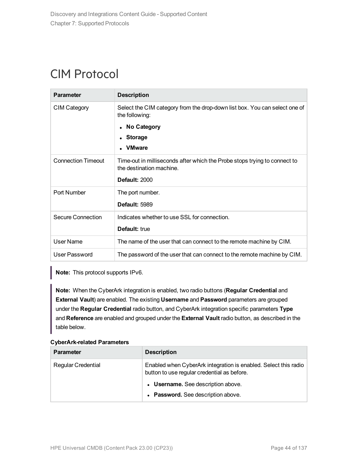# CIM Protocol

| <b>Parameter</b>          | <b>Description</b>                                                                                    |
|---------------------------|-------------------------------------------------------------------------------------------------------|
| <b>CIM Category</b>       | Select the CIM category from the drop-down list box. You can select one of<br>the following:          |
|                           | • No Category                                                                                         |
|                           | • Storage                                                                                             |
|                           | <b>VMware</b>                                                                                         |
| <b>Connection Timeout</b> | Time-out in milliseconds after which the Probe stops trying to connect to<br>the destination machine. |
|                           | <b>Default: 2000</b>                                                                                  |
| Port Number               | The port number.                                                                                      |
|                           | <b>Default: 5989</b>                                                                                  |
| Secure Connection         | Indicates whether to use SSL for connection.                                                          |
|                           | Default: true                                                                                         |
| User Name                 | The name of the user that can connect to the remote machine by CIM.                                   |
| User Password             | The password of the user that can connect to the remote machine by CIM.                               |

**Note:** This protocol supports IPv6.

**Note:** When the CyberArk integration is enabled, two radio buttons (**Regular Credential** and **External Vault**) are enabled. The existing **Username** and **Password** parameters are grouped under the **Regular Credential** radio button, and CyberArk integration specific parameters **Type** and **Reference** are enabled and grouped under the **External Vault** radio button, as described in the table below.

| <b>Parameter</b>          | <b>Description</b>                                                                                             |
|---------------------------|----------------------------------------------------------------------------------------------------------------|
| <b>Regular Credential</b> | Enabled when CyberArk integration is enabled. Select this radio<br>button to use regular credential as before. |
|                           | • Username. See description above.                                                                             |
|                           | • Password. See description above.                                                                             |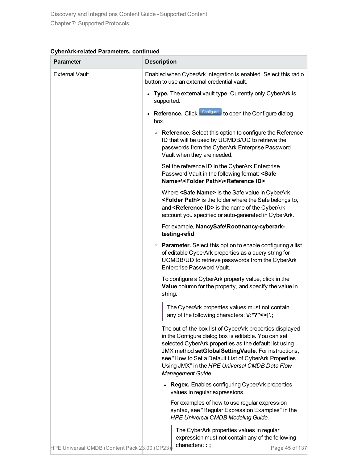| Parameter                                     | <b>Description</b>                                                                                                                                                                                                                                                                                                                                                |
|-----------------------------------------------|-------------------------------------------------------------------------------------------------------------------------------------------------------------------------------------------------------------------------------------------------------------------------------------------------------------------------------------------------------------------|
| <b>External Vault</b>                         | Enabled when CyberArk integration is enabled. Select this radio<br>button to use an external credential vault.                                                                                                                                                                                                                                                    |
|                                               | Type. The external vault type. Currently only CyberArk is<br>supported.                                                                                                                                                                                                                                                                                           |
|                                               | Reference. Click Configure to open the Configure dialog<br>box.                                                                                                                                                                                                                                                                                                   |
|                                               | • Reference. Select this option to configure the Reference<br>ID that will be used by UCMDB/UD to retrieve the<br>passwords from the CyberArk Enterprise Password<br>Vault when they are needed.                                                                                                                                                                  |
|                                               | Set the reference ID in the CyberArk Enterprise<br>Password Vault in the following format: <safe<br>Name&gt;\<folder path="">\<reference id="">.</reference></folder></safe<br>                                                                                                                                                                                   |
|                                               | Where <safe name=""> is the Safe value in CyberArk,<br/><folder path=""> is the folder where the Safe belongs to,<br/>and <reference id=""> is the name of the CyberArk<br/>account you specified or auto-generated in CyberArk.</reference></folder></safe>                                                                                                      |
|                                               | For example, NancySafe\Root\nancy-cyberark-<br>testing-refid.                                                                                                                                                                                                                                                                                                     |
|                                               | • Parameter. Select this option to enable configuring a list<br>of editable CyberArk properties as a query string for<br>UCMDB/UD to retrieve passwords from the CyberArk<br>Enterprise Password Vault.                                                                                                                                                           |
|                                               | To configure a CyberArk property value, click in the<br>Value column for the property, and specify the value in<br>string.                                                                                                                                                                                                                                        |
|                                               | The CyberArk properties values must not contain<br>any of the following characters: V:*?"<> '.;                                                                                                                                                                                                                                                                   |
|                                               | The out-of-the-box list of CyberArk properties displayed<br>in the Configure dialog box is editable. You can set<br>selected CyberArk properties as the default list using<br>JMX method setGlobalSettingVaule. For instructions,<br>see "How to Set a Default List of CyberArk Properties<br>Using JMX" in the HPE Universal CMDB Data Flow<br>Management Guide. |
|                                               | <b>Regex.</b> Enables configuring CyberArk properties<br>values in regular expressions.                                                                                                                                                                                                                                                                           |
|                                               | For examples of how to use regular expression<br>syntax, see "Regular Expression Examples" in the<br><b>HPE Universal CMDB Modeling Guide.</b>                                                                                                                                                                                                                    |
| HPE Universal CMDB (Content Pack 28.00 (CP23) | The CyberArk properties values in regular<br>expression must not contain any of the following<br>characters::;<br>Page 45 of 137                                                                                                                                                                                                                                  |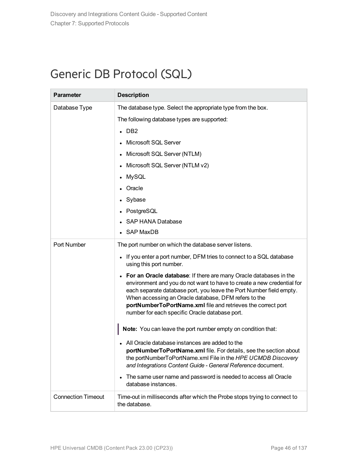# Generic DB Protocol (SQL)

| <b>Parameter</b>          | <b>Description</b>                                                                                                                                                                                                                                                                                                                                                                                        |
|---------------------------|-----------------------------------------------------------------------------------------------------------------------------------------------------------------------------------------------------------------------------------------------------------------------------------------------------------------------------------------------------------------------------------------------------------|
| Database Type             | The database type. Select the appropriate type from the box.                                                                                                                                                                                                                                                                                                                                              |
|                           | The following database types are supported:                                                                                                                                                                                                                                                                                                                                                               |
|                           | $\cdot$ DB2                                                                                                                                                                                                                                                                                                                                                                                               |
|                           | Microsoft SQL Server                                                                                                                                                                                                                                                                                                                                                                                      |
|                           | Microsoft SQL Server (NTLM)<br>$\bullet$                                                                                                                                                                                                                                                                                                                                                                  |
|                           | Microsoft SQL Server (NTLM v2)                                                                                                                                                                                                                                                                                                                                                                            |
|                           | <b>MySQL</b>                                                                                                                                                                                                                                                                                                                                                                                              |
|                           | Oracle                                                                                                                                                                                                                                                                                                                                                                                                    |
|                           | Sybase                                                                                                                                                                                                                                                                                                                                                                                                    |
|                           | PostgreSQL                                                                                                                                                                                                                                                                                                                                                                                                |
|                           | <b>SAP HANA Database</b>                                                                                                                                                                                                                                                                                                                                                                                  |
|                           | • SAP MaxDB                                                                                                                                                                                                                                                                                                                                                                                               |
| Port Number               | The port number on which the database server listens.                                                                                                                                                                                                                                                                                                                                                     |
|                           | • If you enter a port number, DFM tries to connect to a SQL database<br>using this port number.                                                                                                                                                                                                                                                                                                           |
|                           | For an Oracle database: If there are many Oracle databases in the<br>$\bullet$<br>environment and you do not want to have to create a new credential for<br>each separate database port, you leave the Port Number field empty.<br>When accessing an Oracle database, DFM refers to the<br>portNumberToPortName.xml file and retrieves the correct port<br>number for each specific Oracle database port. |
|                           | Note: You can leave the port number empty on condition that:                                                                                                                                                                                                                                                                                                                                              |
|                           | All Oracle database instances are added to the<br>portNumberToPortName.xml file. For details, see the section about<br>the portNumberToPortName.xml File in the HPE UCMDB Discovery<br>and Integrations Content Guide - General Reference document.                                                                                                                                                       |
|                           | The same user name and password is needed to access all Oracle<br>$\bullet$<br>database instances.                                                                                                                                                                                                                                                                                                        |
| <b>Connection Timeout</b> | Time-out in milliseconds after which the Probe stops trying to connect to<br>the database.                                                                                                                                                                                                                                                                                                                |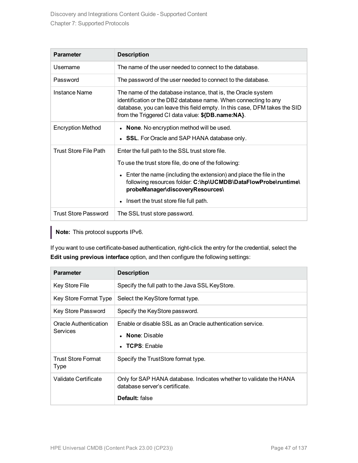| <b>Parameter</b>            | <b>Description</b>                                                                                                                                                                                                                                                 |
|-----------------------------|--------------------------------------------------------------------------------------------------------------------------------------------------------------------------------------------------------------------------------------------------------------------|
| Usemame                     | The name of the user needed to connect to the database.                                                                                                                                                                                                            |
| Password                    | The password of the user needed to connect to the database.                                                                                                                                                                                                        |
| Instance Name               | The name of the database instance, that is, the Oracle system<br>identification or the DB2 database name. When connecting to any<br>database, you can leave this field empty. In this case, DFM takes the SID<br>from the Triggered CI data value: \${DB.name:NA}. |
| <b>Encryption Method</b>    | None. No encryption method will be used.                                                                                                                                                                                                                           |
|                             | • SSL. For Oracle and SAP HANA database only.                                                                                                                                                                                                                      |
| Trust Store File Path       | Enter the full path to the SSL trust store file.                                                                                                                                                                                                                   |
|                             | To use the trust store file, do one of the following:                                                                                                                                                                                                              |
|                             | • Enter the name (including the extension) and place the file in the<br>following resources folder: C:\hp\UCMDB\DataFlowProbe\runtime\<br>probeManager\discoveryResources\                                                                                         |
|                             | Insert the trust store file full path.<br>$\bullet$                                                                                                                                                                                                                |
| <b>Trust Store Password</b> | The SSL trust store password.                                                                                                                                                                                                                                      |

**Note:** This protocol supports IPv6.

If you want to use certificate-based authentication, right-click the entry for the credential, select the **Edit using previous interface** option, and then configure the following settings:

| <b>Parameter</b>                  | <b>Description</b>                                                                                                        |
|-----------------------------------|---------------------------------------------------------------------------------------------------------------------------|
| <b>Key Store File</b>             | Specify the full path to the Java SSL KeyStore.                                                                           |
| Key Store Format Type             | Select the KeyStore format type.                                                                                          |
| Key Store Password                | Specify the KeyStore password.                                                                                            |
| Oracle Authentication<br>Services | Enable or disable SSL as an Oracle authentication service.<br><b>None: Disable</b><br>$\bullet$<br>$\bullet$ TCPS: Enable |
| Trust Store Format<br>Type        | Specify the TrustStore format type.                                                                                       |
| Validate Certificate              | Only for SAP HANA database. Indicates whether to validate the HANA<br>database server's certificate.<br>Default: false    |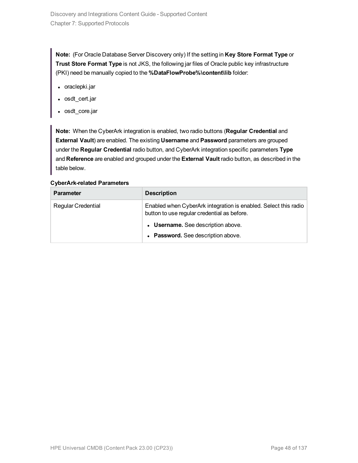**Note:** (For Oracle Database Server Discovery only) If the setting in **Key Store Format Type** or **Trust Store Format Type** is not JKS, the following jar files of Oracle public key infrastructure (PKI) need be manually copied to the **%DataFlowProbe%\content\lib** folder:

- oraclepki.jar
- osdt\_cert.jar
- osdt\_core.jar

**Note:** When the CyberArk integration is enabled, two radio buttons (**Regular Credential** and **External Vault**) are enabled. The existing **Username** and **Password** parameters are grouped under the **Regular Credential** radio button, and CyberArk integration specific parameters **Type** and **Reference** are enabled and grouped under the **External Vault** radio button, as described in the table below.

| <b>Parameter</b>          | <b>Description</b>                                                                                             |
|---------------------------|----------------------------------------------------------------------------------------------------------------|
| <b>Regular Credential</b> | Enabled when CyberArk integration is enabled. Select this radio<br>button to use regular credential as before. |
|                           | • Username. See description above.                                                                             |
|                           | • Password. See description above.                                                                             |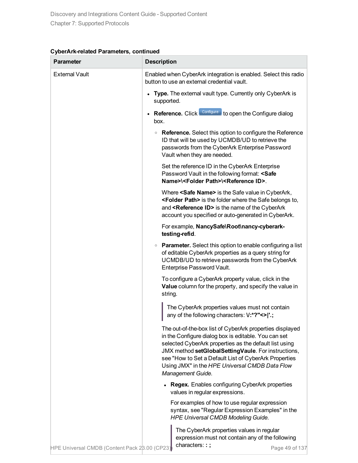| Parameter                                     | <b>Description</b>                                                                                                                                                                                                                                                                                                                                                |
|-----------------------------------------------|-------------------------------------------------------------------------------------------------------------------------------------------------------------------------------------------------------------------------------------------------------------------------------------------------------------------------------------------------------------------|
| <b>External Vault</b>                         | Enabled when CyberArk integration is enabled. Select this radio<br>button to use an external credential vault.                                                                                                                                                                                                                                                    |
|                                               | Type. The external vault type. Currently only CyberArk is<br>supported.                                                                                                                                                                                                                                                                                           |
|                                               | Reference. Click Configure to open the Configure dialog<br>box.                                                                                                                                                                                                                                                                                                   |
|                                               | • Reference. Select this option to configure the Reference<br>ID that will be used by UCMDB/UD to retrieve the<br>passwords from the CyberArk Enterprise Password<br>Vault when they are needed.                                                                                                                                                                  |
|                                               | Set the reference ID in the CyberArk Enterprise<br>Password Vault in the following format: <safe<br>Name&gt;\<folder path="">\<reference id="">.</reference></folder></safe<br>                                                                                                                                                                                   |
|                                               | Where <safe name=""> is the Safe value in CyberArk,<br/><folder path=""> is the folder where the Safe belongs to,<br/>and <reference id=""> is the name of the CyberArk<br/>account you specified or auto-generated in CyberArk.</reference></folder></safe>                                                                                                      |
|                                               | For example, NancySafe\Root\nancy-cyberark-<br>testing-refid.                                                                                                                                                                                                                                                                                                     |
|                                               | • Parameter. Select this option to enable configuring a list<br>of editable CyberArk properties as a query string for<br>UCMDB/UD to retrieve passwords from the CyberArk<br>Enterprise Password Vault.                                                                                                                                                           |
|                                               | To configure a CyberArk property value, click in the<br>Value column for the property, and specify the value in<br>string.                                                                                                                                                                                                                                        |
|                                               | The CyberArk properties values must not contain<br>any of the following characters: V:*?"<> '.;                                                                                                                                                                                                                                                                   |
|                                               | The out-of-the-box list of CyberArk properties displayed<br>in the Configure dialog box is editable. You can set<br>selected CyberArk properties as the default list using<br>JMX method setGlobalSettingVaule. For instructions,<br>see "How to Set a Default List of CyberArk Properties<br>Using JMX" in the HPE Universal CMDB Data Flow<br>Management Guide. |
|                                               | <b>Regex.</b> Enables configuring CyberArk properties<br>values in regular expressions.                                                                                                                                                                                                                                                                           |
|                                               | For examples of how to use regular expression<br>syntax, see "Regular Expression Examples" in the<br><b>HPE Universal CMDB Modeling Guide.</b>                                                                                                                                                                                                                    |
| HPE Universal CMDB (Content Pack 28.00 (CP23) | The CyberArk properties values in regular<br>expression must not contain any of the following<br>characters::;<br>Page 49 of 137                                                                                                                                                                                                                                  |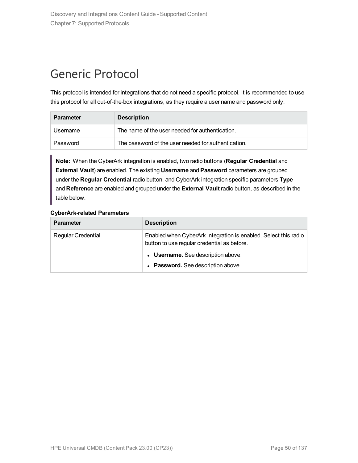# Generic Protocol

This protocol is intended for integrations that do not need a specific protocol. It is recommended to use this protocol for all out-of-the-box integrations, as they require a user name and password only.

| <b>Parameter</b> | <b>Description</b>                                  |
|------------------|-----------------------------------------------------|
| Username         | The name of the user needed for authentication.     |
| Password         | The password of the user needed for authentication. |

**Note:** When the CyberArk integration is enabled, two radio buttons (**Regular Credential** and **External Vault**) are enabled. The existing **Username** and **Password** parameters are grouped under the **Regular Credential** radio button, and CyberArk integration specific parameters **Type** and **Reference** are enabled and grouped under the **External Vault** radio button, as described in the table below.

| <b>Parameter</b>          | <b>Description</b>                                                                                             |
|---------------------------|----------------------------------------------------------------------------------------------------------------|
| <b>Regular Credential</b> | Enabled when CyberArk integration is enabled. Select this radio<br>button to use regular credential as before. |
|                           | • Username. See description above.                                                                             |
|                           | • Password. See description above.                                                                             |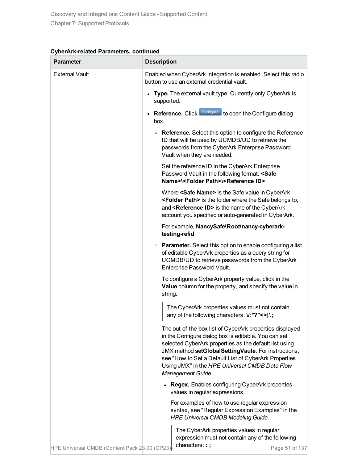| Parameter                                     | <b>Description</b>                                                                                                                                                                                                                                                                                                                                                |
|-----------------------------------------------|-------------------------------------------------------------------------------------------------------------------------------------------------------------------------------------------------------------------------------------------------------------------------------------------------------------------------------------------------------------------|
| <b>External Vault</b>                         | Enabled when CyberArk integration is enabled. Select this radio<br>button to use an external credential vault.                                                                                                                                                                                                                                                    |
|                                               | Type. The external vault type. Currently only CyberArk is<br>supported.                                                                                                                                                                                                                                                                                           |
|                                               | Reference. Click Configure to open the Configure dialog<br>box.                                                                                                                                                                                                                                                                                                   |
|                                               | • Reference. Select this option to configure the Reference<br>ID that will be used by UCMDB/UD to retrieve the<br>passwords from the CyberArk Enterprise Password<br>Vault when they are needed.                                                                                                                                                                  |
|                                               | Set the reference ID in the CyberArk Enterprise<br>Password Vault in the following format: <safe<br>Name&gt;\<folder path="">\<reference id="">.</reference></folder></safe<br>                                                                                                                                                                                   |
|                                               | Where <safe name=""> is the Safe value in CyberArk,<br/><folder path=""> is the folder where the Safe belongs to,<br/>and <reference id=""> is the name of the CyberArk<br/>account you specified or auto-generated in CyberArk.</reference></folder></safe>                                                                                                      |
|                                               | For example, NancySafe\Root\nancy-cyberark-<br>testing-refid.                                                                                                                                                                                                                                                                                                     |
|                                               | • Parameter. Select this option to enable configuring a list<br>of editable CyberArk properties as a query string for<br>UCMDB/UD to retrieve passwords from the CyberArk<br>Enterprise Password Vault.                                                                                                                                                           |
|                                               | To configure a CyberArk property value, click in the<br>Value column for the property, and specify the value in<br>string.                                                                                                                                                                                                                                        |
|                                               | The CyberArk properties values must not contain<br>any of the following characters: V:*?"<> '.;                                                                                                                                                                                                                                                                   |
|                                               | The out-of-the-box list of CyberArk properties displayed<br>in the Configure dialog box is editable. You can set<br>selected CyberArk properties as the default list using<br>JMX method setGlobalSettingVaule. For instructions,<br>see "How to Set a Default List of CyberArk Properties<br>Using JMX" in the HPE Universal CMDB Data Flow<br>Management Guide. |
|                                               | <b>Regex.</b> Enables configuring CyberArk properties<br>values in regular expressions.                                                                                                                                                                                                                                                                           |
|                                               | For examples of how to use regular expression<br>syntax, see "Regular Expression Examples" in the<br><b>HPE Universal CMDB Modeling Guide.</b>                                                                                                                                                                                                                    |
| HPE Universal CMDB (Content Pack 28.00 (CP23) | The CyberArk properties values in regular<br>expression must not contain any of the following<br>characters::;<br>Page 51 of 137                                                                                                                                                                                                                                  |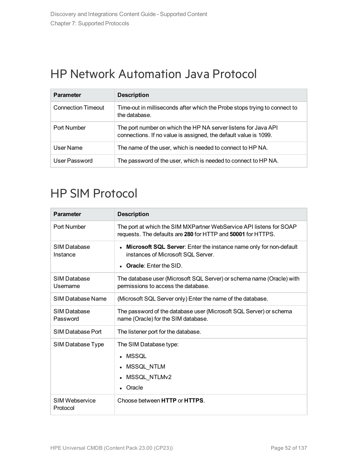# HP Network Automation Java Protocol

| <b>Parameter</b>          | <b>Description</b>                                                                                                                 |
|---------------------------|------------------------------------------------------------------------------------------------------------------------------------|
| <b>Connection Timeout</b> | Time-out in milliseconds after which the Probe stops trying to connect to<br>the database.                                         |
| Port Number               | The port number on which the HP NA server listens for Java API<br>connections. If no value is assigned, the default value is 1099. |
| User Name                 | The name of the user, which is needed to connect to HP NA.                                                                         |
| User Password             | The password of the user, which is needed to connect to HP NA.                                                                     |

# HP SIM Protocol

| <b>Parameter</b>           | <b>Description</b>                                                                                                                               |
|----------------------------|--------------------------------------------------------------------------------------------------------------------------------------------------|
| Port Number                | The port at which the SIM MXPartner WebService API listens for SOAP<br>requests. The defaults are 280 for HTTP and 50001 for HTTPS.              |
| SIM Database<br>Instance   | <b>Microsoft SQL Server:</b> Enter the instance name only for non-default<br>instances of Microsoft SQL Server.<br><b>Oracle:</b> Enter the SID. |
| SIM Database<br>Usemame    | The database user (Microsoft SQL Server) or schema name (Oracle) with<br>permissions to access the database.                                     |
| SIM Database Name          | (Microsoft SQL Server only) Enter the name of the database.                                                                                      |
| SIM Database<br>Password   | The password of the database user (Microsoft SQL Server) or schema<br>name (Oracle) for the SIM database.                                        |
| SIM Database Port          | The listener port for the database.                                                                                                              |
| SIM Database Type          | The SIM Database type:<br>MSSOL<br>MSSQL_NTLM<br>MSSQL_NTLMv2<br>$\bullet$<br>Oracle                                                             |
| SIM Webservice<br>Protocol | Choose between HTTP or HTTPS.                                                                                                                    |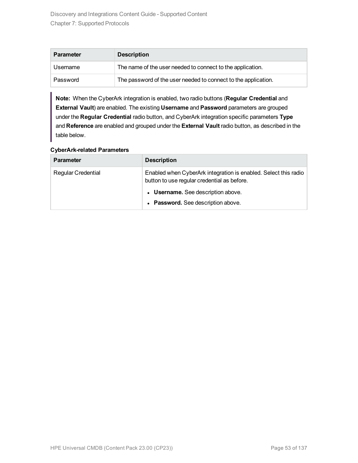| <b>Parameter</b> | <b>Description</b>                                             |
|------------------|----------------------------------------------------------------|
| Username         | The name of the user needed to connect to the application.     |
| Password         | The password of the user needed to connect to the application. |

**Note:** When the CyberArk integration is enabled, two radio buttons (**Regular Credential** and **External Vault**) are enabled. The existing **Username** and **Password** parameters are grouped under the **Regular Credential** radio button, and CyberArk integration specific parameters **Type** and **Reference** are enabled and grouped under the **External Vault** radio button, as described in the table below.

| <b>Parameter</b>          | <b>Description</b>                                                                                             |
|---------------------------|----------------------------------------------------------------------------------------------------------------|
| <b>Regular Credential</b> | Enabled when CyberArk integration is enabled. Select this radio<br>button to use regular credential as before. |
|                           | • Username. See description above.                                                                             |
|                           | • Password. See description above.                                                                             |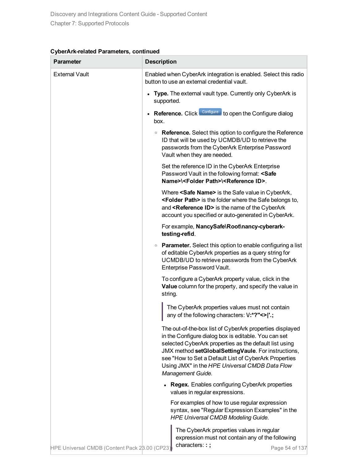| Parameter                                     | <b>Description</b>                                                                                                                                                                                                                                                                                                                                                |
|-----------------------------------------------|-------------------------------------------------------------------------------------------------------------------------------------------------------------------------------------------------------------------------------------------------------------------------------------------------------------------------------------------------------------------|
| <b>External Vault</b>                         | Enabled when CyberArk integration is enabled. Select this radio<br>button to use an external credential vault.                                                                                                                                                                                                                                                    |
|                                               | Type. The external vault type. Currently only CyberArk is<br>supported.                                                                                                                                                                                                                                                                                           |
|                                               | Reference. Click Configure to open the Configure dialog<br>box.                                                                                                                                                                                                                                                                                                   |
|                                               | • Reference. Select this option to configure the Reference<br>ID that will be used by UCMDB/UD to retrieve the<br>passwords from the CyberArk Enterprise Password<br>Vault when they are needed.                                                                                                                                                                  |
|                                               | Set the reference ID in the CyberArk Enterprise<br>Password Vault in the following format: <safe<br>Name&gt;\<folder path="">\<reference id="">.</reference></folder></safe<br>                                                                                                                                                                                   |
|                                               | Where <safe name=""> is the Safe value in CyberArk,<br/><folder path=""> is the folder where the Safe belongs to,<br/>and <reference id=""> is the name of the CyberArk<br/>account you specified or auto-generated in CyberArk.</reference></folder></safe>                                                                                                      |
|                                               | For example, NancySafe\Root\nancy-cyberark-<br>testing-refid.                                                                                                                                                                                                                                                                                                     |
|                                               | • Parameter. Select this option to enable configuring a list<br>of editable CyberArk properties as a query string for<br>UCMDB/UD to retrieve passwords from the CyberArk<br>Enterprise Password Vault.                                                                                                                                                           |
|                                               | To configure a CyberArk property value, click in the<br>Value column for the property, and specify the value in<br>string.                                                                                                                                                                                                                                        |
|                                               | The CyberArk properties values must not contain<br>any of the following characters: V:*?"<> '.;                                                                                                                                                                                                                                                                   |
|                                               | The out-of-the-box list of CyberArk properties displayed<br>in the Configure dialog box is editable. You can set<br>selected CyberArk properties as the default list using<br>JMX method setGlobalSettingVaule. For instructions,<br>see "How to Set a Default List of CyberArk Properties<br>Using JMX" in the HPE Universal CMDB Data Flow<br>Management Guide. |
|                                               | <b>Regex.</b> Enables configuring CyberArk properties<br>values in regular expressions.                                                                                                                                                                                                                                                                           |
|                                               | For examples of how to use regular expression<br>syntax, see "Regular Expression Examples" in the<br><b>HPE Universal CMDB Modeling Guide.</b>                                                                                                                                                                                                                    |
| HPE Universal CMDB (Content Pack 28.00 (CP23) | The CyberArk properties values in regular<br>expression must not contain any of the following<br>characters::;<br>Page 54 of 137                                                                                                                                                                                                                                  |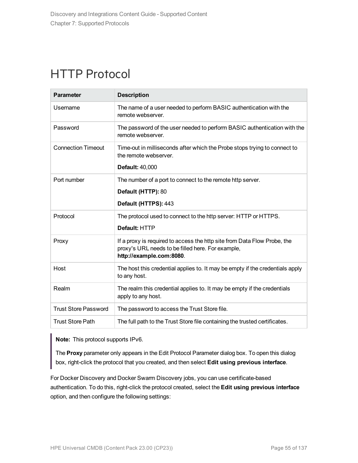### HTTP Protocol

| <b>Parameter</b>            | <b>Description</b>                                                                                                                                        |
|-----------------------------|-----------------------------------------------------------------------------------------------------------------------------------------------------------|
| Username                    | The name of a user needed to perform BASIC authentication with the<br>remote webserver.                                                                   |
| Password                    | The password of the user needed to perform BASIC authentication with the<br>remote webserver.                                                             |
| <b>Connection Timeout</b>   | Time-out in milliseconds after which the Probe stops trying to connect to<br>the remote webserver.                                                        |
|                             | <b>Default: 40,000</b>                                                                                                                                    |
| Port number                 | The number of a port to connect to the remote http server.                                                                                                |
|                             | Default (HTTP): 80                                                                                                                                        |
|                             | Default (HTTPS): 443                                                                                                                                      |
| Protocol                    | The protocol used to connect to the http server: HTTP or HTTPS.                                                                                           |
|                             | Default: HTTP                                                                                                                                             |
| Proxy                       | If a proxy is required to access the http site from Data Flow Probe, the<br>proxy's URL needs to be filled here. For example,<br>http://example.com:8080. |
| Host                        | The host this credential applies to. It may be empty if the credentials apply<br>to any host.                                                             |
| Realm                       | The realm this credential applies to. It may be empty if the credentials<br>apply to any host.                                                            |
| <b>Trust Store Password</b> | The password to access the Trust Store file.                                                                                                              |
| <b>Trust Store Path</b>     | The full path to the Trust Store file containing the trusted certificates.                                                                                |

**Note:** This protocol supports IPv6.

The **Proxy** parameter only appears in the Edit Protocol Parameter dialog box. To open this dialog box, right-click the protocol that you created, and then select **Edit using previous interface**.

For Docker Discovery and Docker Swarm Discovery jobs, you can use certificate-based authentication. To do this, right-click the protocol created, select the **Edit using previous interface** option, and then configure the following settings: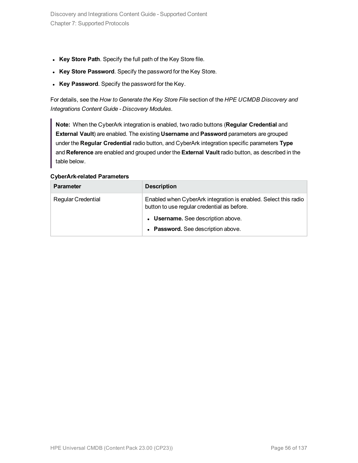- **Key Store Path**. Specify the full path of the Key Store file.
- **Key Store Password**. Specify the password for the Key Store.
- **Key Password**. Specify the password for the Key.

For details, see the *How to Generate the Key Store File* section of the *HPE UCMDB Discovery and Integrations Content Guide - Discovery Modules*.

**Note:** When the CyberArk integration is enabled, two radio buttons (**Regular Credential** and **External Vault**) are enabled. The existing **Username** and **Password** parameters are grouped under the **Regular Credential** radio button, and CyberArk integration specific parameters **Type** and **Reference** are enabled and grouped under the **External Vault** radio button, as described in the table below.

| <b>Parameter</b>          | <b>Description</b>                                                                                             |
|---------------------------|----------------------------------------------------------------------------------------------------------------|
| <b>Regular Credential</b> | Enabled when CyberArk integration is enabled. Select this radio<br>button to use regular credential as before. |
|                           | • Username. See description above.                                                                             |
|                           | • Password. See description above.                                                                             |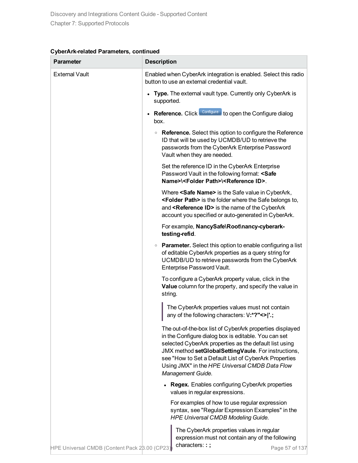| Parameter                                     | <b>Description</b>                                                                                                                                                                                                                                                                                                                                                |
|-----------------------------------------------|-------------------------------------------------------------------------------------------------------------------------------------------------------------------------------------------------------------------------------------------------------------------------------------------------------------------------------------------------------------------|
| <b>External Vault</b>                         | Enabled when CyberArk integration is enabled. Select this radio<br>button to use an external credential vault.                                                                                                                                                                                                                                                    |
|                                               | Type. The external vault type. Currently only CyberArk is<br>supported.                                                                                                                                                                                                                                                                                           |
|                                               | Reference. Click Configure to open the Configure dialog<br>box.                                                                                                                                                                                                                                                                                                   |
|                                               | • Reference. Select this option to configure the Reference<br>ID that will be used by UCMDB/UD to retrieve the<br>passwords from the CyberArk Enterprise Password<br>Vault when they are needed.                                                                                                                                                                  |
|                                               | Set the reference ID in the CyberArk Enterprise<br>Password Vault in the following format: <safe<br>Name&gt;\<folder path="">\<reference id="">.</reference></folder></safe<br>                                                                                                                                                                                   |
|                                               | Where <safe name=""> is the Safe value in CyberArk,<br/><folder path=""> is the folder where the Safe belongs to,<br/>and <reference id=""> is the name of the CyberArk<br/>account you specified or auto-generated in CyberArk.</reference></folder></safe>                                                                                                      |
|                                               | For example, NancySafe\Root\nancy-cyberark-<br>testing-refid.                                                                                                                                                                                                                                                                                                     |
|                                               | • Parameter. Select this option to enable configuring a list<br>of editable CyberArk properties as a query string for<br>UCMDB/UD to retrieve passwords from the CyberArk<br>Enterprise Password Vault.                                                                                                                                                           |
|                                               | To configure a CyberArk property value, click in the<br>Value column for the property, and specify the value in<br>string.                                                                                                                                                                                                                                        |
|                                               | The CyberArk properties values must not contain<br>any of the following characters: V:*?"<> '.;                                                                                                                                                                                                                                                                   |
|                                               | The out-of-the-box list of CyberArk properties displayed<br>in the Configure dialog box is editable. You can set<br>selected CyberArk properties as the default list using<br>JMX method setGlobalSettingVaule. For instructions,<br>see "How to Set a Default List of CyberArk Properties<br>Using JMX" in the HPE Universal CMDB Data Flow<br>Management Guide. |
|                                               | <b>Regex.</b> Enables configuring CyberArk properties<br>values in regular expressions.                                                                                                                                                                                                                                                                           |
|                                               | For examples of how to use regular expression<br>syntax, see "Regular Expression Examples" in the<br><b>HPE Universal CMDB Modeling Guide.</b>                                                                                                                                                                                                                    |
| HPE Universal CMDB (Content Pack 28.00 (CP23) | The CyberArk properties values in regular<br>expression must not contain any of the following<br>characters::;<br>Page 57 of 137                                                                                                                                                                                                                                  |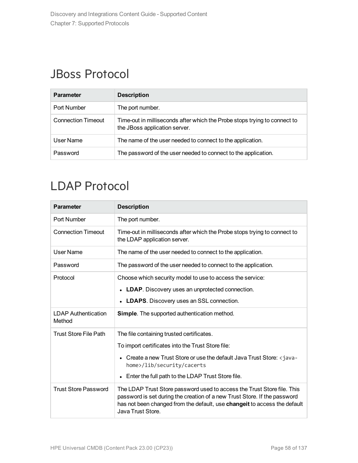# JBoss Protocol

| <b>Parameter</b>          | <b>Description</b>                                                                                         |
|---------------------------|------------------------------------------------------------------------------------------------------------|
| Port Number               | The port number.                                                                                           |
| <b>Connection Timeout</b> | Time-out in milliseconds after which the Probe stops trying to connect to<br>the JBoss application server. |
| User Name                 | The name of the user needed to connect to the application.                                                 |
| Password                  | The password of the user needed to connect to the application.                                             |

# LDAP Protocol

| <b>Parameter</b>                     | <b>Description</b>                                                                                                                                                                                                                                     |
|--------------------------------------|--------------------------------------------------------------------------------------------------------------------------------------------------------------------------------------------------------------------------------------------------------|
| Port Number                          | The port number.                                                                                                                                                                                                                                       |
| <b>Connection Timeout</b>            | Time-out in milliseconds after which the Probe stops trying to connect to<br>the LDAP application server.                                                                                                                                              |
| <b>User Name</b>                     | The name of the user needed to connect to the application.                                                                                                                                                                                             |
| Password                             | The password of the user needed to connect to the application.                                                                                                                                                                                         |
| Protocol                             | Choose which security model to use to access the service:                                                                                                                                                                                              |
|                                      | <b>LDAP.</b> Discovery uses an unprotected connection.<br>$\bullet$                                                                                                                                                                                    |
|                                      | <b>LDAPS.</b> Discovery uses an SSL connection.                                                                                                                                                                                                        |
| <b>LDAP Authentication</b><br>Method | <b>Simple.</b> The supported authentication method.                                                                                                                                                                                                    |
| Trust Store File Path                | The file containing trusted certificates.                                                                                                                                                                                                              |
|                                      | To import certificates into the Trust Store file:                                                                                                                                                                                                      |
|                                      | Create a new Trust Store or use the default Java Trust Store: <java-<br>home&gt;/lib/security/cacerts</java-<br>                                                                                                                                       |
|                                      | Enter the full path to the LDAP Trust Store file.<br>$\bullet$                                                                                                                                                                                         |
| <b>Trust Store Password</b>          | The LDAP Trust Store password used to access the Trust Store file. This<br>password is set during the creation of a new Trust Store. If the password<br>has not been changed from the default, use changeit to access the default<br>Java Trust Store. |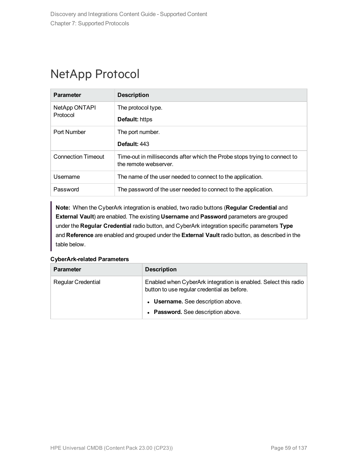### NetApp Protocol

| <b>Parameter</b>          | <b>Description</b>                                                                                 |
|---------------------------|----------------------------------------------------------------------------------------------------|
| NetApp ONTAPI<br>Protocol | The protocol type.                                                                                 |
|                           | <b>Default:</b> https                                                                              |
| Port Number               | The port number.                                                                                   |
|                           | Default: 443                                                                                       |
| Connection Timeout        | Time-out in milliseconds after which the Probe stops trying to connect to<br>the remote webserver. |
| Username                  | The name of the user needed to connect to the application.                                         |
| Password                  | The password of the user needed to connect to the application.                                     |

**Note:** When the CyberArk integration is enabled, two radio buttons (**Regular Credential** and **External Vault**) are enabled. The existing **Username** and **Password** parameters are grouped under the **Regular Credential** radio button, and CyberArk integration specific parameters **Type** and **Reference** are enabled and grouped under the **External Vault** radio button, as described in the table below.

| <b>Parameter</b>          | <b>Description</b>                                                                                             |
|---------------------------|----------------------------------------------------------------------------------------------------------------|
| <b>Regular Credential</b> | Enabled when CyberArk integration is enabled. Select this radio<br>button to use regular credential as before. |
|                           | • Username. See description above.                                                                             |
|                           | • Password. See description above.                                                                             |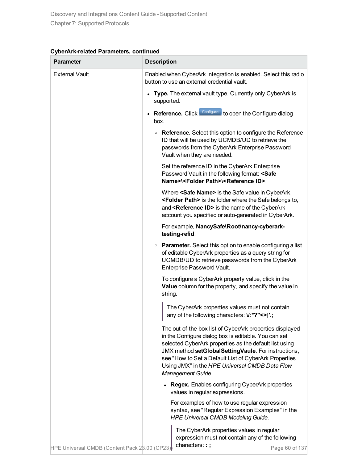| CyberArk-related Parameters, continued |  |  |
|----------------------------------------|--|--|
|----------------------------------------|--|--|

| Parameter                                     | <b>Description</b>                                                                                                                                                                                                                                                                                                                                                |
|-----------------------------------------------|-------------------------------------------------------------------------------------------------------------------------------------------------------------------------------------------------------------------------------------------------------------------------------------------------------------------------------------------------------------------|
| <b>External Vault</b>                         | Enabled when CyberArk integration is enabled. Select this radio<br>button to use an external credential vault.                                                                                                                                                                                                                                                    |
|                                               | Type. The external vault type. Currently only CyberArk is<br>supported.                                                                                                                                                                                                                                                                                           |
|                                               | Reference. Click Configure to open the Configure dialog<br>box.                                                                                                                                                                                                                                                                                                   |
|                                               | • Reference. Select this option to configure the Reference<br>ID that will be used by UCMDB/UD to retrieve the<br>passwords from the CyberArk Enterprise Password<br>Vault when they are needed.                                                                                                                                                                  |
|                                               | Set the reference ID in the CyberArk Enterprise<br>Password Vault in the following format: <safe<br>Name&gt;\<folder path="">\<reference id="">.</reference></folder></safe<br>                                                                                                                                                                                   |
|                                               | Where <safe name=""> is the Safe value in CyberArk,<br/><folder path=""> is the folder where the Safe belongs to,<br/>and <reference id=""> is the name of the CyberArk<br/>account you specified or auto-generated in CyberArk.</reference></folder></safe>                                                                                                      |
|                                               | For example, NancySafe\Root\nancy-cyberark-<br>testing-refid.                                                                                                                                                                                                                                                                                                     |
|                                               | • Parameter. Select this option to enable configuring a list<br>of editable CyberArk properties as a query string for<br>UCMDB/UD to retrieve passwords from the CyberArk<br>Enterprise Password Vault.                                                                                                                                                           |
|                                               | To configure a CyberArk property value, click in the<br>Value column for the property, and specify the value in<br>string.                                                                                                                                                                                                                                        |
|                                               | The CyberArk properties values must not contain<br>any of the following characters: V:*?"<> '.;                                                                                                                                                                                                                                                                   |
|                                               | The out-of-the-box list of CyberArk properties displayed<br>in the Configure dialog box is editable. You can set<br>selected CyberArk properties as the default list using<br>JMX method setGlobalSettingVaule. For instructions,<br>see "How to Set a Default List of CyberArk Properties<br>Using JMX" in the HPE Universal CMDB Data Flow<br>Management Guide. |
|                                               | <b>Regex.</b> Enables configuring CyberArk properties<br>values in regular expressions.                                                                                                                                                                                                                                                                           |
|                                               | For examples of how to use regular expression<br>syntax, see "Regular Expression Examples" in the<br><b>HPE Universal CMDB Modeling Guide.</b>                                                                                                                                                                                                                    |
| HPE Universal CMDB (Content Pack 28.00 (CP23) | The CyberArk properties values in regular<br>expression must not contain any of the following<br>characters::;<br>Page 60 of 137                                                                                                                                                                                                                                  |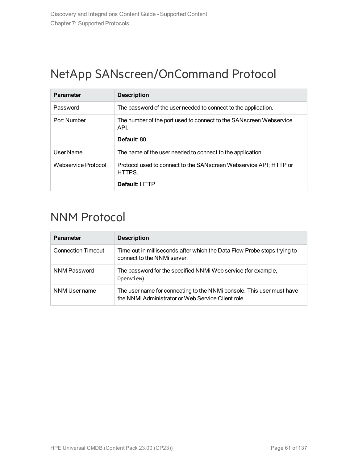# NetApp SANscreen/OnCommand Protocol

| <b>Parameter</b>    | <b>Description</b>                                                                        |
|---------------------|-------------------------------------------------------------------------------------------|
| Password            | The password of the user needed to connect to the application.                            |
| Port Number         | The number of the port used to connect to the SANscreen Webservice<br>API.<br>Default: 80 |
| User Name           | The name of the user needed to connect to the application.                                |
| Webservice Protocol | Protocol used to connect to the SANscreen Webservice API; HTTP or<br>HTTPS.               |
|                     | Default: HTTP                                                                             |

### NNM Protocol

| <b>Parameter</b>          | <b>Description</b>                                                                                                          |
|---------------------------|-----------------------------------------------------------------------------------------------------------------------------|
| <b>Connection Timeout</b> | Time-out in milliseconds after which the Data Flow Probe stops trying to<br>connect to the NNMi server.                     |
| NNM Password              | The password for the specified NNM Web service (for example,<br>Openview).                                                  |
| NNM User name             | The user name for connecting to the NNMI console. This user must have<br>the NNMi Administrator or Web Service Client role. |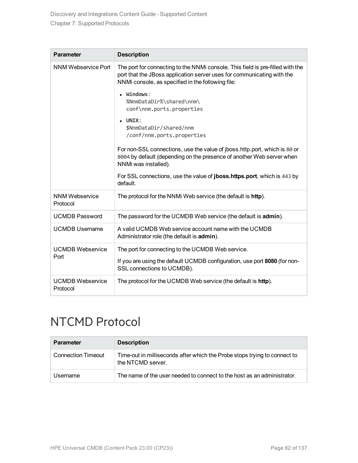| <b>Parameter</b>                    | <b>Description</b>                                                                                                                                                                                            |
|-------------------------------------|---------------------------------------------------------------------------------------------------------------------------------------------------------------------------------------------------------------|
| NNM Webservice Port                 | The port for connecting to the NNMi console. This field is pre-filled with the<br>port that the JBoss application server uses for communicating with the<br>NNMi console, as specified in the following file: |
|                                     | Windows:<br>$\bullet$<br>%NnmDataDir%\shared\nnm\<br>conf\nnm.ports.properties                                                                                                                                |
|                                     | UNIX:<br>$\bullet$<br>\$NnmDataDir/shared/nnm<br>/conf/nnm.ports.properties                                                                                                                                   |
|                                     | For non-SSL connections, use the value of jboss.http.port, which is 80 or<br>8004 by default (depending on the presence of another Web server when<br>NNMi was installed).                                    |
|                                     | For SSL connections, use the value of <b>jboss.https.port</b> , which is 443 by<br>default.                                                                                                                   |
| <b>NNM Webservice</b><br>Protocol   | The protocol for the NNMi Web service (the default is http).                                                                                                                                                  |
| <b>UCMDB Password</b>               | The password for the UCMDB Web service (the default is admin).                                                                                                                                                |
| <b>UCMDB</b> Username               | A valid UCMDB Web service account name with the UCMDB<br>Administrator role (the default is admin).                                                                                                           |
| <b>UCMDB Webservice</b><br>Port     | The port for connecting to the UCMDB Web service.                                                                                                                                                             |
|                                     | If you are using the default UCMDB configuration, use port 8080 (for non-<br>SSL connections to UCMDB).                                                                                                       |
| <b>UCMDB Webservice</b><br>Protocol | The protocol for the UCMDB Web service (the default is http).                                                                                                                                                 |

# NTCMD Protocol

| <b>Parameter</b>          | <b>Description</b>                                                                             |
|---------------------------|------------------------------------------------------------------------------------------------|
| <b>Connection Timeout</b> | Time-out in milliseconds after which the Probe stops trying to connect to<br>the NTCMD server. |
| Username                  | The name of the user needed to connect to the host as an administrator.                        |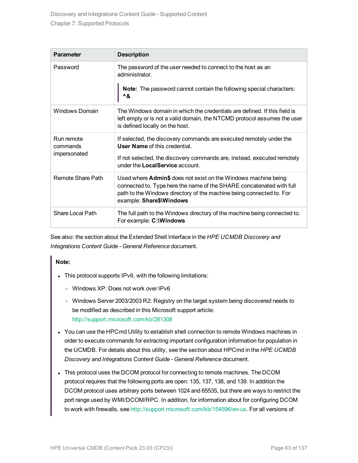| <b>Parameter</b>       | <b>Description</b>                                                                                                                                                                                                                         |
|------------------------|--------------------------------------------------------------------------------------------------------------------------------------------------------------------------------------------------------------------------------------------|
| Password               | The password of the user needed to connect to the host as an<br>administrator.                                                                                                                                                             |
|                        | <b>Note:</b> The password cannot contain the following special characters:<br>^&                                                                                                                                                           |
| <b>Windows Domain</b>  | The Windows domain in which the credentials are defined. If this field is<br>left empty or is not a valid domain, the NTCMD protocol assumes the user<br>is defined locally on the host.                                                   |
| Run remote<br>commands | If selected, the discovery commands are executed remotely under the<br><b>User Name of this credential.</b>                                                                                                                                |
| impersonated           | If not selected, the discovery commands are, instead, executed remotely<br>under the LocalService account.                                                                                                                                 |
| Remote Share Path      | Used where Admin\$ does not exist on the Windows machine being<br>connected to. Type here the name of the SHARE concatenated with full<br>path to the Windows directory of the machine being connected to. For<br>example: Share\$\Windows |
| Share Local Path       | The full path to the Windows directory of the machine being connected to.<br>For example: C:\Windows                                                                                                                                       |

See also: the section about the Extended Shell Interface in the *HPE UCMDB Discovery and Integrations Content Guide - General Reference* document.

#### **Note:**

- This protocol supports IPv6, with the following limitations:
	- <sup>o</sup> Windows XP: Does not work over IPv6
	- <sup>o</sup> Windows Server 2003/2003 R2: Registry on the target system being discovered needs to be modified as described in this Microsoft support article: <http://support.microsoft.com/kb/281308>
- You can use the HPCmd Utility to establish shell connection to remote Windows machines in order to execute commands for extracting important configuration information for population in the UCMDB. For details about this utility, see the section about HPCmd in the *HPE UCMDB Discovery and Integrations Content Guide - General Reference* document.
- This protocol uses the DCOM protocol for connecting to remote machines. The DCOM protocol requires that the following ports are open: 135, 137, 138, and 139. In addition the DCOM protocol uses arbitrary ports between 1024 and 65535, but there are ways to restrict the port range used by WMI/DCOM/RPC. In addition, for information about for configuring DCOM to work with firewalls, see [http://support.microsoft.com/kb/154596/en-us.](http://support.microsoft.com/kb/154596/en-us) For all versions of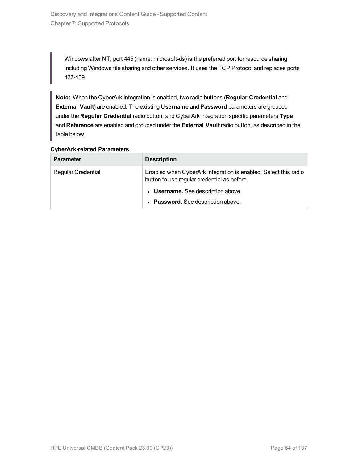Windows after NT, port 445 (name: microsoft-ds) is the preferred port for resource sharing, including Windows file sharing and other services. It uses the TCP Protocol and replaces ports 137-139.

**Note:** When the CyberArk integration is enabled, two radio buttons (**Regular Credential** and **External Vault**) are enabled. The existing **Username** and **Password** parameters are grouped under the **Regular Credential** radio button, and CyberArk integration specific parameters **Type** and **Reference** are enabled and grouped under the **External Vault** radio button, as described in the table below.

| <b>Parameter</b>          | <b>Description</b>                                                                                             |
|---------------------------|----------------------------------------------------------------------------------------------------------------|
| <b>Regular Credential</b> | Enabled when CyberArk integration is enabled. Select this radio<br>button to use regular credential as before. |
|                           | • Username. See description above.                                                                             |
|                           | • Password. See description above.                                                                             |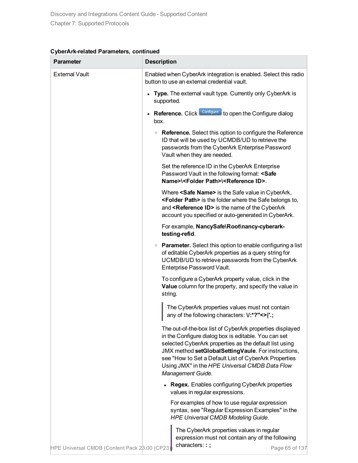| CyberArk-related Parameters, continued |  |  |
|----------------------------------------|--|--|
|----------------------------------------|--|--|

| Parameter                                     | <b>Description</b>                                                                                                                                                                                                                                                                                                                                                |
|-----------------------------------------------|-------------------------------------------------------------------------------------------------------------------------------------------------------------------------------------------------------------------------------------------------------------------------------------------------------------------------------------------------------------------|
| <b>External Vault</b>                         | Enabled when CyberArk integration is enabled. Select this radio<br>button to use an external credential vault.                                                                                                                                                                                                                                                    |
|                                               | Type. The external vault type. Currently only CyberArk is<br>supported.                                                                                                                                                                                                                                                                                           |
|                                               | Reference. Click Configure to open the Configure dialog<br>box.                                                                                                                                                                                                                                                                                                   |
|                                               | • Reference. Select this option to configure the Reference<br>ID that will be used by UCMDB/UD to retrieve the<br>passwords from the CyberArk Enterprise Password<br>Vault when they are needed.                                                                                                                                                                  |
|                                               | Set the reference ID in the CyberArk Enterprise<br>Password Vault in the following format: <safe<br>Name&gt;\<folder path="">\<reference id="">.</reference></folder></safe<br>                                                                                                                                                                                   |
|                                               | Where <safe name=""> is the Safe value in CyberArk,<br/><folder path=""> is the folder where the Safe belongs to,<br/>and <reference id=""> is the name of the CyberArk<br/>account you specified or auto-generated in CyberArk.</reference></folder></safe>                                                                                                      |
|                                               | For example, NancySafe\Root\nancy-cyberark-<br>testing-refid.                                                                                                                                                                                                                                                                                                     |
|                                               | • Parameter. Select this option to enable configuring a list<br>of editable CyberArk properties as a query string for<br>UCMDB/UD to retrieve passwords from the CyberArk<br>Enterprise Password Vault.                                                                                                                                                           |
|                                               | To configure a CyberArk property value, click in the<br>Value column for the property, and specify the value in<br>string.                                                                                                                                                                                                                                        |
|                                               | The CyberArk properties values must not contain<br>any of the following characters: V:*?"<> '.;                                                                                                                                                                                                                                                                   |
|                                               | The out-of-the-box list of CyberArk properties displayed<br>in the Configure dialog box is editable. You can set<br>selected CyberArk properties as the default list using<br>JMX method setGlobalSettingVaule. For instructions,<br>see "How to Set a Default List of CyberArk Properties<br>Using JMX" in the HPE Universal CMDB Data Flow<br>Management Guide. |
|                                               | <b>Regex.</b> Enables configuring CyberArk properties<br>values in regular expressions.                                                                                                                                                                                                                                                                           |
|                                               | For examples of how to use regular expression<br>syntax, see "Regular Expression Examples" in the<br><b>HPE Universal CMDB Modeling Guide.</b>                                                                                                                                                                                                                    |
| HPE Universal CMDB (Content Pack 28.00 (CP23) | The CyberArk properties values in regular<br>expression must not contain any of the following<br>characters::;<br>Page 65 of 137                                                                                                                                                                                                                                  |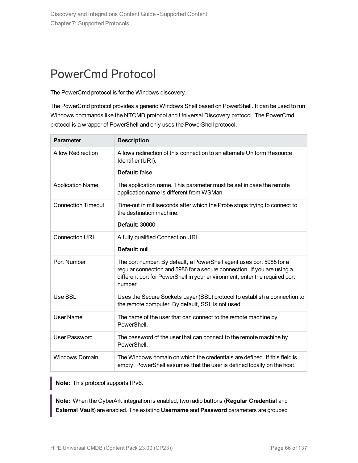# PowerCmd Protocol

The PowerCmd protocol is for the Windows discovery.

The PowerCmd protocol provides a generic Windows Shell based on PowerShell. It can be used to run Windows commands like the NTCMD protocol and Universal Discovery protocol. The PowerCmd protocol is a wrapper of PowerShell and only uses the PowerShell protocol.

| <b>Parameter</b>          | <b>Description</b>                                                                                                                                                                                                                       |
|---------------------------|------------------------------------------------------------------------------------------------------------------------------------------------------------------------------------------------------------------------------------------|
| <b>Allow Redirection</b>  | Allows redirection of this connection to an alternate Uniform Resource<br>Identifier (URI).                                                                                                                                              |
|                           | Default: false                                                                                                                                                                                                                           |
| <b>Application Name</b>   | The application name. This parameter must be set in case the remote<br>application name is different from WSMan.                                                                                                                         |
| <b>Connection Timeout</b> | Time-out in milliseconds after which the Probe stops trying to connect to<br>the destination machine.                                                                                                                                    |
|                           | <b>Default: 30000</b>                                                                                                                                                                                                                    |
| <b>Connection URI</b>     | A fully qualified Connection URI.                                                                                                                                                                                                        |
|                           | Default: null                                                                                                                                                                                                                            |
| Port Number               | The port number. By default, a PowerShell agent uses port 5985 for a<br>regular connection and 5986 for a secure connection. If you are using a<br>different port for PowerShell in your environment, enter the required port<br>number. |
| Use SSL                   | Uses the Secure Sockets Layer (SSL) protocol to establish a connection to<br>the remote computer. By default, SSL is not used.                                                                                                           |
| <b>User Name</b>          | The name of the user that can connect to the remote machine by<br>PowerShell.                                                                                                                                                            |
| <b>User Password</b>      | The password of the user that can connect to the remote machine by<br>PowerShell.                                                                                                                                                        |
| <b>Windows Domain</b>     | The Windows domain on which the credentials are defined. If this field is<br>empty, PowerShell assumes that the user is defined locally on the host.                                                                                     |

**Note:** This protocol supports IPv6.

**Note:** When the CyberArk integration is enabled, two radio buttons (**Regular Credential** and **External Vault**) are enabled. The existing **Username** and **Password** parameters are grouped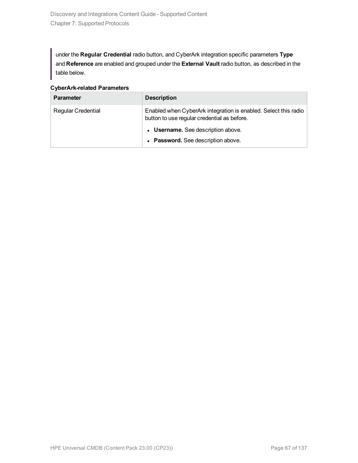under the **Regular Credential** radio button, and CyberArk integration specific parameters **Type** and **Reference** are enabled and grouped under the **External Vault** radio button, as described in the table below.

**CyberArk-related Parameters**

| <b>Parameter</b>          | <b>Description</b>                                                                                             |
|---------------------------|----------------------------------------------------------------------------------------------------------------|
| <b>Regular Credential</b> | Enabled when CyberArk integration is enabled. Select this radio<br>button to use regular credential as before. |
|                           | • Username. See description above.                                                                             |
|                           | • Password. See description above.                                                                             |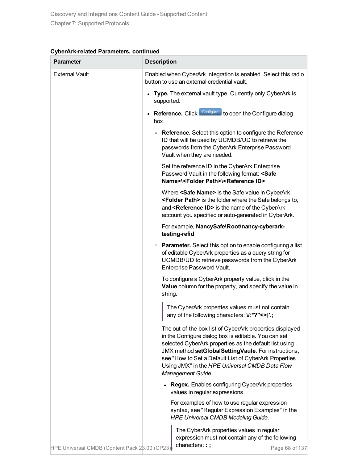| CyberArk-related Parameters, continued |  |  |
|----------------------------------------|--|--|
|----------------------------------------|--|--|

| Parameter                                     | <b>Description</b>                                                                                                                                                                                                                                                                                                                                                |
|-----------------------------------------------|-------------------------------------------------------------------------------------------------------------------------------------------------------------------------------------------------------------------------------------------------------------------------------------------------------------------------------------------------------------------|
| <b>External Vault</b>                         | Enabled when CyberArk integration is enabled. Select this radio<br>button to use an external credential vault.                                                                                                                                                                                                                                                    |
|                                               | Type. The external vault type. Currently only CyberArk is<br>supported.                                                                                                                                                                                                                                                                                           |
|                                               | Reference. Click Configure to open the Configure dialog<br>box.                                                                                                                                                                                                                                                                                                   |
|                                               | • Reference. Select this option to configure the Reference<br>ID that will be used by UCMDB/UD to retrieve the<br>passwords from the CyberArk Enterprise Password<br>Vault when they are needed.                                                                                                                                                                  |
|                                               | Set the reference ID in the CyberArk Enterprise<br>Password Vault in the following format: <safe<br>Name&gt;\<folder path="">\<reference id="">.</reference></folder></safe<br>                                                                                                                                                                                   |
|                                               | Where <safe name=""> is the Safe value in CyberArk,<br/><folder path=""> is the folder where the Safe belongs to,<br/>and <reference id=""> is the name of the CyberArk<br/>account you specified or auto-generated in CyberArk.</reference></folder></safe>                                                                                                      |
|                                               | For example, NancySafe\Root\nancy-cyberark-<br>testing-refid.                                                                                                                                                                                                                                                                                                     |
|                                               | • Parameter. Select this option to enable configuring a list<br>of editable CyberArk properties as a query string for<br>UCMDB/UD to retrieve passwords from the CyberArk<br>Enterprise Password Vault.                                                                                                                                                           |
|                                               | To configure a CyberArk property value, click in the<br>Value column for the property, and specify the value in<br>string.                                                                                                                                                                                                                                        |
|                                               | The CyberArk properties values must not contain<br>any of the following characters: V:*?"<> '.;                                                                                                                                                                                                                                                                   |
|                                               | The out-of-the-box list of CyberArk properties displayed<br>in the Configure dialog box is editable. You can set<br>selected CyberArk properties as the default list using<br>JMX method setGlobalSettingVaule. For instructions,<br>see "How to Set a Default List of CyberArk Properties<br>Using JMX" in the HPE Universal CMDB Data Flow<br>Management Guide. |
|                                               | <b>Regex.</b> Enables configuring CyberArk properties<br>values in regular expressions.                                                                                                                                                                                                                                                                           |
|                                               | For examples of how to use regular expression<br>syntax, see "Regular Expression Examples" in the<br><b>HPE Universal CMDB Modeling Guide.</b>                                                                                                                                                                                                                    |
| HPE Universal CMDB (Content Pack 28.00 (CP23) | The CyberArk properties values in regular<br>expression must not contain any of the following<br>characters::;<br>Page 68 of 137                                                                                                                                                                                                                                  |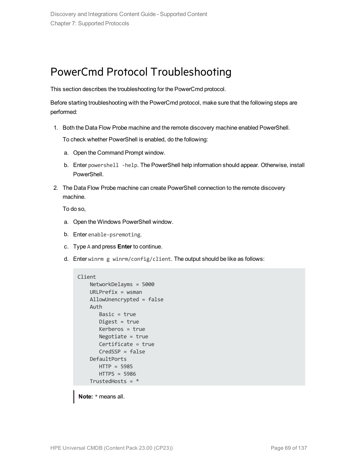### PowerCmd Protocol Troubleshooting

This section describes the troubleshooting for the PowerCmd protocol.

Before starting troubleshooting with the PowerCmd protocol, make sure that the following steps are performed:

1. Both the Data Flow Probe machine and the remote discovery machine enabled PowerShell.

To check whether PowerShell is enabled, do the following:

- a. Open the Command Prompt window.
- b. Enter powershell -help. The PowerShell help information should appear. Otherwise, install PowerShell.
- 2. The Data Flow Probe machine can create PowerShell connection to the remote discovery machine.

To do so,

- a. Open the Windows PowerShell window.
- b. Enter enable-psremoting.
- c. Type A and press **Enter** to continue.
- d. Enter winrm g winrm/config/client. The output should be like as follows:

```
Client
   NetworkDelayms = 5000
   URLPrefix = wsmanAllowUnencrypted = false
   Auth
      Basic = true
      Digest = true
      Kerberos = true
      Negotiate = true
      Certificate = true
      CredSSP = false
   DefaultPorts
      HTTP = 5985
      HTTPS = 5986
   TrustedHosts = *
```
**Note:** \* means all.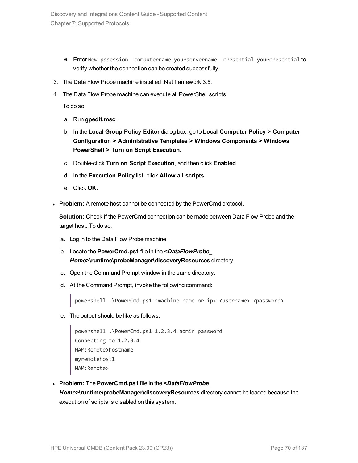- e. Enter New-pssession –computername yourservername –credential yourcredential to verify whether the connection can be created successfully.
- <span id="page-69-0"></span>3. The Data Flow Probe machine installed .Net framework 3.5.
- 4. The Data Flow Probe machine can execute all PowerShell scripts.

To do so,

- a. Run **gpedit.msc**.
- b. In the **Local Group Policy Editor** dialog box, go to **Local Computer Policy > Computer Configuration > Administrative Templates > Windows Components > Windows PowerShell > Turn on Script Execution**.
- c. Double-click **Turn on Script Execution**, and then click **Enabled**.
- d. In the **Execution Policy** list, click **Allow all scripts**.
- e. Click **OK**.
- **Problem:** A remote host cannot be connected by the PowerCmd protocol.

**Solution:** Check if the PowerCmd connection can be made between Data Flow Probe and the target host. To do so,

- a. Log in to the Data Flow Probe machine.
- b. Locate the **PowerCmd.ps1** file in the *<DataFlowProbe\_ Home>***\runtime\probeManager\discoveryResources** directory.
- c. Open the Command Prompt window in the same directory.
- d. At the Command Prompt, invoke the following command:

powershell .\PowerCmd.ps1 <machine name or ip> <username> <password>

e. The output should be like as follows:

```
powershell .\PowerCmd.ps1 1.2.3.4 admin password
Connecting to 1.2.3.4
MAM:Remote>hostname
myremotehost1
MAM: Remote>
```
<sup>l</sup> **Problem:** The **PowerCmd.ps1** file in the *<DataFlowProbe\_ Home>***\runtime\probeManager\discoveryResources** directory cannot be loaded because the

execution of scripts is disabled on this system.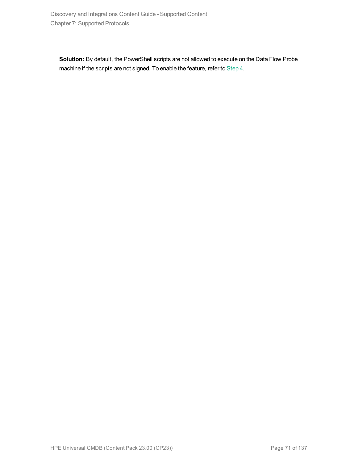**Solution:** By default, the PowerShell scripts are not allowed to execute on the Data Flow Probe machine if the scripts are not signed. To enable the feature, refer to [Step](#page-69-0) 4.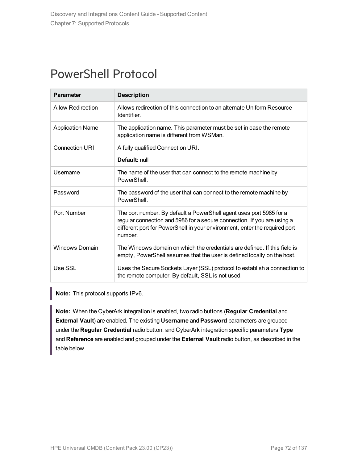### PowerShell Protocol

| <b>Parameter</b>         | <b>Description</b>                                                                                                                                                                                                                      |
|--------------------------|-----------------------------------------------------------------------------------------------------------------------------------------------------------------------------------------------------------------------------------------|
| <b>Allow Redirection</b> | Allows redirection of this connection to an alternate Uniform Resource<br>Identifier.                                                                                                                                                   |
| <b>Application Name</b>  | The application name. This parameter must be set in case the remote<br>application name is different from WSMan.                                                                                                                        |
| <b>Connection URI</b>    | A fully qualified Connection URI.                                                                                                                                                                                                       |
|                          | Default: null                                                                                                                                                                                                                           |
| Username                 | The name of the user that can connect to the remote machine by<br>PowerShell.                                                                                                                                                           |
| Password                 | The password of the user that can connect to the remote machine by<br>PowerShell.                                                                                                                                                       |
| Port Number              | The port number. By default a PowerShell agent uses port 5985 for a<br>regular connection and 5986 for a secure connection. If you are using a<br>different port for PowerShell in your environment, enter the required port<br>number. |
| <b>Windows Domain</b>    | The Windows domain on which the credentials are defined. If this field is<br>empty, PowerShell assumes that the user is defined locally on the host.                                                                                    |
| Use SSL                  | Uses the Secure Sockets Layer (SSL) protocol to establish a connection to<br>the remote computer. By default, SSL is not used.                                                                                                          |

**Note:** This protocol supports IPv6.

**Note:** When the CyberArk integration is enabled, two radio buttons (**Regular Credential** and **External Vault**) are enabled. The existing **Username** and **Password** parameters are grouped under the **Regular Credential** radio button, and CyberArk integration specific parameters **Type** and **Reference** are enabled and grouped under the **External Vault** radio button, as described in the table below.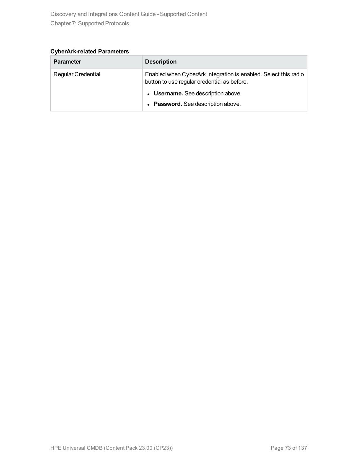**CyberArk-related Parameters**

| <b>Parameter</b>          | <b>Description</b>                                                                                             |
|---------------------------|----------------------------------------------------------------------------------------------------------------|
| <b>Regular Credential</b> | Enabled when CyberArk integration is enabled. Select this radio<br>button to use regular credential as before. |
|                           | • Username. See description above.                                                                             |
|                           | • Password. See description above.                                                                             |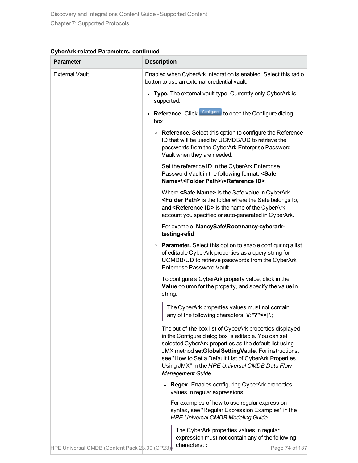| CyberArk-related Parameters, continued |  |  |
|----------------------------------------|--|--|
|----------------------------------------|--|--|

| <b>Parameter</b>                              | <b>Description</b>                                                                                                                                                                                                                                                                                                                                                |
|-----------------------------------------------|-------------------------------------------------------------------------------------------------------------------------------------------------------------------------------------------------------------------------------------------------------------------------------------------------------------------------------------------------------------------|
| <b>External Vault</b>                         | Enabled when CyberArk integration is enabled. Select this radio<br>button to use an external credential vault.                                                                                                                                                                                                                                                    |
|                                               | Type. The external vault type. Currently only CyberArk is<br>supported.                                                                                                                                                                                                                                                                                           |
|                                               | Reference. Click Configure to open the Configure dialog<br>box.                                                                                                                                                                                                                                                                                                   |
|                                               | • Reference. Select this option to configure the Reference<br>ID that will be used by UCMDB/UD to retrieve the<br>passwords from the CyberArk Enterprise Password<br>Vault when they are needed.                                                                                                                                                                  |
|                                               | Set the reference ID in the CyberArk Enterprise<br>Password Vault in the following format: <safe<br>Name&gt;\<folder path="">\<reference id="">.</reference></folder></safe<br>                                                                                                                                                                                   |
|                                               | Where <safe name=""> is the Safe value in CyberArk,<br/><folder path=""> is the folder where the Safe belongs to,<br/>and <reference id=""> is the name of the CyberArk<br/>account you specified or auto-generated in CyberArk.</reference></folder></safe>                                                                                                      |
|                                               | For example, NancySafe\Root\nancy-cyberark-<br>testing-refid.                                                                                                                                                                                                                                                                                                     |
|                                               | • Parameter. Select this option to enable configuring a list<br>of editable CyberArk properties as a query string for<br>UCMDB/UD to retrieve passwords from the CyberArk<br>Enterprise Password Vault.                                                                                                                                                           |
|                                               | To configure a CyberArk property value, click in the<br>Value column for the property, and specify the value in<br>string.                                                                                                                                                                                                                                        |
|                                               | The CyberArk properties values must not contain<br>any of the following characters: V:*?"<> '.;                                                                                                                                                                                                                                                                   |
|                                               | The out-of-the-box list of CyberArk properties displayed<br>in the Configure dialog box is editable. You can set<br>selected CyberArk properties as the default list using<br>JMX method setGlobalSettingVaule. For instructions,<br>see "How to Set a Default List of CyberArk Properties<br>Using JMX" in the HPE Universal CMDB Data Flow<br>Management Guide. |
|                                               | <b>Regex.</b> Enables configuring CyberArk properties<br>values in regular expressions.                                                                                                                                                                                                                                                                           |
|                                               | For examples of how to use regular expression<br>syntax, see "Regular Expression Examples" in the<br><b>HPE Universal CMDB Modeling Guide.</b>                                                                                                                                                                                                                    |
| HPE Universal CMDB (Content Pack 28.00 (CP23) | The CyberArk properties values in regular<br>expression must not contain any of the following<br>characters::;<br>Page 74 of 137                                                                                                                                                                                                                                  |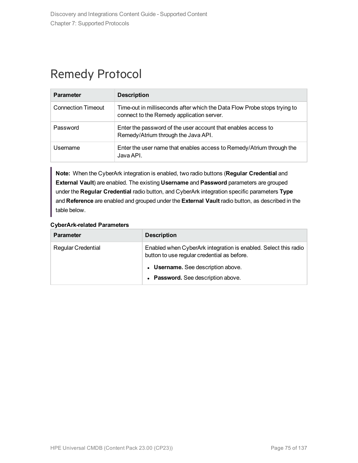# Remedy Protocol

| <b>Parameter</b>          | <b>Description</b>                                                                                                    |
|---------------------------|-----------------------------------------------------------------------------------------------------------------------|
| <b>Connection Timeout</b> | Time-out in milliseconds after which the Data Flow Probe stops trying to<br>connect to the Remedy application server. |
| Password                  | Enter the password of the user account that enables access to<br>Remedy/Atrium through the Java API.                  |
| Username                  | Enter the user name that enables access to Remedy/Atrium through the<br>Java API.                                     |

**Note:** When the CyberArk integration is enabled, two radio buttons (**Regular Credential** and **External Vault**) are enabled. The existing **Username** and **Password** parameters are grouped under the **Regular Credential** radio button, and CyberArk integration specific parameters **Type** and **Reference** are enabled and grouped under the **External Vault** radio button, as described in the table below.

| <b>Parameter</b>          | <b>Description</b>                                                                                             |
|---------------------------|----------------------------------------------------------------------------------------------------------------|
| <b>Regular Credential</b> | Enabled when CyberArk integration is enabled. Select this radio<br>button to use regular credential as before. |
|                           | • Username. See description above.                                                                             |
|                           | • Password. See description above.                                                                             |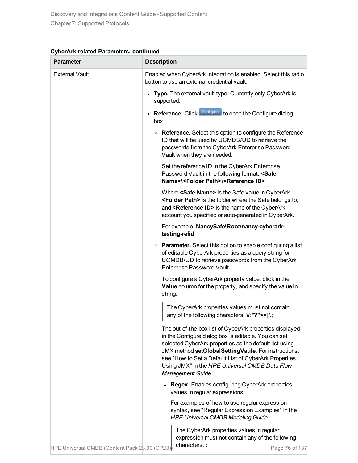| <b>Parameter</b>                              | <b>Description</b>                                                                                                                                                                                                                                                                                                                                                |
|-----------------------------------------------|-------------------------------------------------------------------------------------------------------------------------------------------------------------------------------------------------------------------------------------------------------------------------------------------------------------------------------------------------------------------|
| <b>External Vault</b>                         | Enabled when CyberArk integration is enabled. Select this radio<br>button to use an external credential vault.                                                                                                                                                                                                                                                    |
|                                               | Type. The external vault type. Currently only CyberArk is<br>supported.                                                                                                                                                                                                                                                                                           |
|                                               | Reference. Click Configure to open the Configure dialog<br>box.                                                                                                                                                                                                                                                                                                   |
|                                               | • Reference. Select this option to configure the Reference<br>ID that will be used by UCMDB/UD to retrieve the<br>passwords from the CyberArk Enterprise Password<br>Vault when they are needed.                                                                                                                                                                  |
|                                               | Set the reference ID in the CyberArk Enterprise<br>Password Vault in the following format: <safe<br>Name&gt;\<folder path="">\<reference id="">.</reference></folder></safe<br>                                                                                                                                                                                   |
|                                               | Where <safe name=""> is the Safe value in CyberArk,<br/><folder path=""> is the folder where the Safe belongs to,<br/>and <reference id=""> is the name of the CyberArk<br/>account you specified or auto-generated in CyberArk.</reference></folder></safe>                                                                                                      |
|                                               | For example, NancySafe\Root\nancy-cyberark-<br>testing-refid.                                                                                                                                                                                                                                                                                                     |
|                                               | • Parameter. Select this option to enable configuring a list<br>of editable CyberArk properties as a query string for<br>UCMDB/UD to retrieve passwords from the CyberArk<br>Enterprise Password Vault.                                                                                                                                                           |
|                                               | To configure a CyberArk property value, click in the<br>Value column for the property, and specify the value in<br>string.                                                                                                                                                                                                                                        |
|                                               | The CyberArk properties values must not contain<br>any of the following characters: V:*?"<> '.;                                                                                                                                                                                                                                                                   |
|                                               | The out-of-the-box list of CyberArk properties displayed<br>in the Configure dialog box is editable. You can set<br>selected CyberArk properties as the default list using<br>JMX method setGlobalSettingVaule. For instructions,<br>see "How to Set a Default List of CyberArk Properties<br>Using JMX" in the HPE Universal CMDB Data Flow<br>Management Guide. |
|                                               | <b>Regex.</b> Enables configuring CyberArk properties<br>values in regular expressions.                                                                                                                                                                                                                                                                           |
|                                               | For examples of how to use regular expression<br>syntax, see "Regular Expression Examples" in the<br><b>HPE Universal CMDB Modeling Guide.</b>                                                                                                                                                                                                                    |
| HPE Universal CMDB (Content Pack 28.00 (CP23) | The CyberArk properties values in regular<br>expression must not contain any of the following<br>characters::;<br>Page 76 of 137                                                                                                                                                                                                                                  |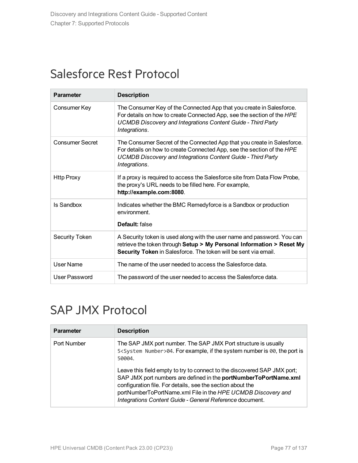### Salesforce Rest Protocol

| <b>Parameter</b>       | <b>Description</b>                                                                                                                                                                                                                        |
|------------------------|-------------------------------------------------------------------------------------------------------------------------------------------------------------------------------------------------------------------------------------------|
| Consumer Key           | The Consumer Key of the Connected App that you create in Salesforce.<br>For details on how to create Connected App, see the section of the HPE<br><b>UCMDB Discovery and Integrations Content Guide - Third Party</b><br>Integrations.    |
| <b>Consumer Secret</b> | The Consumer Secret of the Connected App that you create in Salesforce.<br>For details on how to create Connected App, see the section of the HPE<br><b>UCMDB Discovery and Integrations Content Guide - Third Party</b><br>Integrations. |
| <b>Http Proxy</b>      | If a proxy is required to access the Salesforce site from Data Flow Probe,<br>the proxy's URL needs to be filled here. For example,<br>http://example.com:8080.                                                                           |
| <b>Is Sandbox</b>      | Indicates whether the BMC Remedyforce is a Sandbox or production<br>environment.<br>Default: false                                                                                                                                        |
| Security Token         | A Security token is used along with the user name and password. You can<br>retrieve the token through Setup > My Personal Information > Reset My<br>Security Token in Salesforce. The token will be sent via email.                       |
| User Name              | The name of the user needed to access the Salesforce data.                                                                                                                                                                                |
| User Password          | The password of the user needed to access the Salesforce data.                                                                                                                                                                            |

# SAP JMX Protocol

| <b>Parameter</b> | <b>Description</b>                                                                                                                                                                                                                                                                                                                     |
|------------------|----------------------------------------------------------------------------------------------------------------------------------------------------------------------------------------------------------------------------------------------------------------------------------------------------------------------------------------|
| Port Number      | The SAP JMX port number. The SAP JMX Port structure is usually<br>5 <system number="">04. For example, if the system number is 00, the port is<br/>50004</system>                                                                                                                                                                      |
|                  | Leave this field empty to try to connect to the discovered SAP JMX port;<br>SAP JMX port numbers are defined in the portNumberToPortName.xml<br>configuration file. For details, see the section about the<br>portNumberToPortName.xml File in the HPE UCMDB Discovery and<br>Integrations Content Guide - General Reference document. |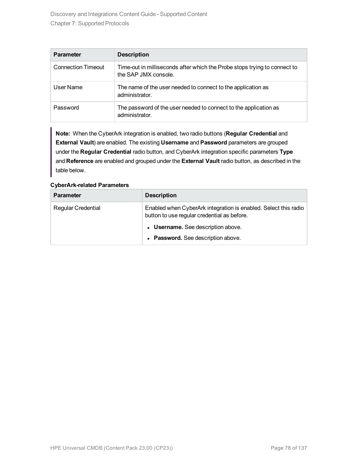| <b>Parameter</b>          | <b>Description</b>                                                                                |
|---------------------------|---------------------------------------------------------------------------------------------------|
| <b>Connection Timeout</b> | Time-out in milliseconds after which the Probe stops trying to connect to<br>the SAP JMX console. |
| User Name                 | The name of the user needed to connect to the application as<br>administrator.                    |
| Password                  | The password of the user needed to connect to the application as<br>administrator.                |

**Note:** When the CyberArk integration is enabled, two radio buttons (**Regular Credential** and **External Vault**) are enabled. The existing **Username** and **Password** parameters are grouped under the **Regular Credential** radio button, and CyberArk integration specific parameters **Type** and **Reference** are enabled and grouped under the **External Vault** radio button, as described in the table below.

| <b>Parameter</b>          | <b>Description</b>                                                                                             |
|---------------------------|----------------------------------------------------------------------------------------------------------------|
| <b>Regular Credential</b> | Enabled when CyberArk integration is enabled. Select this radio<br>button to use regular credential as before. |
|                           | • Username. See description above.                                                                             |
|                           | • Password. See description above.                                                                             |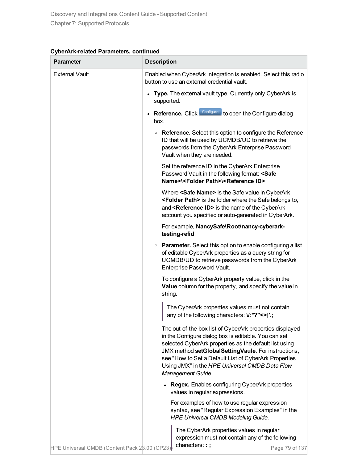| <b>Parameter</b>                              | <b>Description</b>                                                                                                                                                                                                                                                                                                                                                |
|-----------------------------------------------|-------------------------------------------------------------------------------------------------------------------------------------------------------------------------------------------------------------------------------------------------------------------------------------------------------------------------------------------------------------------|
| <b>External Vault</b>                         | Enabled when CyberArk integration is enabled. Select this radio<br>button to use an external credential vault.                                                                                                                                                                                                                                                    |
|                                               | Type. The external vault type. Currently only CyberArk is<br>supported.                                                                                                                                                                                                                                                                                           |
|                                               | Reference. Click Configure to open the Configure dialog<br>box.                                                                                                                                                                                                                                                                                                   |
|                                               | • Reference. Select this option to configure the Reference<br>ID that will be used by UCMDB/UD to retrieve the<br>passwords from the CyberArk Enterprise Password<br>Vault when they are needed.                                                                                                                                                                  |
|                                               | Set the reference ID in the CyberArk Enterprise<br>Password Vault in the following format: <safe<br>Name&gt;\<folder path="">\<reference id="">.</reference></folder></safe<br>                                                                                                                                                                                   |
|                                               | Where <safe name=""> is the Safe value in CyberArk,<br/><folder path=""> is the folder where the Safe belongs to,<br/>and <reference id=""> is the name of the CyberArk<br/>account you specified or auto-generated in CyberArk.</reference></folder></safe>                                                                                                      |
|                                               | For example, NancySafe\Root\nancy-cyberark-<br>testing-refid.                                                                                                                                                                                                                                                                                                     |
|                                               | • Parameter. Select this option to enable configuring a list<br>of editable CyberArk properties as a query string for<br>UCMDB/UD to retrieve passwords from the CyberArk<br>Enterprise Password Vault.                                                                                                                                                           |
|                                               | To configure a CyberArk property value, click in the<br>Value column for the property, and specify the value in<br>string.                                                                                                                                                                                                                                        |
|                                               | The CyberArk properties values must not contain<br>any of the following characters: V:*?"<> '.;                                                                                                                                                                                                                                                                   |
|                                               | The out-of-the-box list of CyberArk properties displayed<br>in the Configure dialog box is editable. You can set<br>selected CyberArk properties as the default list using<br>JMX method setGlobalSettingVaule. For instructions,<br>see "How to Set a Default List of CyberArk Properties<br>Using JMX" in the HPE Universal CMDB Data Flow<br>Management Guide. |
|                                               | <b>Regex.</b> Enables configuring CyberArk properties<br>values in regular expressions.                                                                                                                                                                                                                                                                           |
|                                               | For examples of how to use regular expression<br>syntax, see "Regular Expression Examples" in the<br><b>HPE Universal CMDB Modeling Guide.</b>                                                                                                                                                                                                                    |
| HPE Universal CMDB (Content Pack 28.00 (CP23) | The CyberArk properties values in regular<br>expression must not contain any of the following<br>characters::;<br>Page 79 of 137                                                                                                                                                                                                                                  |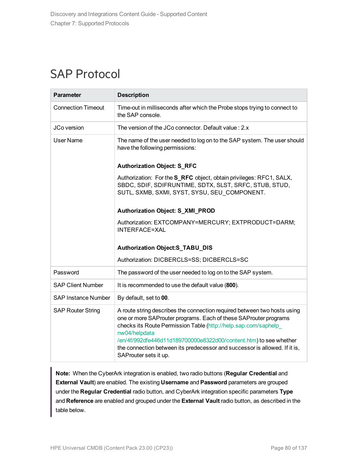### SAP Protocol

| <b>Parameter</b>           | <b>Description</b>                                                                                                                                                                                                                                                                                                                                                                                           |
|----------------------------|--------------------------------------------------------------------------------------------------------------------------------------------------------------------------------------------------------------------------------------------------------------------------------------------------------------------------------------------------------------------------------------------------------------|
| <b>Connection Timeout</b>  | Time-out in milliseconds after which the Probe stops trying to connect to<br>the SAP console.                                                                                                                                                                                                                                                                                                                |
| JCo version                | The version of the JCo connector. Default value: 2.x                                                                                                                                                                                                                                                                                                                                                         |
| User Name                  | The name of the user needed to log on to the SAP system. The user should<br>have the following permissions:                                                                                                                                                                                                                                                                                                  |
|                            | <b>Authorization Object: S_RFC</b>                                                                                                                                                                                                                                                                                                                                                                           |
|                            | Authorization: For the S_RFC object, obtain privileges: RFC1, SALX,<br>SBDC, SDIF, SDIFRUNTIME, SDTX, SLST, SRFC, STUB, STUD,<br>SUTL, SXMB, SXMI, SYST, SYSU, SEU COMPONENT.                                                                                                                                                                                                                                |
|                            | Authorization Object: S_XMI_PROD                                                                                                                                                                                                                                                                                                                                                                             |
|                            | Authorization: EXTCOMPANY=MERCURY; EXTPRODUCT=DARM;<br><b>INTERFACE=XAL</b>                                                                                                                                                                                                                                                                                                                                  |
|                            | <b>Authorization Object:S_TABU_DIS</b>                                                                                                                                                                                                                                                                                                                                                                       |
|                            | Authorization: DICBERCLS=SS; DICBERCLS=SC                                                                                                                                                                                                                                                                                                                                                                    |
| Password                   | The password of the user needed to log on to the SAP system.                                                                                                                                                                                                                                                                                                                                                 |
| <b>SAP Client Number</b>   | It is recommended to use the default value (800).                                                                                                                                                                                                                                                                                                                                                            |
| <b>SAP Instance Number</b> | By default, set to 00.                                                                                                                                                                                                                                                                                                                                                                                       |
| <b>SAP Router String</b>   | A route string describes the connection required between two hosts using<br>one or more SAProuter programs. Each of these SAProuter programs<br>checks its Route Permission Table (http://help.sap.com/saphelp_<br>nw04/helpdata<br>/en/4f/992dfe446d11d189700000e8322d00/content.htm) to see whether<br>the connection between its predecessor and successor is allowed. If it is,<br>SAProuter sets it up. |

**Note:** When the CyberArk integration is enabled, two radio buttons (**Regular Credential** and **External Vault**) are enabled. The existing **Username** and **Password** parameters are grouped under the **Regular Credential** radio button, and CyberArk integration specific parameters **Type** and **Reference** are enabled and grouped under the **External Vault** radio button, as described in the table below.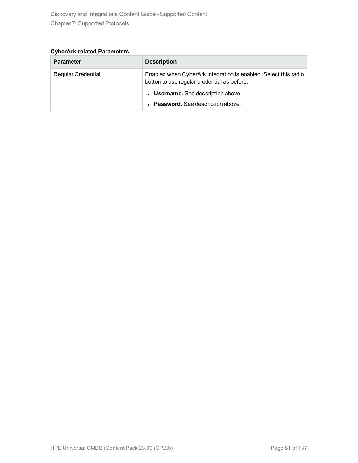**CyberArk-related Parameters**

| <b>Parameter</b>          | <b>Description</b>                                                                                             |
|---------------------------|----------------------------------------------------------------------------------------------------------------|
| <b>Regular Credential</b> | Enabled when CyberArk integration is enabled. Select this radio<br>button to use regular credential as before. |
|                           | • Username. See description above.                                                                             |
|                           | • Password. See description above.                                                                             |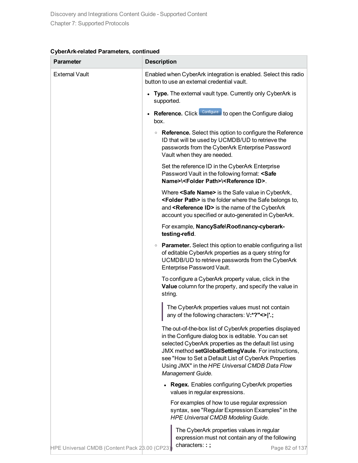| CyberArk-related Parameters, continued |  |  |
|----------------------------------------|--|--|
|----------------------------------------|--|--|

| <b>Parameter</b>                              | <b>Description</b>                                                                                                                                                                                                                                                                                                                                                |
|-----------------------------------------------|-------------------------------------------------------------------------------------------------------------------------------------------------------------------------------------------------------------------------------------------------------------------------------------------------------------------------------------------------------------------|
| <b>External Vault</b>                         | Enabled when CyberArk integration is enabled. Select this radio<br>button to use an external credential vault.                                                                                                                                                                                                                                                    |
|                                               | • Type. The external vault type. Currently only CyberArk is<br>supported.                                                                                                                                                                                                                                                                                         |
|                                               | Reference. Click Configure to open the Configure dialog<br>box.                                                                                                                                                                                                                                                                                                   |
|                                               | • Reference. Select this option to configure the Reference<br>ID that will be used by UCMDB/UD to retrieve the<br>passwords from the CyberArk Enterprise Password<br>Vault when they are needed.                                                                                                                                                                  |
|                                               | Set the reference ID in the CyberArk Enterprise<br>Password Vault in the following format: <safe<br>Name&gt;\<folder path="">\<reference id="">.</reference></folder></safe<br>                                                                                                                                                                                   |
|                                               | Where <safe name=""> is the Safe value in CyberArk,<br/><folder path=""> is the folder where the Safe belongs to,<br/>and <reference id=""> is the name of the CyberArk<br/>account you specified or auto-generated in CyberArk.</reference></folder></safe>                                                                                                      |
|                                               | For example, NancySafe\Root\nancy-cyberark-<br>testing-refid.                                                                                                                                                                                                                                                                                                     |
|                                               | • Parameter. Select this option to enable configuring a list<br>of editable CyberArk properties as a query string for<br>UCMDB/UD to retrieve passwords from the CyberArk<br>Enterprise Password Vault.                                                                                                                                                           |
|                                               | To configure a CyberArk property value, click in the<br>Value column for the property, and specify the value in<br>string.                                                                                                                                                                                                                                        |
|                                               | The CyberArk properties values must not contain<br>any of the following characters: V:*?"<> '.;                                                                                                                                                                                                                                                                   |
|                                               | The out-of-the-box list of CyberArk properties displayed<br>in the Configure dialog box is editable. You can set<br>selected CyberArk properties as the default list using<br>JMX method setGlobalSettingVaule. For instructions,<br>see "How to Set a Default List of CyberArk Properties<br>Using JMX" in the HPE Universal CMDB Data Flow<br>Management Guide. |
|                                               | <b>Regex.</b> Enables configuring CyberArk properties<br>values in regular expressions.                                                                                                                                                                                                                                                                           |
|                                               | For examples of how to use regular expression<br>syntax, see "Regular Expression Examples" in the<br><b>HPE Universal CMDB Modeling Guide.</b>                                                                                                                                                                                                                    |
| HPE Universal CMDB (Content Pack 28.00 (CP23) | The CyberArk properties values in regular<br>expression must not contain any of the following<br>characters::;<br>Page 82 of 137                                                                                                                                                                                                                                  |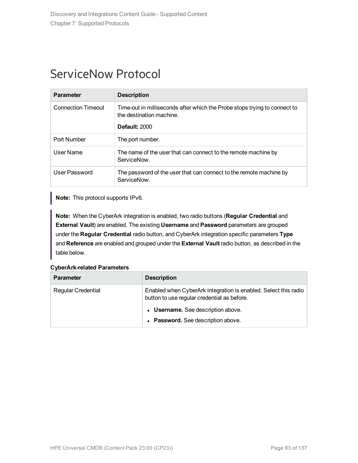### ServiceNow Protocol

| <b>Parameter</b>          | <b>Description</b>                                                                                                            |
|---------------------------|-------------------------------------------------------------------------------------------------------------------------------|
| <b>Connection Timeout</b> | Time-out in milliseconds after which the Probe stops trying to connect to<br>the destination machine.<br><b>Default: 2000</b> |
| Port Number               | The port number.                                                                                                              |
| User Name                 | The name of the user that can connect to the remote machine by<br>ServiceNow.                                                 |
| User Password             | The password of the user that can connect to the remote machine by<br>ServiceNow.                                             |

**Note:** This protocol supports IPv6.

**Note:** When the CyberArk integration is enabled, two radio buttons (**Regular Credential** and **External Vault**) are enabled. The existing **Username** and **Password** parameters are grouped under the **Regular Credential** radio button, and CyberArk integration specific parameters **Type** and **Reference** are enabled and grouped under the **External Vault** radio button, as described in the table below.

| <b>Parameter</b>          | <b>Description</b>                                                                                             |
|---------------------------|----------------------------------------------------------------------------------------------------------------|
| <b>Regular Credential</b> | Enabled when CyberArk integration is enabled. Select this radio<br>button to use regular credential as before. |
|                           | • Username. See description above.                                                                             |
|                           | • Password. See description above.                                                                             |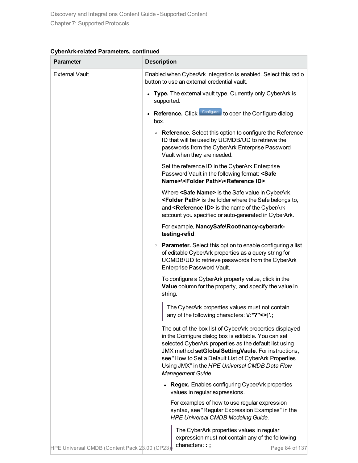| <b>Parameter</b>                              | <b>Description</b>                                                                                                                                                                                                                                                                                                                                                |
|-----------------------------------------------|-------------------------------------------------------------------------------------------------------------------------------------------------------------------------------------------------------------------------------------------------------------------------------------------------------------------------------------------------------------------|
| <b>External Vault</b>                         | Enabled when CyberArk integration is enabled. Select this radio<br>button to use an external credential vault.                                                                                                                                                                                                                                                    |
|                                               | Type. The external vault type. Currently only CyberArk is<br>supported.                                                                                                                                                                                                                                                                                           |
|                                               | Reference. Click Configure to open the Configure dialog<br>box.                                                                                                                                                                                                                                                                                                   |
|                                               | • Reference. Select this option to configure the Reference<br>ID that will be used by UCMDB/UD to retrieve the<br>passwords from the CyberArk Enterprise Password<br>Vault when they are needed.                                                                                                                                                                  |
|                                               | Set the reference ID in the CyberArk Enterprise<br>Password Vault in the following format: <safe<br>Name&gt;\<folder path="">\<reference id="">.</reference></folder></safe<br>                                                                                                                                                                                   |
|                                               | Where <safe name=""> is the Safe value in CyberArk,<br/><folder path=""> is the folder where the Safe belongs to,<br/>and <reference id=""> is the name of the CyberArk<br/>account you specified or auto-generated in CyberArk.</reference></folder></safe>                                                                                                      |
|                                               | For example, NancySafe\Root\nancy-cyberark-<br>testing-refid.                                                                                                                                                                                                                                                                                                     |
|                                               | • Parameter. Select this option to enable configuring a list<br>of editable CyberArk properties as a query string for<br>UCMDB/UD to retrieve passwords from the CyberArk<br>Enterprise Password Vault.                                                                                                                                                           |
|                                               | To configure a CyberArk property value, click in the<br>Value column for the property, and specify the value in<br>string.                                                                                                                                                                                                                                        |
|                                               | The CyberArk properties values must not contain<br>any of the following characters: V:*?"<> '.;                                                                                                                                                                                                                                                                   |
|                                               | The out-of-the-box list of CyberArk properties displayed<br>in the Configure dialog box is editable. You can set<br>selected CyberArk properties as the default list using<br>JMX method setGlobalSettingVaule. For instructions,<br>see "How to Set a Default List of CyberArk Properties<br>Using JMX" in the HPE Universal CMDB Data Flow<br>Management Guide. |
|                                               | <b>Regex.</b> Enables configuring CyberArk properties<br>values in regular expressions.                                                                                                                                                                                                                                                                           |
|                                               | For examples of how to use regular expression<br>syntax, see "Regular Expression Examples" in the<br><b>HPE Universal CMDB Modeling Guide.</b>                                                                                                                                                                                                                    |
| HPE Universal CMDB (Content Pack 28.00 (CP23) | The CyberArk properties values in regular<br>expression must not contain any of the following<br>characters::;<br>Page 84 of 137                                                                                                                                                                                                                                  |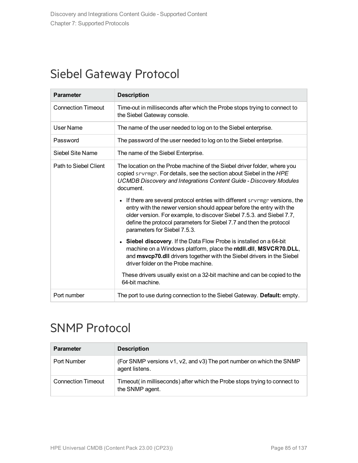### Siebel Gateway Protocol

| <b>Parameter</b>          | <b>Description</b>                                                                                                                                                                                                                                                                                                                               |
|---------------------------|--------------------------------------------------------------------------------------------------------------------------------------------------------------------------------------------------------------------------------------------------------------------------------------------------------------------------------------------------|
| <b>Connection Timeout</b> | Time-out in milliseconds after which the Probe stops trying to connect to<br>the Siebel Gateway console.                                                                                                                                                                                                                                         |
| User Name                 | The name of the user needed to log on to the Siebel enterprise.                                                                                                                                                                                                                                                                                  |
| Password                  | The password of the user needed to log on to the Siebel enterprise.                                                                                                                                                                                                                                                                              |
| Siebel Site Name          | The name of the Siebel Enterprise.                                                                                                                                                                                                                                                                                                               |
| Path to Siebel Client     | The location on the Probe machine of the Siebel driver folder, where you<br>copied srvrmgr. For details, see the section about Siebel in the HPE<br><b>UCMDB Discovery and Integrations Content Guide - Discovery Modules</b><br>document.                                                                                                       |
|                           | If there are several protocol entries with different severage versions, the<br>$\bullet$<br>entry with the newer version should appear before the entry with the<br>older version. For example, to discover Siebel 7.5.3. and Siebel 7.7,<br>define the protocol parameters for Siebel 7.7 and then the protocol<br>parameters for Siebel 7.5.3. |
|                           | • Siebel discovery. If the Data Flow Probe is installed on a 64-bit<br>machine on a Windows platform, place the ntdll.dll, MSVCR70.DLL,<br>and msvcp70.dll drivers together with the Siebel drivers in the Siebel<br>driver folder on the Probe machine.                                                                                         |
|                           | These drivers usually exist on a 32-bit machine and can be copied to the<br>64-bit machine.                                                                                                                                                                                                                                                      |
| Port number               | The port to use during connection to the Siebel Gateway. Default: empty.                                                                                                                                                                                                                                                                         |

### SNMP Protocol

| <b>Parameter</b>          | <b>Description</b>                                                                            |
|---------------------------|-----------------------------------------------------------------------------------------------|
| Port Number               | (For SNMP versions v1, v2, and v3) The port number on which the SNMP<br>agent listens.        |
| <b>Connection Timeout</b> | Timeout( in milliseconds) after which the Probe stops trying to connect to<br>the SNMP agent. |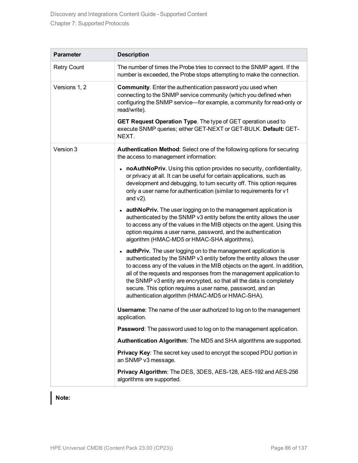| <b>Parameter</b>   | <b>Description</b>                                                                                                                                                                                                                                                                                                                                                                                                                                                                       |
|--------------------|------------------------------------------------------------------------------------------------------------------------------------------------------------------------------------------------------------------------------------------------------------------------------------------------------------------------------------------------------------------------------------------------------------------------------------------------------------------------------------------|
| <b>Retry Count</b> | The number of times the Probe tries to connect to the SNMP agent. If the<br>number is exceeded, the Probe stops attempting to make the connection.                                                                                                                                                                                                                                                                                                                                       |
| Versions 1, 2      | <b>Community.</b> Enter the authentication password you used when<br>connecting to the SNMP service community (which you defined when<br>configuring the SNMP service-for example, a community for read-only or<br>read/write).                                                                                                                                                                                                                                                          |
|                    | GET Request Operation Type. The type of GET operation used to<br>execute SNMP queries; either GET-NEXT or GET-BULK. Default: GET-<br>NEXT.                                                                                                                                                                                                                                                                                                                                               |
| Version 3          | Authentication Method: Select one of the following options for securing<br>the access to management information:                                                                                                                                                                                                                                                                                                                                                                         |
|                    | • noAuthNoPriv. Using this option provides no security, confidentiality,<br>or privacy at all. It can be useful for certain applications, such as<br>development and debugging, to turn security off. This option requires<br>only a user name for authentication (similar to requirements for v1<br>and $v2$ ).                                                                                                                                                                         |
|                    | • authNoPriv. The user logging on to the management application is<br>authenticated by the SNMP v3 entity before the entity allows the user<br>to access any of the values in the MIB objects on the agent. Using this<br>option requires a user name, password, and the authentication<br>algorithm (HMAC-MD5 or HMAC-SHA algorithms).                                                                                                                                                  |
|                    | • authPriv. The user logging on to the management application is<br>authenticated by the SNMP v3 entity before the entity allows the user<br>to access any of the values in the MIB objects on the agent. In addition,<br>all of the requests and responses from the management application to<br>the SNMP v3 entity are encrypted, so that all the data is completely<br>secure. This option requires a user name, password, and an<br>authentication algorithm (HMAC-MD5 or HMAC-SHA). |
|                    | <b>Username:</b> The name of the user authorized to log on to the management<br>application.                                                                                                                                                                                                                                                                                                                                                                                             |
|                    | Password: The password used to log on to the management application.                                                                                                                                                                                                                                                                                                                                                                                                                     |
|                    | Authentication Algorithm: The MD5 and SHA algorithms are supported.                                                                                                                                                                                                                                                                                                                                                                                                                      |
|                    | Privacy Key: The secret key used to encrypt the scoped PDU portion in<br>an SNMP v3 message.                                                                                                                                                                                                                                                                                                                                                                                             |
|                    | Privacy Algorithm: The DES, 3DES, AES-128, AES-192 and AES-256<br>algorithms are supported.                                                                                                                                                                                                                                                                                                                                                                                              |

### **Note:**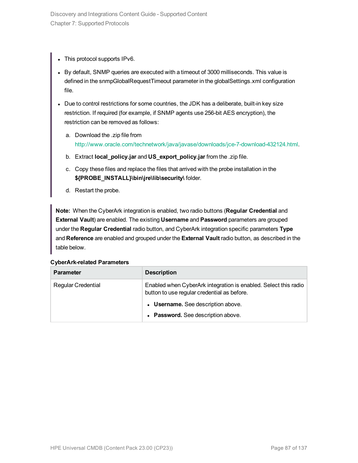- This protocol supports IPv6.
- By default, SNMP queries are executed with a timeout of 3000 milliseconds. This value is defined in the snmpGlobalRequestTimeout parameter in the globalSettings.xml configuration file.
- Due to control restrictions for some countries, the JDK has a deliberate, built-in key size restriction. If required (for example, if SNMP agents use 256-bit AES encryption), the restriction can be removed as follows:
	- a. Download the .zip file from <http://www.oracle.com/technetwork/java/javase/downloads/jce-7-download-432124.html>.
	- b. Extract **local\_policy.jar** and **US\_export\_policy.jar** from the .zip file.
	- c. Copy these files and replace the files that arrived with the probe installation in the **\${PROBE\_INSTALL}\bin\jre\lib\security\** folder.
	- d. Restart the probe.

**Note:** When the CyberArk integration is enabled, two radio buttons (**Regular Credential** and **External Vault**) are enabled. The existing **Username** and **Password** parameters are grouped under the **Regular Credential** radio button, and CyberArk integration specific parameters **Type** and **Reference** are enabled and grouped under the **External Vault** radio button, as described in the table below.

| <b>Parameter</b>          | <b>Description</b>                                                                                             |
|---------------------------|----------------------------------------------------------------------------------------------------------------|
| <b>Regular Credential</b> | Enabled when CyberArk integration is enabled. Select this radio<br>button to use regular credential as before. |
|                           | • Username. See description above.                                                                             |
|                           | • Password. See description above.                                                                             |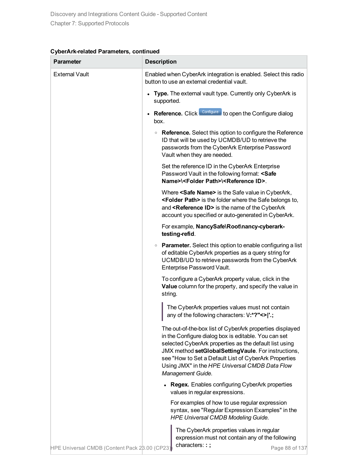| <b>Parameter</b>                              | <b>Description</b>                                                                                                                                                                                                                                                                                                                                                |
|-----------------------------------------------|-------------------------------------------------------------------------------------------------------------------------------------------------------------------------------------------------------------------------------------------------------------------------------------------------------------------------------------------------------------------|
| <b>External Vault</b>                         | Enabled when CyberArk integration is enabled. Select this radio<br>button to use an external credential vault.                                                                                                                                                                                                                                                    |
|                                               | • Type. The external vault type. Currently only CyberArk is<br>supported.                                                                                                                                                                                                                                                                                         |
|                                               | Reference. Click Configure to open the Configure dialog<br>box.                                                                                                                                                                                                                                                                                                   |
|                                               | • Reference. Select this option to configure the Reference<br>ID that will be used by UCMDB/UD to retrieve the<br>passwords from the CyberArk Enterprise Password<br>Vault when they are needed.                                                                                                                                                                  |
|                                               | Set the reference ID in the CyberArk Enterprise<br>Password Vault in the following format: <safe<br>Name&gt;\<folder path="">\<reference id="">.</reference></folder></safe<br>                                                                                                                                                                                   |
|                                               | Where <safe name=""> is the Safe value in CyberArk,<br/><folder path=""> is the folder where the Safe belongs to,<br/>and <reference id=""> is the name of the CyberArk<br/>account you specified or auto-generated in CyberArk.</reference></folder></safe>                                                                                                      |
|                                               | For example, NancySafe\Root\nancy-cyberark-<br>testing-refid.                                                                                                                                                                                                                                                                                                     |
|                                               | • Parameter. Select this option to enable configuring a list<br>of editable CyberArk properties as a query string for<br>UCMDB/UD to retrieve passwords from the CyberArk<br>Enterprise Password Vault.                                                                                                                                                           |
|                                               | To configure a CyberArk property value, click in the<br>Value column for the property, and specify the value in<br>string.                                                                                                                                                                                                                                        |
|                                               | The CyberArk properties values must not contain<br>any of the following characters: V:*?"<> '.;                                                                                                                                                                                                                                                                   |
|                                               | The out-of-the-box list of CyberArk properties displayed<br>in the Configure dialog box is editable. You can set<br>selected CyberArk properties as the default list using<br>JMX method setGlobalSettingVaule. For instructions,<br>see "How to Set a Default List of CyberArk Properties<br>Using JMX" in the HPE Universal CMDB Data Flow<br>Management Guide. |
|                                               | <b>Regex.</b> Enables configuring CyberArk properties<br>values in regular expressions.                                                                                                                                                                                                                                                                           |
|                                               | For examples of how to use regular expression<br>syntax, see "Regular Expression Examples" in the<br><b>HPE Universal CMDB Modeling Guide.</b>                                                                                                                                                                                                                    |
| HPE Universal CMDB (Content Pack 28.00 (CP23) | The CyberArk properties values in regular<br>expression must not contain any of the following<br>characters::;<br>Page 88 of 137                                                                                                                                                                                                                                  |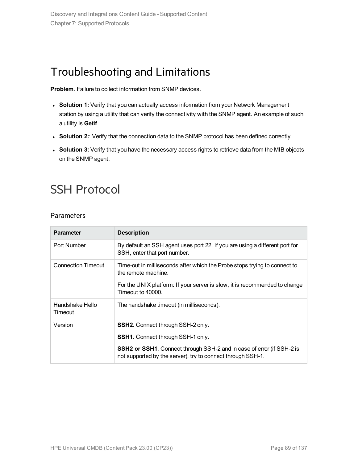### Troubleshooting and Limitations

**Problem**. Failure to collect information from SNMP devices.

- **Solution 1:** Verify that you can actually access information from your Network Management station by using a utility that can verify the connectivity with the SNMP agent. An example of such a utility is **GetIf**.
- **Solution 2::** Verify that the connection data to the SNMP protocol has been defined correctly.
- **Solution 3:** Verify that you have the necessary access rights to retrieve data from the MIB objects on the SNMP agent.

# <span id="page-88-0"></span>SSH Protocol

**Parameters** 

| <b>Parameter</b>           | <b>Description</b>                                                                                                                          |
|----------------------------|---------------------------------------------------------------------------------------------------------------------------------------------|
| Port Number                | By default an SSH agent uses port 22. If you are using a different port for<br>SSH, enter that port number.                                 |
| <b>Connection Timeout</b>  | Time-out in milliseconds after which the Probe stops trying to connect to<br>the remote machine.                                            |
|                            | For the UNIX platform: If your server is slow, it is recommended to change<br>Timeout to 40000.                                             |
| Handshake Hello<br>Timeout | The handshake timeout (in milliseconds).                                                                                                    |
| Version                    | <b>SSH2.</b> Connect through SSH-2 only.                                                                                                    |
|                            | <b>SSH1.</b> Connect through SSH-1 only.                                                                                                    |
|                            | <b>SSH2 or SSH1.</b> Connect through SSH-2 and in case of error (if SSH-2 is<br>not supported by the server), try to connect through SSH-1. |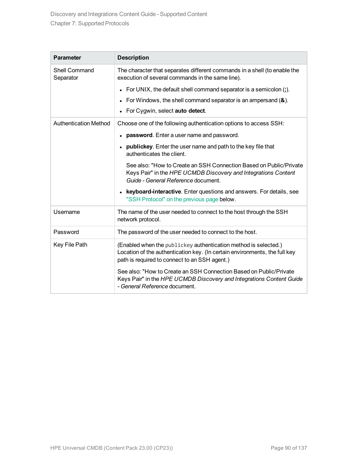| <b>Parameter</b>           | <b>Description</b>                                                                                                                                                                             |
|----------------------------|------------------------------------------------------------------------------------------------------------------------------------------------------------------------------------------------|
| Shell Command<br>Separator | The character that separates different commands in a shell (to enable the<br>execution of several commands in the same line).                                                                  |
|                            | • For UNIX, the default shell command separator is a semicolon $($ ;).                                                                                                                         |
|                            | For Windows, the shell command separator is an ampersand $(8)$ .                                                                                                                               |
|                            | For Cygwin, select auto detect.                                                                                                                                                                |
| Authentication Method      | Choose one of the following authentication options to access SSH:                                                                                                                              |
|                            | <b>password.</b> Enter a user name and password.                                                                                                                                               |
|                            | publickey. Enter the user name and path to the key file that<br>$\bullet$<br>authenticates the client.                                                                                         |
|                            | See also: "How to Create an SSH Connection Based on Public/Private<br>Keys Pair" in the HPE UCMDB Discovery and Integrations Content<br>Guide - General Reference document.                    |
|                            | keyboard-interactive. Enter questions and answers. For details, see<br>$\bullet$<br>"SSH Protocol" on the previous page below.                                                                 |
| Username                   | The name of the user needed to connect to the host through the SSH<br>network protocol.                                                                                                        |
| Password                   | The password of the user needed to connect to the host.                                                                                                                                        |
| Key File Path              | (Enabled when the publickey authentication method is selected.)<br>Location of the authentication key. (In certain environments, the full key<br>path is required to connect to an SSH agent.) |
|                            | See also: "How to Create an SSH Connection Based on Public/Private<br>Keys Pair" in the HPE UCMDB Discovery and Integrations Content Guide<br>- General Reference document.                    |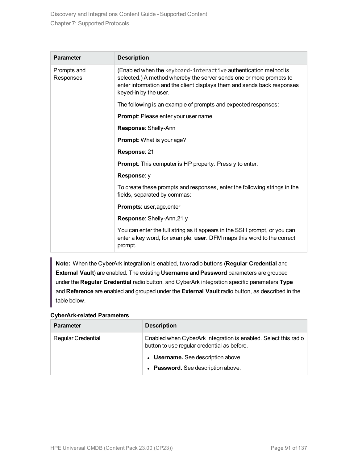| <b>Parameter</b>         | <b>Description</b>                                                                                                                                                                                                                         |
|--------------------------|--------------------------------------------------------------------------------------------------------------------------------------------------------------------------------------------------------------------------------------------|
| Prompts and<br>Responses | (Enabled when the keyboard-interactive authentication method is<br>selected.) A method whereby the server sends one or more prompts to<br>enter information and the client displays them and sends back responses<br>keyed-in by the user. |
|                          | The following is an example of prompts and expected responses:                                                                                                                                                                             |
|                          | Prompt: Please enter your user name.                                                                                                                                                                                                       |
|                          | Response: Shelly-Ann                                                                                                                                                                                                                       |
|                          | <b>Prompt:</b> What is your age?                                                                                                                                                                                                           |
|                          | Response: 21                                                                                                                                                                                                                               |
|                          | <b>Prompt:</b> This computer is HP property. Press y to enter.                                                                                                                                                                             |
|                          | Response: y                                                                                                                                                                                                                                |
|                          | To create these prompts and responses, enter the following strings in the<br>fields, separated by commas:                                                                                                                                  |
|                          | Prompts: user, age, enter                                                                                                                                                                                                                  |
|                          | Response: Shelly-Ann, 21, y                                                                                                                                                                                                                |
|                          | You can enter the full string as it appears in the SSH prompt, or you can<br>enter a key word, for example, user. DFM maps this word to the correct<br>prompt.                                                                             |

**Note:** When the CyberArk integration is enabled, two radio buttons (**Regular Credential** and **External Vault**) are enabled. The existing **Username** and **Password** parameters are grouped under the **Regular Credential** radio button, and CyberArk integration specific parameters **Type** and **Reference** are enabled and grouped under the **External Vault** radio button, as described in the table below.

| <b>Parameter</b>          | <b>Description</b>                                                                                             |
|---------------------------|----------------------------------------------------------------------------------------------------------------|
| <b>Regular Credential</b> | Enabled when CyberArk integration is enabled. Select this radio<br>button to use regular credential as before. |
|                           | • Username. See description above.                                                                             |
|                           | • Password. See description above.                                                                             |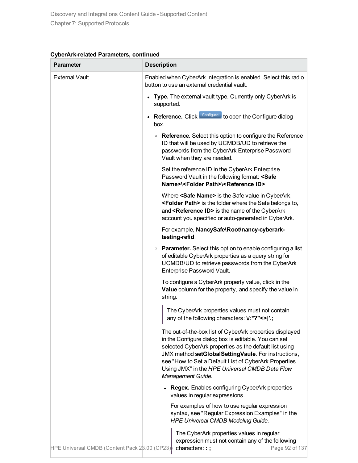#### **CyberArk-related Parameters, continued**

| <b>Parameter</b>                              | <b>Description</b>                                                                                                                                                                                                                                                                                                                                                |
|-----------------------------------------------|-------------------------------------------------------------------------------------------------------------------------------------------------------------------------------------------------------------------------------------------------------------------------------------------------------------------------------------------------------------------|
| <b>External Vault</b>                         | Enabled when CyberArk integration is enabled. Select this radio<br>button to use an external credential vault.                                                                                                                                                                                                                                                    |
|                                               | Type. The external vault type. Currently only CyberArk is<br>$\bullet$<br>supported.                                                                                                                                                                                                                                                                              |
|                                               | Reference. Click Configure to open the Configure dialog<br>$\bullet$<br>box.                                                                                                                                                                                                                                                                                      |
|                                               | • Reference. Select this option to configure the Reference<br>ID that will be used by UCMDB/UD to retrieve the<br>passwords from the CyberArk Enterprise Password<br>Vault when they are needed.                                                                                                                                                                  |
|                                               | Set the reference ID in the CyberArk Enterprise<br>Password Vault in the following format: <safe<br>Name&gt;\<folder path="">\<reference id="">.</reference></folder></safe<br>                                                                                                                                                                                   |
|                                               | Where <safe name=""> is the Safe value in CyberArk,<br/><folder path=""> is the folder where the Safe belongs to,<br/>and <reference id=""> is the name of the CyberArk<br/>account you specified or auto-generated in CyberArk.</reference></folder></safe>                                                                                                      |
|                                               | For example, NancySafe\Root\nancy-cyberark-<br>testing-refid.                                                                                                                                                                                                                                                                                                     |
|                                               | • Parameter. Select this option to enable configuring a list<br>of editable CyberArk properties as a query string for<br>UCMDB/UD to retrieve passwords from the CyberArk<br>Enterprise Password Vault.                                                                                                                                                           |
|                                               | To configure a CyberArk property value, click in the<br>Value column for the property, and specify the value in<br>string.                                                                                                                                                                                                                                        |
|                                               | The CyberArk properties values must not contain<br>any of the following characters: V:*?"<> '.;                                                                                                                                                                                                                                                                   |
|                                               | The out-of-the-box list of CyberArk properties displayed<br>in the Configure dialog box is editable. You can set<br>selected CyberArk properties as the default list using<br>JMX method setGlobalSettingVaule. For instructions,<br>see "How to Set a Default List of CyberArk Properties<br>Using JMX" in the HPE Universal CMDB Data Flow<br>Management Guide. |
|                                               | • Regex. Enables configuring CyberArk properties<br>values in regular expressions.                                                                                                                                                                                                                                                                                |
|                                               | For examples of how to use regular expression<br>syntax, see "Regular Expression Examples" in the<br><b>HPE Universal CMDB Modeling Guide.</b>                                                                                                                                                                                                                    |
| HPE Universal CMDB (Content Pack 23.00 (CP23) | The CyberArk properties values in regular<br>expression must not contain any of the following<br>characters::;<br>Page 92 of 137                                                                                                                                                                                                                                  |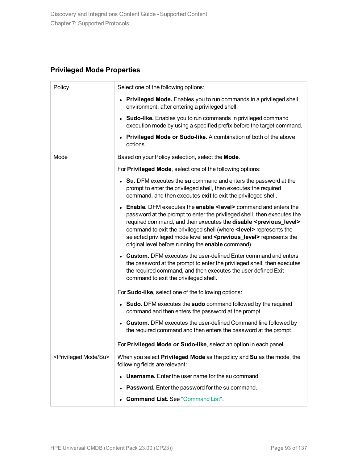### **Privileged Mode Properties**

| Policy                                  | Select one of the following options:                                                                                                                                                                                                                                                                                                                                                                                                                                               |
|-----------------------------------------|------------------------------------------------------------------------------------------------------------------------------------------------------------------------------------------------------------------------------------------------------------------------------------------------------------------------------------------------------------------------------------------------------------------------------------------------------------------------------------|
|                                         | • Privileged Mode. Enables you to run commands in a privileged shell<br>environment, after entering a privileged shell.                                                                                                                                                                                                                                                                                                                                                            |
|                                         | • Sudo-like. Enables you to run commands in privileged command<br>execution mode by using a specified prefix before the target command.                                                                                                                                                                                                                                                                                                                                            |
|                                         | • Privileged Mode or Sudo-like. A combination of both of the above<br>options.                                                                                                                                                                                                                                                                                                                                                                                                     |
| Mode                                    | Based on your Policy selection, select the Mode.                                                                                                                                                                                                                                                                                                                                                                                                                                   |
|                                         | For Privileged Mode, select one of the following options:                                                                                                                                                                                                                                                                                                                                                                                                                          |
|                                         | • Su. DFM executes the su command and enters the password at the<br>prompt to enter the privileged shell, then executes the required<br>command, and then executes exit to exit the privileged shell.                                                                                                                                                                                                                                                                              |
|                                         | <b>Enable.</b> DFM executes the <b>enable <level></level></b> command and enters the<br>password at the prompt to enter the privileged shell, then executes the<br>required command, and then executes the disable <previous_level><br/>command to exit the privileged shell (where <level> represents the<br/>selected privileged mode level and <previous_level> represents the<br/>original level before running the enable command).</previous_level></level></previous_level> |
|                                         | <b>Custom.</b> DFM executes the user-defined Enter command and enters<br>the password at the prompt to enter the privileged shell, then executes<br>the required command, and then executes the user-defined Exit<br>command to exit the privileged shell.                                                                                                                                                                                                                         |
|                                         | For Sudo-like, select one of the following options:                                                                                                                                                                                                                                                                                                                                                                                                                                |
|                                         | • Sudo. DFM executes the sudo command followed by the required<br>command and then enters the password at the prompt.                                                                                                                                                                                                                                                                                                                                                              |
|                                         | • Custom. DFM executes the user-defined Command line followed by<br>the required command and then enters the password at the prompt.                                                                                                                                                                                                                                                                                                                                               |
|                                         | For Privileged Mode or Sudo-like, select an option in each panel.                                                                                                                                                                                                                                                                                                                                                                                                                  |
| <privileged mode="" su=""></privileged> | When you select Privileged Mode as the policy and Su as the mode, the<br>following fields are relevant:                                                                                                                                                                                                                                                                                                                                                                            |
|                                         | <b>Username.</b> Enter the user name for the su command.                                                                                                                                                                                                                                                                                                                                                                                                                           |
|                                         | <b>Password.</b> Enter the password for the su command.                                                                                                                                                                                                                                                                                                                                                                                                                            |
|                                         | <b>Command List. See "Command List".</b>                                                                                                                                                                                                                                                                                                                                                                                                                                           |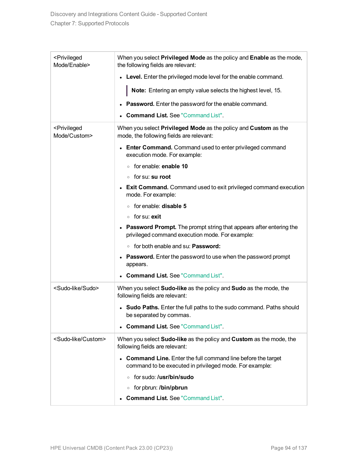| <privileged<br>Mode/Enable&gt;</privileged<br> | When you select Privileged Mode as the policy and Enable as the mode,<br>the following fields are relevant:                               |
|------------------------------------------------|-------------------------------------------------------------------------------------------------------------------------------------------|
|                                                | • Level. Enter the privileged mode level for the enable command.                                                                          |
|                                                | Note: Entering an empty value selects the highest level, 15.                                                                              |
|                                                | <b>Password.</b> Enter the password for the enable command.                                                                               |
|                                                | <b>Command List. See "Command List".</b>                                                                                                  |
| <privileged<br>Mode/Custom&gt;</privileged<br> | When you select Privileged Mode as the policy and Custom as the<br>mode, the following fields are relevant:                               |
|                                                | <b>Enter Command.</b> Command used to enter privileged command<br>execution mode. For example:                                            |
|                                                | for enable: enable 10<br>$\circ$                                                                                                          |
|                                                | ∘ for su: <b>su root</b>                                                                                                                  |
|                                                | <b>Exit Command.</b> Command used to exit privileged command execution<br>mode. For example:                                              |
|                                                | ○ for enable: <b>disable 5</b>                                                                                                            |
|                                                | ∘ for su: exit                                                                                                                            |
|                                                | <b>Password Prompt.</b> The prompt string that appears after entering the<br>$\bullet$<br>privileged command execution mode. For example: |
|                                                | ∘ for both enable and su: <b>Password:</b>                                                                                                |
|                                                | <b>Password.</b> Enter the password to use when the password prompt<br>$\bullet$<br>appears.                                              |
|                                                | <b>Command List. See "Command List".</b>                                                                                                  |
| <sudo-like sudo=""></sudo-like>                | When you select <b>Sudo-like</b> as the policy and <b>Sudo</b> as the mode, the<br>following fields are relevant:                         |
|                                                | • Sudo Paths. Enter the full paths to the sudo command. Paths should<br>be separated by commas.                                           |
|                                                | <b>Command List. See "Command List".</b>                                                                                                  |
| <sudo-like custom=""></sudo-like>              | When you select <b>Sudo-like</b> as the policy and <b>Custom</b> as the mode, the<br>following fields are relevant:                       |
|                                                | <b>Command Line.</b> Enter the full command line before the target<br>command to be executed in privileged mode. For example:             |
|                                                | ○ for sudo: / <b>usr/bin/sudo</b>                                                                                                         |
|                                                | ○ for pbrun: /bin/pbrun                                                                                                                   |
|                                                | <b>Command List. See "Command List".</b>                                                                                                  |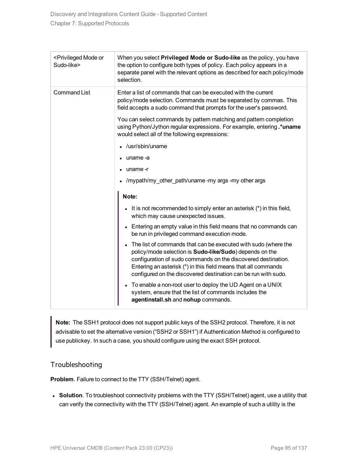<span id="page-94-0"></span>

| <privileged mode="" or<br="">Sudo-like&gt;</privileged> | When you select Privileged Mode or Sudo-like as the policy, you have<br>the option to configure both types of policy. Each policy appears in a<br>separate panel with the relevant options as described for each policy/mode<br>selection.                                                                                                  |
|---------------------------------------------------------|---------------------------------------------------------------------------------------------------------------------------------------------------------------------------------------------------------------------------------------------------------------------------------------------------------------------------------------------|
| <b>Command List</b>                                     | Enter a list of commands that can be executed with the current<br>policy/mode selection. Commands must be separated by commas. This<br>field accepts a sudo command that prompts for the user's password.                                                                                                                                   |
|                                                         | You can select commands by pattern matching and pattern completion<br>using Python/Jython regular expressions. For example, entering .* uname<br>would select all of the following expressions:                                                                                                                                             |
|                                                         | /usr/sbin/uname                                                                                                                                                                                                                                                                                                                             |
|                                                         | uname-a                                                                                                                                                                                                                                                                                                                                     |
|                                                         | uname-r                                                                                                                                                                                                                                                                                                                                     |
|                                                         | /mypath/my_other_path/uname -my args -my other args                                                                                                                                                                                                                                                                                         |
|                                                         | Note:                                                                                                                                                                                                                                                                                                                                       |
|                                                         | It is not recommended to simply enter an asterisk $(*)$ in this field,<br>which may cause unexpected issues.                                                                                                                                                                                                                                |
|                                                         | • Entering an empty value in this field means that no commands can<br>be run in privileged command execution mode.                                                                                                                                                                                                                          |
|                                                         | The list of commands that can be executed with sudo (where the<br>$\bullet$<br>policy/mode selection is Sudo-like/Sudo) depends on the<br>configuration of sudo commands on the discovered destination.<br>Entering an asterisk (*) in this field means that all commands<br>configured on the discovered destination can be run with sudo. |
|                                                         | To enable a non-root user to deploy the UD Agent on a UNIX<br>$\bullet$<br>system, ensure that the list of commands includes the<br>agentinstall.sh and nohup commands.                                                                                                                                                                     |

**Note:** The SSH1 protocol does not support public keys of the SSH2 protocol. Therefore, it is not advisable to set the alternative version ("SSH2 or SSH1") if Authentication Method is configured to use publickey. In such a case, you should configure using the exact SSH protocol.

#### Troubleshooting

**Problem**. Failure to connect to the TTY (SSH/Telnet) agent.

**Solution**. To troubleshoot connectivity problems with the TTY (SSH/Telnet) agent, use a utility that can verify the connectivity with the TTY (SSH/Telnet) agent. An example of such a utility is the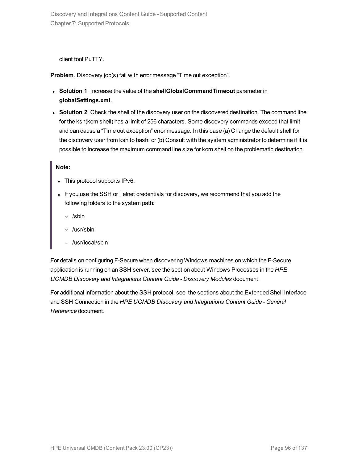client tool PuTTY.

**Problem**. Discovery job(s) fail with error message "Time out exception".

- <sup>l</sup> **Solution 1**. Increase the value of the **shellGlobalCommandTimeout** parameter in **globalSettings.xml**.
- **Solution 2.** Check the shell of the discovery user on the discovered destination. The command line for the ksh(korn shell) has a limit of 256 characters. Some discovery commands exceed that limit and can cause a "Time out exception" error message. In this case (a) Change the default shell for the discovery user from ksh to bash; or (b) Consult with the system administrator to determine if it is possible to increase the maximum command line size for korn shell on the problematic destination.

#### **Note:**

- This protocol supports IPv6.
- If you use the SSH or Telnet credentials for discovery, we recommend that you add the following folders to the system path:
	- <sup>o</sup> /sbin
	- <sup>o</sup> /usr/sbin
	- <sup>o</sup> /usr/local/sbin

For details on configuring F-Secure when discovering Windows machines on which the F-Secure application is running on an SSH server, see the section about Windows Processes in the *HPE UCMDB Discovery and Integrations Content Guide - Discovery Modules* document.

For additional information about the SSH protocol, see the sections about the Extended Shell Interface and SSH Connection in the *HPE UCMDB Discovery and Integrations Content Guide - General Reference* document.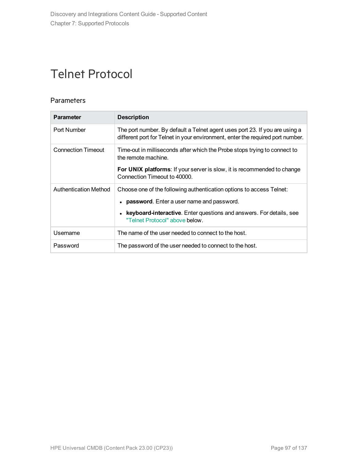# <span id="page-96-0"></span>Telnet Protocol

### **Parameters**

| <b>Parameter</b>             | <b>Description</b>                                                                                                                                                                                                                             |
|------------------------------|------------------------------------------------------------------------------------------------------------------------------------------------------------------------------------------------------------------------------------------------|
| Port Number                  | The port number. By default a Telnet agent uses port 23. If you are using a<br>different port for Telnet in your environment, enter the required port number.                                                                                  |
| <b>Connection Timeout</b>    | Time-out in milliseconds after which the Probe stops trying to connect to<br>the remote machine.                                                                                                                                               |
|                              | For UNIX platforms: If your server is slow, it is recommended to change<br>Connection Timeout to 40000.                                                                                                                                        |
| <b>Authentication Method</b> | Choose one of the following authentication options to access Telnet:<br><b>password.</b> Enter a user name and password.<br>$\bullet$<br>keyboard-interactive. Enter questions and answers. For details, see<br>"Telnet Protocol" above below. |
| Username                     | The name of the user needed to connect to the host.                                                                                                                                                                                            |
| Password                     | The password of the user needed to connect to the host.                                                                                                                                                                                        |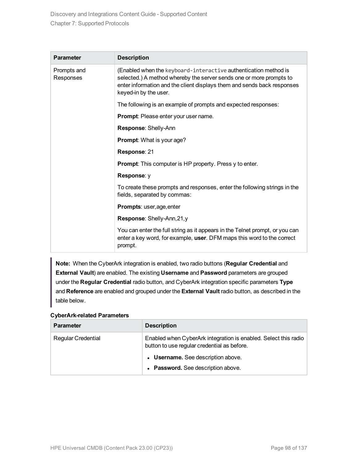| <b>Parameter</b>         | <b>Description</b>                                                                                                                                                                                                                         |
|--------------------------|--------------------------------------------------------------------------------------------------------------------------------------------------------------------------------------------------------------------------------------------|
| Prompts and<br>Responses | (Enabled when the keyboard-interactive authentication method is<br>selected.) A method whereby the server sends one or more prompts to<br>enter information and the client displays them and sends back responses<br>keyed-in by the user. |
|                          | The following is an example of prompts and expected responses:                                                                                                                                                                             |
|                          | Prompt: Please enter your user name.                                                                                                                                                                                                       |
|                          | Response: Shelly-Ann                                                                                                                                                                                                                       |
|                          | <b>Prompt:</b> What is your age?                                                                                                                                                                                                           |
|                          | Response: 21                                                                                                                                                                                                                               |
|                          | <b>Prompt:</b> This computer is HP property. Press y to enter.                                                                                                                                                                             |
|                          | Response: y                                                                                                                                                                                                                                |
|                          | To create these prompts and responses, enter the following strings in the<br>fields, separated by commas:                                                                                                                                  |
|                          | Prompts: user, age, enter                                                                                                                                                                                                                  |
|                          | Response: Shelly-Ann, 21, y                                                                                                                                                                                                                |
|                          | You can enter the full string as it appears in the Telnet prompt, or you can<br>enter a key word, for example, user. DFM maps this word to the correct<br>prompt.                                                                          |

**Note:** When the CyberArk integration is enabled, two radio buttons (**Regular Credential** and **External Vault**) are enabled. The existing **Username** and **Password** parameters are grouped under the **Regular Credential** radio button, and CyberArk integration specific parameters **Type** and **Reference** are enabled and grouped under the **External Vault** radio button, as described in the table below.

| <b>Parameter</b>          | <b>Description</b>                                                                                             |
|---------------------------|----------------------------------------------------------------------------------------------------------------|
| <b>Regular Credential</b> | Enabled when CyberArk integration is enabled. Select this radio<br>button to use regular credential as before. |
|                           | • Username. See description above.                                                                             |
|                           | • Password. See description above.                                                                             |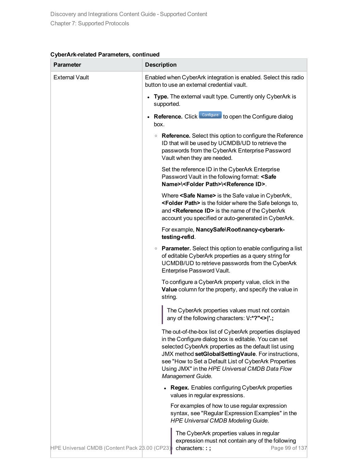#### **CyberArk-related Parameters, continued**

| <b>Parameter</b>                              | <b>Description</b>                                                                                                                                                                                                                                                                                                                                                |
|-----------------------------------------------|-------------------------------------------------------------------------------------------------------------------------------------------------------------------------------------------------------------------------------------------------------------------------------------------------------------------------------------------------------------------|
| <b>External Vault</b>                         | Enabled when CyberArk integration is enabled. Select this radio<br>button to use an external credential vault.                                                                                                                                                                                                                                                    |
|                                               | Type. The external vault type. Currently only CyberArk is<br>$\bullet$<br>supported.                                                                                                                                                                                                                                                                              |
|                                               | Reference. Click Configure to open the Configure dialog<br>$\bullet$<br>box.                                                                                                                                                                                                                                                                                      |
|                                               | • Reference. Select this option to configure the Reference<br>ID that will be used by UCMDB/UD to retrieve the<br>passwords from the CyberArk Enterprise Password<br>Vault when they are needed.                                                                                                                                                                  |
|                                               | Set the reference ID in the CyberArk Enterprise<br>Password Vault in the following format: <safe<br>Name&gt;\<folder path="">\<reference id="">.</reference></folder></safe<br>                                                                                                                                                                                   |
|                                               | Where <safe name=""> is the Safe value in CyberArk,<br/><folder path=""> is the folder where the Safe belongs to,<br/>and <reference id=""> is the name of the CyberArk<br/>account you specified or auto-generated in CyberArk.</reference></folder></safe>                                                                                                      |
|                                               | For example, NancySafe\Root\nancy-cyberark-<br>testing-refid.                                                                                                                                                                                                                                                                                                     |
|                                               | • Parameter. Select this option to enable configuring a list<br>of editable CyberArk properties as a query string for<br>UCMDB/UD to retrieve passwords from the CyberArk<br>Enterprise Password Vault.                                                                                                                                                           |
|                                               | To configure a CyberArk property value, click in the<br>Value column for the property, and specify the value in<br>string.                                                                                                                                                                                                                                        |
|                                               | The CyberArk properties values must not contain<br>any of the following characters: V:*?"<> '.;                                                                                                                                                                                                                                                                   |
|                                               | The out-of-the-box list of CyberArk properties displayed<br>in the Configure dialog box is editable. You can set<br>selected CyberArk properties as the default list using<br>JMX method setGlobalSettingVaule. For instructions,<br>see "How to Set a Default List of CyberArk Properties<br>Using JMX" in the HPE Universal CMDB Data Flow<br>Management Guide. |
|                                               | • Regex. Enables configuring CyberArk properties<br>values in regular expressions.                                                                                                                                                                                                                                                                                |
|                                               | For examples of how to use regular expression<br>syntax, see "Regular Expression Examples" in the<br><b>HPE Universal CMDB Modeling Guide.</b>                                                                                                                                                                                                                    |
| HPE Universal CMDB (Content Pack 23.00 (CP23) | The CyberArk properties values in regular<br>expression must not contain any of the following<br>characters::;<br>Page 99 of 137                                                                                                                                                                                                                                  |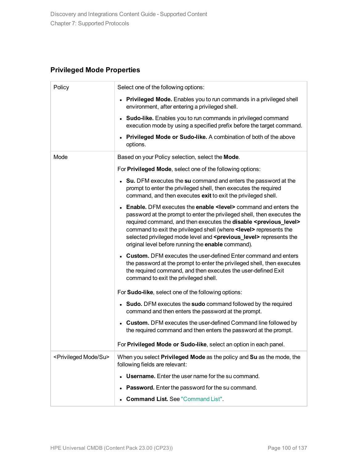### **Privileged Mode Properties**

| Policy                                  | Select one of the following options:                                                                                                                                                                                                                                                                                                                                                                                                                                               |
|-----------------------------------------|------------------------------------------------------------------------------------------------------------------------------------------------------------------------------------------------------------------------------------------------------------------------------------------------------------------------------------------------------------------------------------------------------------------------------------------------------------------------------------|
|                                         | • Privileged Mode. Enables you to run commands in a privileged shell<br>environment, after entering a privileged shell.                                                                                                                                                                                                                                                                                                                                                            |
|                                         | • Sudo-like. Enables you to run commands in privileged command<br>execution mode by using a specified prefix before the target command.                                                                                                                                                                                                                                                                                                                                            |
|                                         | Privileged Mode or Sudo-like. A combination of both of the above<br>options.                                                                                                                                                                                                                                                                                                                                                                                                       |
| Mode                                    | Based on your Policy selection, select the Mode.                                                                                                                                                                                                                                                                                                                                                                                                                                   |
|                                         | For Privileged Mode, select one of the following options:                                                                                                                                                                                                                                                                                                                                                                                                                          |
|                                         | • Su. DFM executes the su command and enters the password at the<br>prompt to enter the privileged shell, then executes the required<br>command, and then executes exit to exit the privileged shell.                                                                                                                                                                                                                                                                              |
|                                         | <b>Enable.</b> DFM executes the <b>enable <level></level></b> command and enters the<br>password at the prompt to enter the privileged shell, then executes the<br>required command, and then executes the disable <previous_level><br/>command to exit the privileged shell (where <level> represents the<br/>selected privileged mode level and <previous_level> represents the<br/>original level before running the enable command).</previous_level></level></previous_level> |
|                                         | <b>Custom.</b> DFM executes the user-defined Enter command and enters<br>the password at the prompt to enter the privileged shell, then executes<br>the required command, and then executes the user-defined Exit<br>command to exit the privileged shell.                                                                                                                                                                                                                         |
|                                         | For Sudo-like, select one of the following options:                                                                                                                                                                                                                                                                                                                                                                                                                                |
|                                         | • Sudo. DFM executes the sudo command followed by the required<br>command and then enters the password at the prompt.                                                                                                                                                                                                                                                                                                                                                              |
|                                         | <b>Custom.</b> DFM executes the user-defined Command line followed by<br>the required command and then enters the password at the prompt.                                                                                                                                                                                                                                                                                                                                          |
|                                         | For Privileged Mode or Sudo-like, select an option in each panel.                                                                                                                                                                                                                                                                                                                                                                                                                  |
| <privileged mode="" su=""></privileged> | When you select Privileged Mode as the policy and Su as the mode, the<br>following fields are relevant:                                                                                                                                                                                                                                                                                                                                                                            |
|                                         | Username. Enter the user name for the su command.                                                                                                                                                                                                                                                                                                                                                                                                                                  |
|                                         | Password. Enter the password for the su command.                                                                                                                                                                                                                                                                                                                                                                                                                                   |
|                                         | <b>Command List. See "Command List".</b>                                                                                                                                                                                                                                                                                                                                                                                                                                           |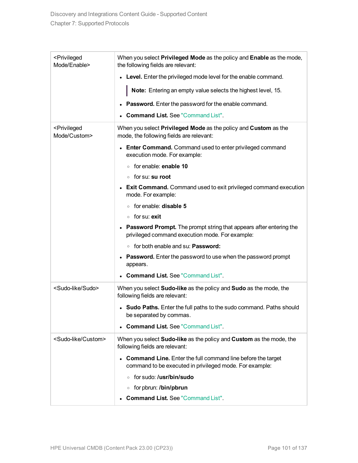| <privileged<br>Mode/Enable&gt;</privileged<br> | When you select Privileged Mode as the policy and Enable as the mode,<br>the following fields are relevant:                                |  |
|------------------------------------------------|--------------------------------------------------------------------------------------------------------------------------------------------|--|
|                                                | Level. Enter the privileged mode level for the enable command.<br>$\bullet$                                                                |  |
|                                                | Note: Entering an empty value selects the highest level, 15.                                                                               |  |
|                                                | <b>Password.</b> Enter the password for the enable command.                                                                                |  |
|                                                | <b>Command List. See "Command List".</b>                                                                                                   |  |
| <privileged<br>Mode/Custom&gt;</privileged<br> | When you select Privileged Mode as the policy and Custom as the<br>mode, the following fields are relevant:                                |  |
|                                                | <b>Enter Command.</b> Command used to enter privileged command<br>execution mode. For example:                                             |  |
|                                                | ○ for enable: enable 10                                                                                                                    |  |
|                                                | ∘ for su: <b>su root</b>                                                                                                                   |  |
|                                                | <b>Exit Command.</b> Command used to exit privileged command execution<br>mode. For example:                                               |  |
|                                                | $\circ$ for enable: <b>disable 5</b>                                                                                                       |  |
|                                                | ∘ for su: exit                                                                                                                             |  |
|                                                | <b>Password Prompt.</b> The prompt string that appears after entering the<br>$\bullet$<br>privileged command execution mode. For example:  |  |
|                                                | ∘ for both enable and su: <b>Password:</b>                                                                                                 |  |
|                                                | <b>Password.</b> Enter the password to use when the password prompt<br>$\bullet$<br>appears.                                               |  |
|                                                | <b>Command List. See "Command List".</b>                                                                                                   |  |
| <sudo-like sudo=""></sudo-like>                | When you select Sudo-like as the policy and Sudo as the mode, the<br>following fields are relevant:                                        |  |
|                                                | • Sudo Paths. Enter the full paths to the sudo command. Paths should<br>be separated by commas.                                            |  |
|                                                | <b>Command List. See "Command List".</b>                                                                                                   |  |
| <sudo-like custom=""></sudo-like>              | When you select Sudo-like as the policy and Custom as the mode, the<br>following fields are relevant:                                      |  |
|                                                | <b>Command Line.</b> Enter the full command line before the target<br>$\bullet$<br>command to be executed in privileged mode. For example: |  |
|                                                | ∘ for sudo: / <b>usr/bin/sudo</b>                                                                                                          |  |
|                                                | ○ for pbrun: /bin/pbrun                                                                                                                    |  |
|                                                | <b>Command List. See "Command List".</b>                                                                                                   |  |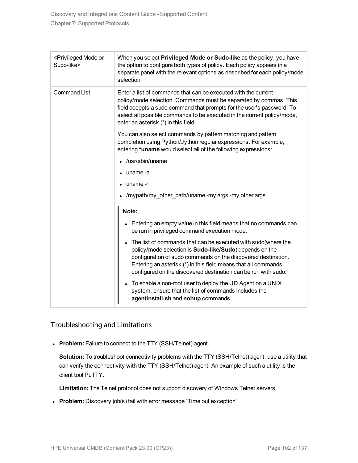<span id="page-101-0"></span>

| <privileged mode="" or<br="">Sudo-like&gt;</privileged> | When you select Privileged Mode or Sudo-like as the policy, you have<br>the option to configure both types of policy. Each policy appears in a<br>separate panel with the relevant options as described for each policy/mode<br>selection.                                                                                      |
|---------------------------------------------------------|---------------------------------------------------------------------------------------------------------------------------------------------------------------------------------------------------------------------------------------------------------------------------------------------------------------------------------|
| <b>Command List</b>                                     | Enter a list of commands that can be executed with the current<br>policy/mode selection. Commands must be separated by commas. This<br>field accepts a sudo command that prompts for the user's password. To<br>select all possible commands to be executed in the current policy/mode,<br>enter an asterisk (*) in this field. |
|                                                         | You can also select commands by pattern matching and pattern<br>completion using Python/Jython regular expressions. For example,<br>entering *uname would select all of the following expressions:                                                                                                                              |
|                                                         | /usr/sbin/uname                                                                                                                                                                                                                                                                                                                 |
|                                                         | uname-a                                                                                                                                                                                                                                                                                                                         |
|                                                         | uname-r                                                                                                                                                                                                                                                                                                                         |
|                                                         | /mypath/my other path/uname -my args -my other args                                                                                                                                                                                                                                                                             |
|                                                         | Note:                                                                                                                                                                                                                                                                                                                           |
|                                                         | Entering an empty value in this field means that no commands can<br>be run in privileged command execution mode.                                                                                                                                                                                                                |
|                                                         | The list of commands that can be executed with sudo (where the<br>policy/mode selection is Sudo-like/Sudo) depends on the<br>configuration of sudo commands on the discovered destination.<br>Entering an asterisk (*) in this field means that all commands<br>configured on the discovered destination can be run with sudo.  |
|                                                         | To enable a non-root user to deploy the UD Agent on a UNIX<br>$\bullet$<br>system, ensure that the list of commands includes the<br>agentinstall.sh and nohup commands.                                                                                                                                                         |

### Troubleshooting and Limitations

**Problem:** Failure to connect to the TTY (SSH/Telnet) agent.

**Solution:** To troubleshoot connectivity problems with the TTY (SSH/Telnet) agent, use a utility that can verify the connectivity with the TTY (SSH/Telnet) agent. An example of such a utility is the client tool PuTTY.

**Limitation:** The Telnet protocol does not support discovery of Windows Telnet servers.

**Problem:** Discovery job(s) fail with error message "Time out exception".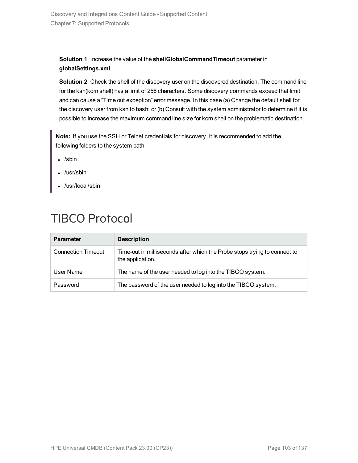### **Solution 1**. Increase the value of the **shellGlobalCommandTimeout** parameter in **globalSettings.xml**.

**Solution 2**. Check the shell of the discovery user on the discovered destination. The command line for the ksh(korn shell) has a limit of 256 characters. Some discovery commands exceed that limit and can cause a "Time out exception" error message. In this case (a) Change the default shell for the discovery user from ksh to bash; or (b) Consult with the system administrator to determine if it is possible to increase the maximum command line size for korn shell on the problematic destination.

**Note:** If you use the SSH or Telnet credentials for discovery, it is recommended to add the following folders to the system path:

- $\cdot$  /sbin
- $\cdot$  /usr/sbin
- /usr/local/sbin

# TIBCO Protocol

| <b>Parameter</b>          | <b>Description</b>                                                                            |
|---------------------------|-----------------------------------------------------------------------------------------------|
| <b>Connection Timeout</b> | Time-out in milliseconds after which the Probe stops trying to connect to<br>the application. |
| User Name                 | The name of the user needed to log into the TIBCO system.                                     |
| Password                  | The password of the user needed to log into the TIBCO system.                                 |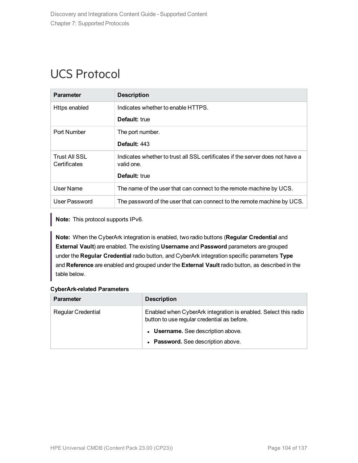# UCS Protocol

| <b>Parameter</b>              | <b>Description</b>                                                                          |
|-------------------------------|---------------------------------------------------------------------------------------------|
| Https enabled                 | Indicates whether to enable HTTPS.                                                          |
|                               | <b>Default:</b> true                                                                        |
| Port Number                   | The port number.                                                                            |
|                               | Default: 443                                                                                |
| Trust All SSL<br>Certificates | Indicates whether to trust all SSL certificates if the server does not have a<br>valid one. |
|                               | <b>Default:</b> true                                                                        |
| User Name                     | The name of the user that can connect to the remote machine by UCS.                         |
| User Password                 | The password of the user that can connect to the remote machine by UCS.                     |

**Note:** This protocol supports IPv6.

**Note:** When the CyberArk integration is enabled, two radio buttons (**Regular Credential** and **External Vault**) are enabled. The existing **Username** and **Password** parameters are grouped under the **Regular Credential** radio button, and CyberArk integration specific parameters **Type** and **Reference** are enabled and grouped under the **External Vault** radio button, as described in the table below.

| <b>Parameter</b>          | <b>Description</b>                                                                                             |
|---------------------------|----------------------------------------------------------------------------------------------------------------|
| <b>Regular Credential</b> | Enabled when CyberArk integration is enabled. Select this radio<br>button to use regular credential as before. |
|                           | • Username. See description above.                                                                             |
|                           | • Password. See description above.                                                                             |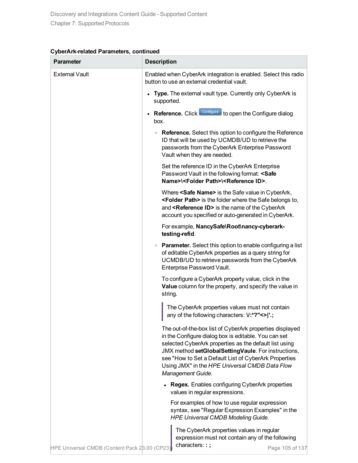| CyberArk-related Parameters, continued |  |  |
|----------------------------------------|--|--|
|----------------------------------------|--|--|

| <b>Parameter</b>                              | <b>Description</b>                                                                                                                                                                                                                                                                                                                                                |
|-----------------------------------------------|-------------------------------------------------------------------------------------------------------------------------------------------------------------------------------------------------------------------------------------------------------------------------------------------------------------------------------------------------------------------|
| <b>External Vault</b>                         | Enabled when CyberArk integration is enabled. Select this radio<br>button to use an external credential vault.                                                                                                                                                                                                                                                    |
|                                               | Type. The external vault type. Currently only CyberArk is<br>supported.                                                                                                                                                                                                                                                                                           |
|                                               | Reference. Click Configure to open the Configure dialog<br>box.                                                                                                                                                                                                                                                                                                   |
|                                               | • Reference. Select this option to configure the Reference<br>ID that will be used by UCMDB/UD to retrieve the<br>passwords from the CyberArk Enterprise Password<br>Vault when they are needed.                                                                                                                                                                  |
|                                               | Set the reference ID in the CyberArk Enterprise<br>Password Vault in the following format: <safe<br>Name&gt;\<folder path="">\<reference id="">.</reference></folder></safe<br>                                                                                                                                                                                   |
|                                               | Where <safe name=""> is the Safe value in CyberArk,<br/><folder path=""> is the folder where the Safe belongs to,<br/>and <reference id=""> is the name of the CyberArk<br/>account you specified or auto-generated in CyberArk.</reference></folder></safe>                                                                                                      |
|                                               | For example, NancySafe\Root\nancy-cyberark-<br>testing-refid.                                                                                                                                                                                                                                                                                                     |
|                                               | • Parameter. Select this option to enable configuring a list<br>of editable CyberArk properties as a query string for<br>UCMDB/UD to retrieve passwords from the CyberArk<br>Enterprise Password Vault.                                                                                                                                                           |
|                                               | To configure a CyberArk property value, click in the<br>Value column for the property, and specify the value in<br>string.                                                                                                                                                                                                                                        |
|                                               | The CyberArk properties values must not contain<br>any of the following characters: V:*?"<> '.;                                                                                                                                                                                                                                                                   |
|                                               | The out-of-the-box list of CyberArk properties displayed<br>in the Configure dialog box is editable. You can set<br>selected CyberArk properties as the default list using<br>JMX method setGlobalSettingVaule. For instructions,<br>see "How to Set a Default List of CyberArk Properties<br>Using JMX" in the HPE Universal CMDB Data Flow<br>Management Guide. |
|                                               | <b>Regex.</b> Enables configuring CyberArk properties<br>values in regular expressions.                                                                                                                                                                                                                                                                           |
|                                               | For examples of how to use regular expression<br>syntax, see "Regular Expression Examples" in the<br><b>HPE Universal CMDB Modeling Guide.</b>                                                                                                                                                                                                                    |
| HPE Universal CMDB (Content Pack 28.00 (CP23) | The CyberArk properties values in regular<br>expression must not contain any of the following<br>characters::;<br>Page 105 of 137                                                                                                                                                                                                                                 |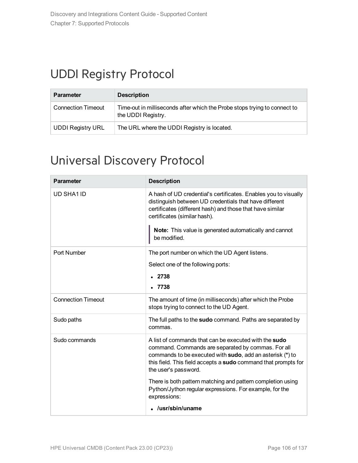# UDDI Registry Protocol

| <b>Parameter</b>          | <b>Description</b>                                                                              |
|---------------------------|-------------------------------------------------------------------------------------------------|
| <b>Connection Timeout</b> | Time-out in milliseconds after which the Probe stops trying to connect to<br>the UDDI Registry. |
| <b>UDDI Registry URL</b>  | The URL where the UDDI Registry is located.                                                     |

# Universal Discovery Protocol

| <b>Parameter</b>          | <b>Description</b>                                                                                                                                                                                                                                                                               |
|---------------------------|--------------------------------------------------------------------------------------------------------------------------------------------------------------------------------------------------------------------------------------------------------------------------------------------------|
| UD SHA1 ID                | A hash of UD credential's certificates. Enables you to visually<br>distinguish between UD credentials that have different<br>certificates (different hash) and those that have similar<br>certificates (similar hash).<br>Note: This value is generated automatically and cannot<br>be modified. |
| Port Number               | The port number on which the UD Agent listens.                                                                                                                                                                                                                                                   |
|                           | Select one of the following ports:                                                                                                                                                                                                                                                               |
|                           | 2738                                                                                                                                                                                                                                                                                             |
|                           | .7738                                                                                                                                                                                                                                                                                            |
| <b>Connection Timeout</b> | The amount of time (in milliseconds) after which the Probe<br>stops trying to connect to the UD Agent.                                                                                                                                                                                           |
| Sudo paths                | The full paths to the sudo command. Paths are separated by<br>commas.                                                                                                                                                                                                                            |
| Sudo commands             | A list of commands that can be executed with the sudo<br>command. Commands are separated by commas. For all<br>commands to be executed with sudo, add an asterisk (*) to<br>this field. This field accepts a sudo command that prompts for<br>the user's password.                               |
|                           | There is both pattern matching and pattern completion using<br>Python/Jython regular expressions. For example, for the<br>expressions:                                                                                                                                                           |
|                           | /usr/sbin/uname                                                                                                                                                                                                                                                                                  |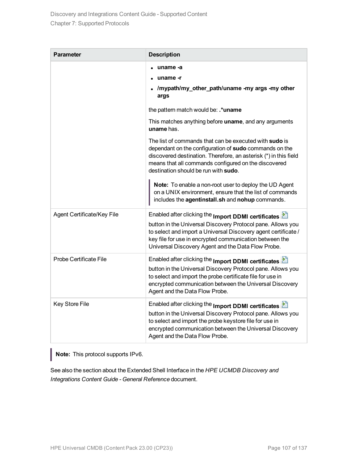| <b>Parameter</b>           | <b>Description</b>                                                                                                                                                                                                                                                                                    |
|----------------------------|-------------------------------------------------------------------------------------------------------------------------------------------------------------------------------------------------------------------------------------------------------------------------------------------------------|
|                            | uname -a                                                                                                                                                                                                                                                                                              |
|                            | uname -r                                                                                                                                                                                                                                                                                              |
|                            | /mypath/my_other_path/uname -my args -my other<br>args                                                                                                                                                                                                                                                |
|                            | the pattern match would be: .*uname                                                                                                                                                                                                                                                                   |
|                            | This matches anything before uname, and any arguments<br>uname has.                                                                                                                                                                                                                                   |
|                            | The list of commands that can be executed with sudo is<br>dependant on the configuration of sudo commands on the<br>discovered destination. Therefore, an asterisk (*) in this field<br>means that all commands configured on the discovered<br>destination should be run with sudo.                  |
|                            | Note: To enable a non-root user to deploy the UD Agent<br>on a UNIX environment, ensure that the list of commands<br>includes the agentinstall.sh and nohup commands.                                                                                                                                 |
| Agent Certificate/Key File | Enabled after clicking the Import DDMI certificates<br>button in the Universal Discovery Protocol pane. Allows you<br>to select and import a Universal Discovery agent certificate /<br>key file for use in encrypted communication between the<br>Universal Discovery Agent and the Data Flow Probe. |
| Probe Certificate File     | Enabled after clicking the Import DDMI certificates<br>button in the Universal Discovery Protocol pane. Allows you<br>to select and import the probe certificate file for use in<br>encrypted communication between the Universal Discovery<br>Agent and the Data Flow Probe.                         |
| Key Store File             | Enabled after clicking the Import DDMI certificates<br>button in the Universal Discovery Protocol pane. Allows you<br>to select and import the probe keystore file for use in<br>encrypted communication between the Universal Discovery<br>Agent and the Data Flow Probe.                            |

**Note:** This protocol supports IPv6.

See also the section about the Extended Shell Interface in the *HPE UCMDB Discovery and Integrations Content Guide - General Reference* document.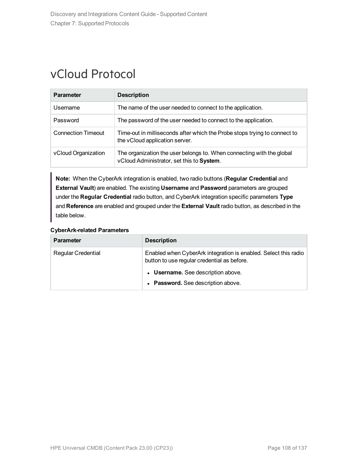### vCloud Protocol

| <b>Parameter</b>          | <b>Description</b>                                                                                                 |
|---------------------------|--------------------------------------------------------------------------------------------------------------------|
| Username                  | The name of the user needed to connect to the application.                                                         |
| Password                  | The password of the user needed to connect to the application.                                                     |
| <b>Connection Timeout</b> | Time-out in milliseconds after which the Probe stops trying to connect to<br>the vCloud application server.        |
| vCloud Organization       | The organization the user belongs to. When connecting with the global<br>vCloud Administrator, set this to System. |

**Note:** When the CyberArk integration is enabled, two radio buttons (**Regular Credential** and **External Vault**) are enabled. The existing **Username** and **Password** parameters are grouped under the **Regular Credential** radio button, and CyberArk integration specific parameters **Type** and **Reference** are enabled and grouped under the **External Vault** radio button, as described in the table below.

| <b>Parameter</b>          | <b>Description</b>                                                                                             |
|---------------------------|----------------------------------------------------------------------------------------------------------------|
| <b>Regular Credential</b> | Enabled when CyberArk integration is enabled. Select this radio<br>button to use regular credential as before. |
|                           | • Username. See description above.                                                                             |
|                           | • Password. See description above.                                                                             |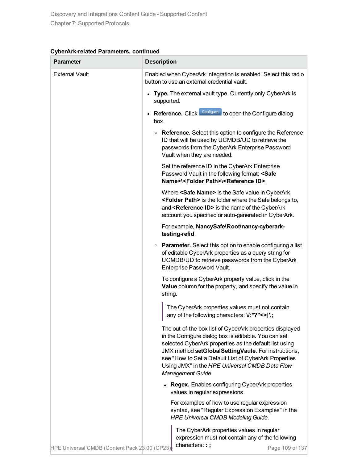| CyberArk-related Parameters, continued |  |  |
|----------------------------------------|--|--|
|----------------------------------------|--|--|

| <b>Parameter</b>                              | <b>Description</b>                                                                                                                                                                                                                                                                                                                                                |
|-----------------------------------------------|-------------------------------------------------------------------------------------------------------------------------------------------------------------------------------------------------------------------------------------------------------------------------------------------------------------------------------------------------------------------|
| <b>External Vault</b>                         | Enabled when CyberArk integration is enabled. Select this radio<br>button to use an external credential vault.                                                                                                                                                                                                                                                    |
|                                               | • Type. The external vault type. Currently only CyberArk is<br>supported.                                                                                                                                                                                                                                                                                         |
|                                               | Reference. Click Configure to open the Configure dialog<br>box.                                                                                                                                                                                                                                                                                                   |
|                                               | • Reference. Select this option to configure the Reference<br>ID that will be used by UCMDB/UD to retrieve the<br>passwords from the CyberArk Enterprise Password<br>Vault when they are needed.                                                                                                                                                                  |
|                                               | Set the reference ID in the CyberArk Enterprise<br>Password Vault in the following format: <safe<br>Name&gt;\<folder path="">\<reference id="">.</reference></folder></safe<br>                                                                                                                                                                                   |
|                                               | Where <safe name=""> is the Safe value in CyberArk,<br/><folder path=""> is the folder where the Safe belongs to,<br/>and <reference id=""> is the name of the CyberArk<br/>account you specified or auto-generated in CyberArk.</reference></folder></safe>                                                                                                      |
|                                               | For example, NancySafe\Root\nancy-cyberark-<br>testing-refid.                                                                                                                                                                                                                                                                                                     |
|                                               | • Parameter. Select this option to enable configuring a list<br>of editable CyberArk properties as a query string for<br>UCMDB/UD to retrieve passwords from the CyberArk<br>Enterprise Password Vault.                                                                                                                                                           |
|                                               | To configure a CyberArk property value, click in the<br>Value column for the property, and specify the value in<br>string.                                                                                                                                                                                                                                        |
|                                               | The CyberArk properties values must not contain<br>any of the following characters: V:*?"<> '.;                                                                                                                                                                                                                                                                   |
|                                               | The out-of-the-box list of CyberArk properties displayed<br>in the Configure dialog box is editable. You can set<br>selected CyberArk properties as the default list using<br>JMX method setGlobalSettingVaule. For instructions,<br>see "How to Set a Default List of CyberArk Properties<br>Using JMX" in the HPE Universal CMDB Data Flow<br>Management Guide. |
|                                               | <b>Regex.</b> Enables configuring CyberArk properties<br>values in regular expressions.                                                                                                                                                                                                                                                                           |
|                                               | For examples of how to use regular expression<br>syntax, see "Regular Expression Examples" in the<br><b>HPE Universal CMDB Modeling Guide.</b>                                                                                                                                                                                                                    |
| HPE Universal CMDB (Content Pack 28.00 (CP23) | The CyberArk properties values in regular<br>expression must not contain any of the following<br>characters::;<br>Page 109 of 137                                                                                                                                                                                                                                 |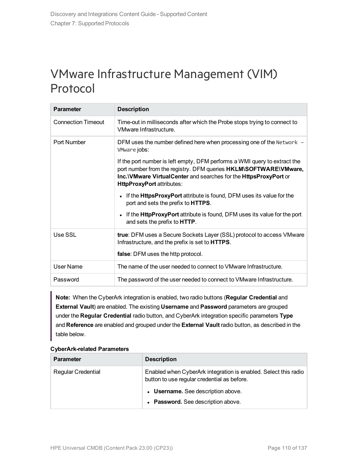## VMware Infrastructure Management (VIM) Protocol

| <b>Parameter</b>          | <b>Description</b>                                                                                                                                                                                                                                     |
|---------------------------|--------------------------------------------------------------------------------------------------------------------------------------------------------------------------------------------------------------------------------------------------------|
| <b>Connection Timeout</b> | Time-out in milliseconds after which the Probe stops trying to connect to<br>VMware Infrastructure.                                                                                                                                                    |
| Port Number               | DFM uses the number defined here when processing one of the Network -<br>VMware jobs:                                                                                                                                                                  |
|                           | If the port number is left empty, DFM performs a WMI query to extract the<br>port number from the registry. DFM queries HKLM\SOFTWARE\VMware,<br>Inc. VMware Virtual Center and searches for the HttpsProxyPort or<br><b>HttpProxyPort</b> attributes: |
|                           | If the <b>HttpsProxyPort</b> attribute is found, DFM uses its value for the<br>$\bullet$<br>port and sets the prefix to HTTPS.                                                                                                                         |
|                           | If the <b>HttpProxyPort</b> attribute is found, DFM uses its value for the port<br>$\bullet$<br>and sets the prefix to <b>HTTP</b> .                                                                                                                   |
| Use SSL                   | true: DFM uses a Secure Sockets Layer (SSL) protocol to access VMware<br>Infrastructure, and the prefix is set to <b>HTTPS</b> .                                                                                                                       |
|                           | false: DFM uses the http protocol.                                                                                                                                                                                                                     |
| User Name                 | The name of the user needed to connect to VMware Infrastructure.                                                                                                                                                                                       |
| Password                  | The password of the user needed to connect to VMware Infrastructure.                                                                                                                                                                                   |

**Note:** When the CyberArk integration is enabled, two radio buttons (**Regular Credential** and **External Vault**) are enabled. The existing **Username** and **Password** parameters are grouped under the **Regular Credential** radio button, and CyberArk integration specific parameters **Type** and **Reference** are enabled and grouped under the **External Vault** radio button, as described in the table below.

#### **CyberArk-related Parameters**

| <b>Parameter</b>          | <b>Description</b>                                                                                             |
|---------------------------|----------------------------------------------------------------------------------------------------------------|
| <b>Regular Credential</b> | Enabled when CyberArk integration is enabled. Select this radio<br>button to use regular credential as before. |
|                           | • Username. See description above.                                                                             |
|                           | • Password. See description above.                                                                             |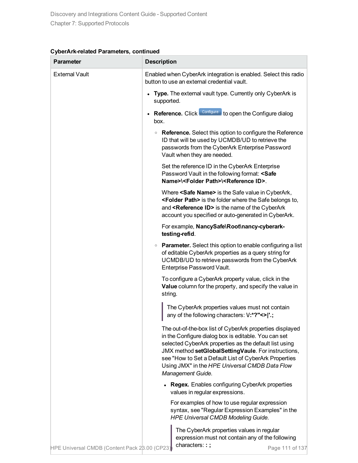| CyberArk-related Parameters, continued |  |  |
|----------------------------------------|--|--|
|----------------------------------------|--|--|

| <b>Parameter</b>                              | <b>Description</b>                                                                                                                                                                                                                                                                                                                                                |
|-----------------------------------------------|-------------------------------------------------------------------------------------------------------------------------------------------------------------------------------------------------------------------------------------------------------------------------------------------------------------------------------------------------------------------|
| <b>External Vault</b>                         | Enabled when CyberArk integration is enabled. Select this radio<br>button to use an external credential vault.                                                                                                                                                                                                                                                    |
|                                               | • Type. The external vault type. Currently only CyberArk is<br>supported.                                                                                                                                                                                                                                                                                         |
|                                               | Reference. Click Configure to open the Configure dialog<br>box.                                                                                                                                                                                                                                                                                                   |
|                                               | • Reference. Select this option to configure the Reference<br>ID that will be used by UCMDB/UD to retrieve the<br>passwords from the CyberArk Enterprise Password<br>Vault when they are needed.                                                                                                                                                                  |
|                                               | Set the reference ID in the CyberArk Enterprise<br>Password Vault in the following format: <safe<br>Name&gt;\<folder path="">\<reference id="">.</reference></folder></safe<br>                                                                                                                                                                                   |
|                                               | Where <safe name=""> is the Safe value in CyberArk,<br/><folder path=""> is the folder where the Safe belongs to,<br/>and <reference id=""> is the name of the CyberArk<br/>account you specified or auto-generated in CyberArk.</reference></folder></safe>                                                                                                      |
|                                               | For example, NancySafe\Root\nancy-cyberark-<br>testing-refid.                                                                                                                                                                                                                                                                                                     |
|                                               | • Parameter. Select this option to enable configuring a list<br>of editable CyberArk properties as a query string for<br>UCMDB/UD to retrieve passwords from the CyberArk<br>Enterprise Password Vault.                                                                                                                                                           |
|                                               | To configure a CyberArk property value, click in the<br>Value column for the property, and specify the value in<br>string.                                                                                                                                                                                                                                        |
|                                               | The CyberArk properties values must not contain<br>any of the following characters: V:*?"<> '.;                                                                                                                                                                                                                                                                   |
|                                               | The out-of-the-box list of CyberArk properties displayed<br>in the Configure dialog box is editable. You can set<br>selected CyberArk properties as the default list using<br>JMX method setGlobalSettingVaule. For instructions,<br>see "How to Set a Default List of CyberArk Properties<br>Using JMX" in the HPE Universal CMDB Data Flow<br>Management Guide. |
|                                               | <b>Regex.</b> Enables configuring CyberArk properties<br>values in regular expressions.                                                                                                                                                                                                                                                                           |
|                                               | For examples of how to use regular expression<br>syntax, see "Regular Expression Examples" in the<br><b>HPE Universal CMDB Modeling Guide.</b>                                                                                                                                                                                                                    |
| HPE Universal CMDB (Content Pack 28.00 (CP23) | The CyberArk properties values in regular<br>expression must not contain any of the following<br>characters::;<br>Page 111 of 137                                                                                                                                                                                                                                 |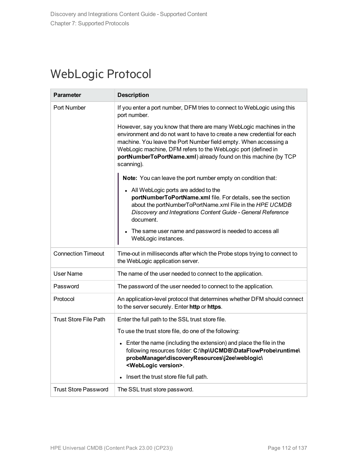## WebLogic Protocol

| <b>Parameter</b>             | <b>Description</b>                                                                                                                                                                                                                                                                                                                                                  |
|------------------------------|---------------------------------------------------------------------------------------------------------------------------------------------------------------------------------------------------------------------------------------------------------------------------------------------------------------------------------------------------------------------|
| Port Number                  | If you enter a port number, DFM tries to connect to WebLogic using this<br>port number.                                                                                                                                                                                                                                                                             |
|                              | However, say you know that there are many WebLogic machines in the<br>environment and do not want to have to create a new credential for each<br>machine. You leave the Port Number field empty. When accessing a<br>WebLogic machine, DFM refers to the WebLogic port (defined in<br>portNumberToPortName.xml) already found on this machine (by TCP<br>scanning). |
|                              | Note: You can leave the port number empty on condition that:                                                                                                                                                                                                                                                                                                        |
|                              | • All WebLogic ports are added to the<br>portNumberToPortName.xml file. For details, see the section<br>about the portNumberToPortName.xml File in the HPE UCMDB<br>Discovery and Integrations Content Guide - General Reference<br>document.                                                                                                                       |
|                              | • The same user name and password is needed to access all<br>WebLogic instances.                                                                                                                                                                                                                                                                                    |
| <b>Connection Timeout</b>    | Time-out in milliseconds after which the Probe stops trying to connect to<br>the WebLogic application server.                                                                                                                                                                                                                                                       |
| User Name                    | The name of the user needed to connect to the application.                                                                                                                                                                                                                                                                                                          |
| Password                     | The password of the user needed to connect to the application.                                                                                                                                                                                                                                                                                                      |
| Protocol                     | An application-level protocol that determines whether DFM should connect<br>to the server securely. Enter http or https.                                                                                                                                                                                                                                            |
| <b>Trust Store File Path</b> | Enter the full path to the SSL trust store file.                                                                                                                                                                                                                                                                                                                    |
|                              | To use the trust store file, do one of the following:                                                                                                                                                                                                                                                                                                               |
|                              | • Enter the name (including the extension) and place the file in the<br>following resources folder: C:\hp\UCMDB\DataFlowProbe\runtime\<br>probeManager\discoveryResources\j2ee\weblogic\<br><weblogic version="">.</weblogic>                                                                                                                                       |
|                              | Insert the trust store file full path.<br>$\bullet$                                                                                                                                                                                                                                                                                                                 |
| <b>Trust Store Password</b>  | The SSL trust store password.                                                                                                                                                                                                                                                                                                                                       |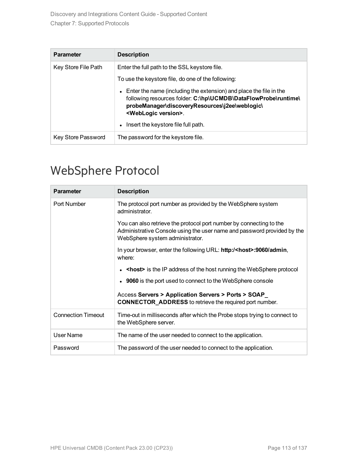| <b>Parameter</b>    | <b>Description</b>                                                                                                                                                                                                                       |
|---------------------|------------------------------------------------------------------------------------------------------------------------------------------------------------------------------------------------------------------------------------------|
| Key Store File Path | Enter the full path to the SSL keystore file.                                                                                                                                                                                            |
|                     | To use the keystore file, do one of the following:                                                                                                                                                                                       |
|                     | Enter the name (including the extension) and place the file in the<br>$\bullet$<br>following resources folder: C:\hp\UCMDB\DataFlowProbe\runtime\<br>probeManager\discoveryResources\j2ee\weblogic\<br><weblogic version="">.</weblogic> |
|                     | Insert the keystore file full path.<br>$\bullet$                                                                                                                                                                                         |
| Key Store Password  | The password for the keystore file.                                                                                                                                                                                                      |

## WebSphere Protocol

| <b>Parameter</b>          | <b>Description</b>                                                                                                                                                                |
|---------------------------|-----------------------------------------------------------------------------------------------------------------------------------------------------------------------------------|
| Port Number               | The protocol port number as provided by the WebSphere system<br>administrator.                                                                                                    |
|                           | You can also retrieve the protocol port number by connecting to the<br>Administrative Console using the user name and password provided by the<br>WebSphere system administrator. |
|                           | In your browser, enter the following URL: http:/ <host>:9060/admin,<br/>where:</host>                                                                                             |
|                           | <host> is the IP address of the host running the WebSphere protocol</host>                                                                                                        |
|                           | • 9060 is the port used to connect to the WebSphere console                                                                                                                       |
|                           | Access Servers > Application Servers > Ports > SOAP<br><b>CONNECTOR_ADDRESS</b> to retrieve the required port number.                                                             |
| <b>Connection Timeout</b> | Time-out in milliseconds after which the Probe stops trying to connect to<br>the WebSphere server.                                                                                |
| User Name                 | The name of the user needed to connect to the application.                                                                                                                        |
| Password                  | The password of the user needed to connect to the application.                                                                                                                    |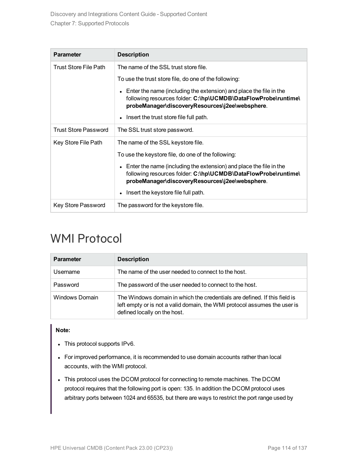| <b>Parameter</b>            | <b>Description</b>                                                                                                                                                                                   |
|-----------------------------|------------------------------------------------------------------------------------------------------------------------------------------------------------------------------------------------------|
| Trust Store File Path       | The name of the SSL trust store file.                                                                                                                                                                |
|                             | To use the trust store file, do one of the following:                                                                                                                                                |
|                             | Enter the name (including the extension) and place the file in the<br>$\bullet$<br>following resources folder: C:\hp\UCMDB\DataFlowProbe\runtime\<br>probeManager\discoveryResources\j2ee\websphere. |
|                             | Insert the trust store file full path.                                                                                                                                                               |
| <b>Trust Store Password</b> | The SSL trust store password.                                                                                                                                                                        |
| Key Store File Path         | The name of the SSL keystore file.                                                                                                                                                                   |
|                             | To use the keystore file, do one of the following:                                                                                                                                                   |
|                             | Enter the name (including the extension) and place the file in the<br>$\bullet$<br>following resources folder: C:\hp\UCMDB\DataFlowProbe\runtime\<br>probeManager\discoveryResources\j2ee\websphere. |
|                             | Insert the keystore file full path.<br>$\bullet$                                                                                                                                                     |
| Key Store Password          | The password for the keystore file.                                                                                                                                                                  |

## WMI Protocol

| <b>Parameter</b> | <b>Description</b>                                                                                                                                                                     |
|------------------|----------------------------------------------------------------------------------------------------------------------------------------------------------------------------------------|
| Username         | The name of the user needed to connect to the host.                                                                                                                                    |
| Password         | The password of the user needed to connect to the host.                                                                                                                                |
| Windows Domain   | The Windows domain in which the credentials are defined. If this field is<br>left empty or is not a valid domain, the WMI protocol assumes the user is<br>defined locally on the host. |

#### **Note:**

- This protocol supports  $IPv6$ .
- For improved performance, it is recommended to use domain accounts rather than local accounts, with the WMI protocol.
- This protocol uses the DCOM protocol for connecting to remote machines. The DCOM protocol requires that the following port is open: 135. In addition the DCOM protocol uses arbitrary ports between 1024 and 65535, but there are ways to restrict the port range used by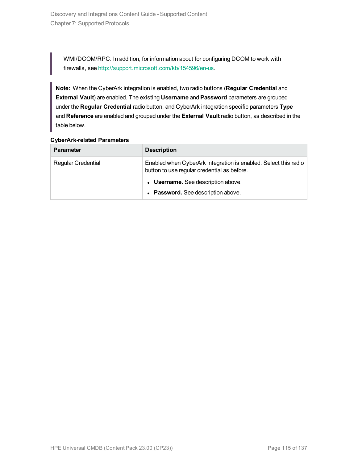WMI/DCOM/RPC. In addition, for information about for configuring DCOM to work with firewalls, see <http://support.microsoft.com/kb/154596/en-us>.

**Note:** When the CyberArk integration is enabled, two radio buttons (**Regular Credential** and **External Vault**) are enabled. The existing **Username** and **Password** parameters are grouped under the **Regular Credential** radio button, and CyberArk integration specific parameters **Type** and **Reference** are enabled and grouped under the **External Vault** radio button, as described in the table below.

#### **CyberArk-related Parameters**

| <b>Parameter</b>          | <b>Description</b>                                                                                             |
|---------------------------|----------------------------------------------------------------------------------------------------------------|
| <b>Regular Credential</b> | Enabled when CyberArk integration is enabled. Select this radio<br>button to use regular credential as before. |
|                           | • Username. See description above.                                                                             |
|                           | • Password. See description above.                                                                             |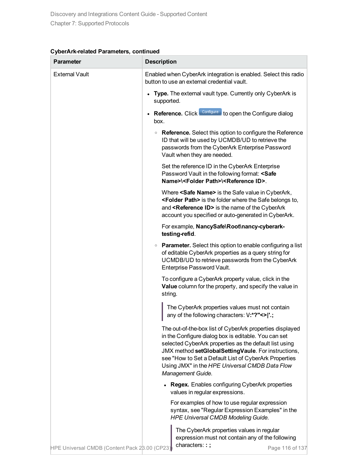| CyberArk-related Parameters, continued |  |  |
|----------------------------------------|--|--|
|----------------------------------------|--|--|

| Parameter                                     | <b>Description</b>                                                                                                                                                                                                                                                                                                                                                |  |
|-----------------------------------------------|-------------------------------------------------------------------------------------------------------------------------------------------------------------------------------------------------------------------------------------------------------------------------------------------------------------------------------------------------------------------|--|
| <b>External Vault</b>                         | Enabled when CyberArk integration is enabled. Select this radio<br>button to use an external credential vault.                                                                                                                                                                                                                                                    |  |
|                                               | Type. The external vault type. Currently only CyberArk is<br>supported.                                                                                                                                                                                                                                                                                           |  |
|                                               | Reference. Click Configure to open the Configure dialog<br>box.                                                                                                                                                                                                                                                                                                   |  |
|                                               | • Reference. Select this option to configure the Reference<br>ID that will be used by UCMDB/UD to retrieve the<br>passwords from the CyberArk Enterprise Password<br>Vault when they are needed.                                                                                                                                                                  |  |
|                                               | Set the reference ID in the CyberArk Enterprise<br>Password Vault in the following format: <safe<br>Name&gt;\<folder path="">\<reference id="">.</reference></folder></safe<br>                                                                                                                                                                                   |  |
|                                               | Where <safe name=""> is the Safe value in CyberArk,<br/><folder path=""> is the folder where the Safe belongs to,<br/>and <reference id=""> is the name of the CyberArk<br/>account you specified or auto-generated in CyberArk.</reference></folder></safe>                                                                                                      |  |
|                                               | For example, NancySafe\Root\nancy-cyberark-<br>testing-refid.                                                                                                                                                                                                                                                                                                     |  |
|                                               | • Parameter. Select this option to enable configuring a list<br>of editable CyberArk properties as a query string for<br>UCMDB/UD to retrieve passwords from the CyberArk<br>Enterprise Password Vault.                                                                                                                                                           |  |
|                                               | To configure a CyberArk property value, click in the<br>Value column for the property, and specify the value in<br>string.                                                                                                                                                                                                                                        |  |
|                                               | The CyberArk properties values must not contain<br>any of the following characters: V:*?"<> '.;                                                                                                                                                                                                                                                                   |  |
|                                               | The out-of-the-box list of CyberArk properties displayed<br>in the Configure dialog box is editable. You can set<br>selected CyberArk properties as the default list using<br>JMX method setGlobalSettingVaule. For instructions,<br>see "How to Set a Default List of CyberArk Properties<br>Using JMX" in the HPE Universal CMDB Data Flow<br>Management Guide. |  |
|                                               | <b>Regex.</b> Enables configuring CyberArk properties<br>values in regular expressions.                                                                                                                                                                                                                                                                           |  |
|                                               | For examples of how to use regular expression<br>syntax, see "Regular Expression Examples" in the<br><b>HPE Universal CMDB Modeling Guide.</b>                                                                                                                                                                                                                    |  |
| HPE Universal CMDB (Content Pack 28.00 (CP23) | The CyberArk properties values in regular<br>expression must not contain any of the following<br>characters::;<br>Page 116 of 137                                                                                                                                                                                                                                 |  |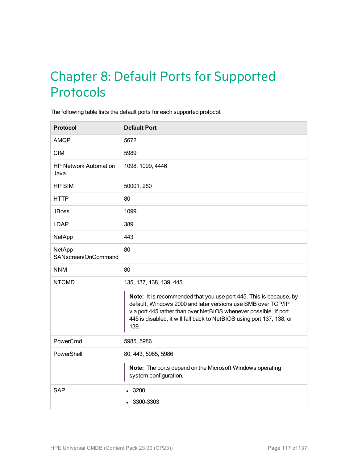# Chapter 8: Default Ports for Supported Protocols

The following table lists the default ports for each supported protocol.

| <b>Protocol</b>                      | <b>Default Port</b>                                                                                                                                                                                                                                                                                                |
|--------------------------------------|--------------------------------------------------------------------------------------------------------------------------------------------------------------------------------------------------------------------------------------------------------------------------------------------------------------------|
| <b>AMQP</b>                          | 5672                                                                                                                                                                                                                                                                                                               |
| <b>CIM</b>                           | 5989                                                                                                                                                                                                                                                                                                               |
| <b>HP Network Automation</b><br>Java | 1098, 1099, 4446                                                                                                                                                                                                                                                                                                   |
| <b>HP SIM</b>                        | 50001, 280                                                                                                                                                                                                                                                                                                         |
| <b>HTTP</b>                          | 80                                                                                                                                                                                                                                                                                                                 |
| <b>JBoss</b>                         | 1099                                                                                                                                                                                                                                                                                                               |
| <b>LDAP</b>                          | 389                                                                                                                                                                                                                                                                                                                |
| <b>NetApp</b>                        | 443                                                                                                                                                                                                                                                                                                                |
| NetApp<br>SANscreen/OnCommand        | 80                                                                                                                                                                                                                                                                                                                 |
| <b>NNM</b>                           | 80                                                                                                                                                                                                                                                                                                                 |
| <b>NTCMD</b>                         | 135, 137, 138, 139, 445<br>Note: It is recommended that you use port 445. This is because, by<br>default, Windows 2000 and later versions use SMB over TCP/IP<br>via port 445 rather than over NetBIOS whenever possible. If port<br>445 is disabled, it will fall back to NetBIOS using port 137, 138, or<br>139. |
| PowerCmd                             | 5985, 5986                                                                                                                                                                                                                                                                                                         |
| PowerShell                           | 80, 443, 5985, 5986<br>Note: The ports depend on the Microsoft Windows operating<br>system configuration.                                                                                                                                                                                                          |
| <b>SAP</b>                           | .3200<br>3300-3303                                                                                                                                                                                                                                                                                                 |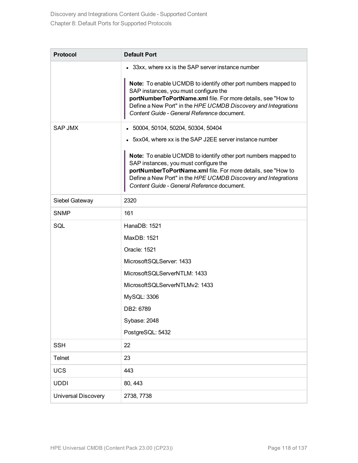| <b>Protocol</b>     | <b>Default Port</b>                                                                                                                                                                                                                                                                      |
|---------------------|------------------------------------------------------------------------------------------------------------------------------------------------------------------------------------------------------------------------------------------------------------------------------------------|
|                     | • 33xx, where xx is the SAP server instance number                                                                                                                                                                                                                                       |
|                     | Note: To enable UCMDB to identify other port numbers mapped to<br>SAP instances, you must configure the<br>portNumberToPortName.xml file. For more details, see "How to<br>Define a New Port" in the HPE UCMDB Discovery and Integrations<br>Content Guide - General Reference document. |
| <b>SAP JMX</b>      | 50004, 50104, 50204, 50304, 50404<br>$\bullet$                                                                                                                                                                                                                                           |
|                     | • 5xx04, where xx is the SAP J2EE server instance number                                                                                                                                                                                                                                 |
|                     | Note: To enable UCMDB to identify other port numbers mapped to<br>SAP instances, you must configure the<br>portNumberToPortName.xml file. For more details, see "How to<br>Define a New Port" in the HPE UCMDB Discovery and Integrations<br>Content Guide - General Reference document. |
| Siebel Gateway      | 2320                                                                                                                                                                                                                                                                                     |
| <b>SNMP</b>         | 161                                                                                                                                                                                                                                                                                      |
| SQL                 | HanaDB: 1521                                                                                                                                                                                                                                                                             |
|                     | MaxDB: 1521                                                                                                                                                                                                                                                                              |
|                     | Oracle: 1521                                                                                                                                                                                                                                                                             |
|                     | MicrosoftSQLServer: 1433                                                                                                                                                                                                                                                                 |
|                     | MicrosoftSQLServerNTLM: 1433                                                                                                                                                                                                                                                             |
|                     | MicrosoftSQLServerNTLMv2: 1433                                                                                                                                                                                                                                                           |
|                     | MySQL: 3306                                                                                                                                                                                                                                                                              |
|                     | DB2: 6789                                                                                                                                                                                                                                                                                |
|                     | Sybase: 2048                                                                                                                                                                                                                                                                             |
|                     | PostgreSQL: 5432                                                                                                                                                                                                                                                                         |
| <b>SSH</b>          | 22                                                                                                                                                                                                                                                                                       |
| <b>Telnet</b>       | 23                                                                                                                                                                                                                                                                                       |
| <b>UCS</b>          | 443                                                                                                                                                                                                                                                                                      |
| <b>UDDI</b>         | 80, 443                                                                                                                                                                                                                                                                                  |
| Universal Discovery | 2738, 7738                                                                                                                                                                                                                                                                               |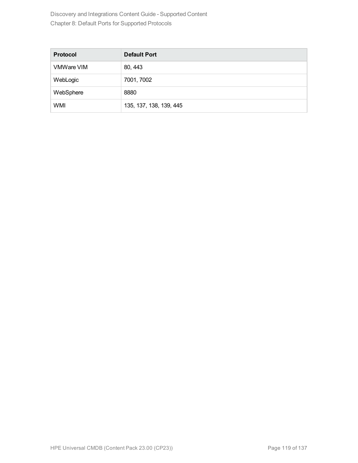Discovery and Integrations Content Guide - Supported Content Chapter 8: Default Ports for Supported Protocols

| <b>Protocol</b>   | <b>Default Port</b>     |
|-------------------|-------------------------|
| <b>VMWare VIM</b> | 80, 443                 |
| WebLogic          | 7001, 7002              |
| WebSphere         | 8880                    |
| WMI               | 135, 137, 138, 139, 445 |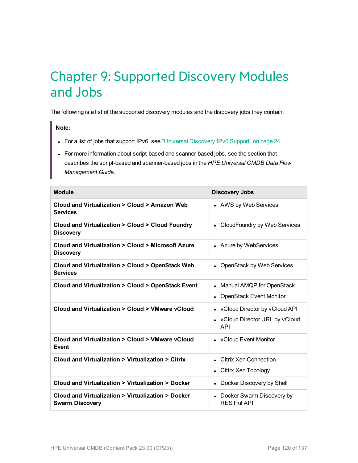# Chapter 9: Supported Discovery Modules and Jobs

The following is a list of the supported discovery modules and the discovery jobs they contain.

**Note:**

- For a list of jobs that support IPv6, see ["Universal](#page-23-0) Discovery IPv6 Support" on page 24.
- For more information about script-based and scanner-based jobs, see the section that describes the script-based and scanner-based jobs in the *HPE Universal CMDB Data Flow Management Guide*.

| <b>Module</b>                                                                | <b>Discovery Jobs</b>                                                            |
|------------------------------------------------------------------------------|----------------------------------------------------------------------------------|
| Cloud and Virtualization > Cloud > Amazon Web<br><b>Services</b>             | • AWS by Web Services                                                            |
| Cloud and Virtualization > Cloud > Cloud Foundry<br><b>Discovery</b>         | • CloudFoundry by Web Services                                                   |
| Cloud and Virtualization > Cloud > Microsoft Azure<br><b>Discovery</b>       | • Azure by WebServices                                                           |
| Cloud and Virtualization > Cloud > OpenStack Web<br><b>Services</b>          | • OpenStack by Web Services                                                      |
| Cloud and Virtualization > Cloud > OpenStack Event                           | • Manual AMQP for OpenStack<br><b>OpenStack Event Monitor</b>                    |
| Cloud and Virtualization > Cloud > VMware yCloud                             | • vCloud Director by vCloud API<br>• vCloud Director URL by vCloud<br><b>API</b> |
| Cloud and Virtualization > Cloud > VMware vCloud<br>Event                    | • vCloud Event Monitor                                                           |
| Cloud and Virtualization > Virtualization > Citrix                           | • Citrix Xen Connection<br>Citirx Xen Topology                                   |
| Cloud and Virtualization > Virtualization > Docker                           | Docker Discovery by Shell                                                        |
| Cloud and Virtualization > Virtualization > Docker<br><b>Swarm Discovery</b> | • Docker Swarm Discovery by<br><b>RESTful API</b>                                |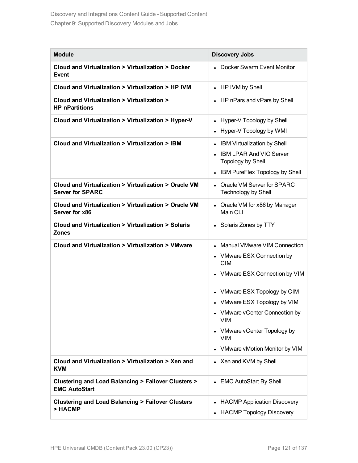| <b>Module</b>                                                                            | <b>Discovery Jobs</b>                                      |
|------------------------------------------------------------------------------------------|------------------------------------------------------------|
| Cloud and Virtualization > Virtualization > Docker<br>Event                              | Docker Swarm Event Monitor                                 |
| Cloud and Virtualization > Virtualization > HP IVM                                       | • HP IVM by Shell                                          |
| Cloud and Virtualization > Virtualization ><br><b>HP nPartitions</b>                     | HP nPars and vPars by Shell                                |
| Cloud and Virtualization > Virtualization > Hyper-V                                      | Hyper-V Topology by Shell                                  |
|                                                                                          | Hyper-V Topology by WMI                                    |
| Cloud and Virtualization > Virtualization > IBM                                          | <b>IBM Virtualization by Shell</b>                         |
|                                                                                          | <b>IBM LPAR And VIO Server</b><br><b>Topology by Shell</b> |
|                                                                                          | IBM PureFlex Topology by Shell                             |
| Cloud and Virtualization > Virtualization > Oracle VM<br><b>Server for SPARC</b>         | Oracle VM Server for SPARC<br><b>Technology by Shell</b>   |
| Cloud and Virtualization > Virtualization > Oracle VM<br>Server for x86                  | Oracle VM for x86 by Manager<br>Main CLI                   |
| Cloud and Virtualization > Virtualization > Solaris<br><b>Zones</b>                      | • Solaris Zones by TTY                                     |
| Cloud and Virtualization > Virtualization > VMware                                       | <b>Manual VMware VIM Connection</b>                        |
|                                                                                          | VMware ESX Connection by<br><b>CIM</b>                     |
|                                                                                          | • VMware ESX Connection by VIM                             |
|                                                                                          | • VMware ESX Topology by CIM                               |
|                                                                                          | • VMware ESX Topology by VIM                               |
|                                                                                          | • VMware vCenter Connection by<br><b>VIM</b>               |
|                                                                                          | VMware vCenter Topology by<br><b>VIM</b>                   |
|                                                                                          | VMware vMotion Monitor by VIM                              |
| Cloud and Virtualization > Virtualization > Xen and<br><b>KVM</b>                        | • Xen and KVM by Shell                                     |
| <b>Clustering and Load Balancing &gt; Failover Clusters &gt;</b><br><b>EMC AutoStart</b> | • EMC AutoStart By Shell                                   |
| <b>Clustering and Load Balancing &gt; Failover Clusters</b>                              | <b>HACMP Application Discovery</b>                         |
| > HACMP                                                                                  | <b>HACMP Topology Discovery</b>                            |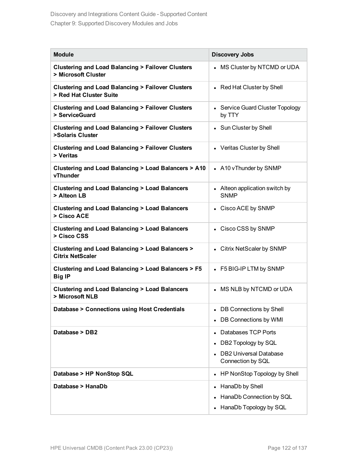| <b>Module</b>                                                                          | <b>Discovery Jobs</b>                              |
|----------------------------------------------------------------------------------------|----------------------------------------------------|
| <b>Clustering and Load Balancing &gt; Failover Clusters</b><br>> Microsoft Cluster     | • MS Cluster by NTCMD or UDA                       |
| <b>Clustering and Load Balancing &gt; Failover Clusters</b><br>> Red Hat Cluster Suite | • Red Hat Cluster by Shell                         |
| <b>Clustering and Load Balancing &gt; Failover Clusters</b><br>> ServiceGuard          | • Service Guard Cluster Topology<br>by TTY         |
| <b>Clustering and Load Balancing &gt; Failover Clusters</b><br>>Solaris Cluster        | • Sun Cluster by Shell                             |
| <b>Clustering and Load Balancing &gt; Failover Clusters</b><br>> Veritas               | • Veritas Cluster by Shell                         |
| Clustering and Load Balancing > Load Balancers > A10<br>vThunder                       | • A10 vThunder by SNMP                             |
| <b>Clustering and Load Balancing &gt; Load Balancers</b><br>> Alteon LB                | • Alteon application switch by<br><b>SNMP</b>      |
| <b>Clustering and Load Balancing &gt; Load Balancers</b><br>> Cisco ACE                | • Cisco ACE by SNMP                                |
| <b>Clustering and Load Balancing &gt; Load Balancers</b><br>> Cisco CSS                | • Cisco CSS by SNMP                                |
| Clustering and Load Balancing > Load Balancers ><br><b>Citrix NetScaler</b>            | • Citrix NetScaler by SNMP                         |
| Clustering and Load Balancing > Load Balancers > F5<br><b>Big IP</b>                   | • F5 BIG-IP LTM by SNMP                            |
| <b>Clustering and Load Balancing &gt; Load Balancers</b><br>> Microsoft NLB            | • MS NLB by NTCMD or UDA                           |
| Database > Connections using Host Credentials                                          | <b>DB Connections by Shell</b>                     |
|                                                                                        | • DB Connections by WMI                            |
| Database > DB2                                                                         | Databases TCP Ports                                |
|                                                                                        | DB2 Topology by SQL                                |
|                                                                                        | <b>DB2 Universal Database</b><br>Connection by SQL |
| Database > HP NonStop SQL                                                              | HP NonStop Topology by Shell                       |
| Database > HanaDb                                                                      | • HanaDb by Shell                                  |
|                                                                                        | HanaDb Connection by SQL                           |
|                                                                                        | HanaDb Topology by SQL                             |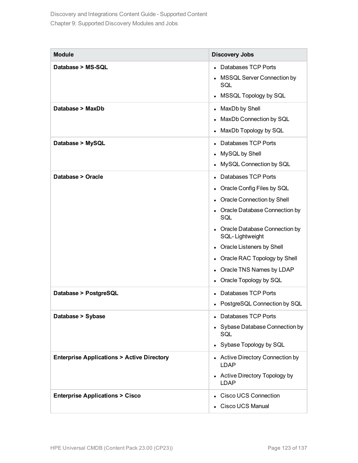| <b>Module</b>                                        | <b>Discovery Jobs</b>                              |
|------------------------------------------------------|----------------------------------------------------|
| Database > MS-SQL                                    | • Databases TCP Ports                              |
|                                                      | • MSSQL Server Connection by<br>SQL                |
|                                                      | MSSQL Topology by SQL                              |
| Database > MaxDb                                     | • MaxDb by Shell                                   |
|                                                      | • MaxDb Connection by SQL                          |
|                                                      | MaxDb Topology by SQL                              |
| Database > MySQL                                     | • Databases TCP Ports                              |
|                                                      | • MySQL by Shell                                   |
|                                                      | • MySQL Connection by SQL                          |
| Database > Oracle                                    | Databases TCP Ports                                |
|                                                      | • Oracle Config Files by SQL                       |
|                                                      | • Oracle Connection by Shell                       |
|                                                      | • Oracle Database Connection by<br>SQL             |
|                                                      | • Oracle Database Connection by<br>SQL-Lightweight |
|                                                      | • Oracle Listeners by Shell                        |
|                                                      | • Oracle RAC Topology by Shell                     |
|                                                      | • Oracle TNS Names by LDAP                         |
|                                                      | • Oracle Topology by SQL                           |
| Database > PostgreSQL                                | Databases TCP Ports                                |
|                                                      | PostgreSQL Connection by SQL                       |
| Database > Sybase                                    | • Databases TCP Ports                              |
|                                                      | • Sybase Database Connection by<br>SQL             |
|                                                      | • Sybase Topology by SQL                           |
| <b>Enterprise Applications &gt; Active Directory</b> | • Active Directory Connection by<br><b>LDAP</b>    |
|                                                      | • Active Directory Topology by<br><b>LDAP</b>      |
| <b>Enterprise Applications &gt; Cisco</b>            | • Cisco UCS Connection                             |
|                                                      | • Cisco UCS Manual                                 |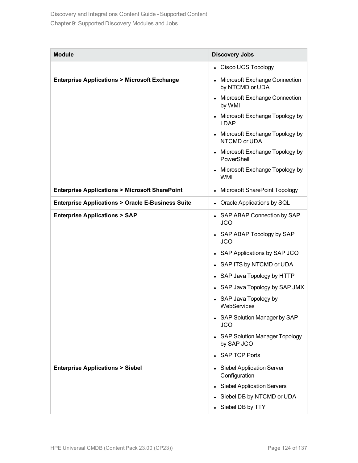| <b>Module</b>                                               | <b>Discovery Jobs</b>                              |
|-------------------------------------------------------------|----------------------------------------------------|
|                                                             | • Cisco UCS Topology                               |
| <b>Enterprise Applications &gt; Microsoft Exchange</b>      | Microsoft Exchange Connection<br>by NTCMD or UDA   |
|                                                             | • Microsoft Exchange Connection<br>by WMI          |
|                                                             | Microsoft Exchange Topology by<br><b>LDAP</b>      |
|                                                             | Microsoft Exchange Topology by<br>NTCMD or UDA     |
|                                                             | • Microsoft Exchange Topology by<br>PowerShell     |
|                                                             | Microsoft Exchange Topology by<br><b>WMI</b>       |
| <b>Enterprise Applications &gt; Microsoft SharePoint</b>    | Microsoft SharePoint Topology                      |
| <b>Enterprise Applications &gt; Oracle E-Business Suite</b> | • Oracle Applications by SQL                       |
| <b>Enterprise Applications &gt; SAP</b>                     | • SAP ABAP Connection by SAP<br><b>JCO</b>         |
|                                                             | • SAP ABAP Topology by SAP<br><b>JCO</b>           |
|                                                             | • SAP Applications by SAP JCO                      |
|                                                             | • SAP ITS by NTCMD or UDA                          |
|                                                             | • SAP Java Topology by HTTP                        |
|                                                             | • SAP Java Topology by SAP JMX                     |
|                                                             | SAP Java Topology by<br>WebServices                |
|                                                             | • SAP Solution Manager by SAP<br><b>JCO</b>        |
|                                                             | <b>SAP Solution Manager Topology</b><br>by SAP JCO |
|                                                             | <b>SAP TCP Ports</b>                               |
| <b>Enterprise Applications &gt; Siebel</b>                  | • Siebel Application Server<br>Configuration       |
|                                                             | • Siebel Application Servers                       |
|                                                             | Siebel DB by NTCMD or UDA                          |
|                                                             | • Siebel DB by TTY                                 |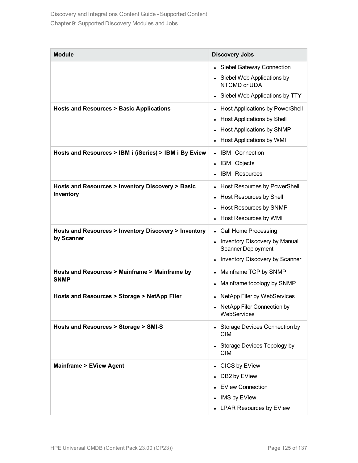| <b>Module</b>                                                       | <b>Discovery Jobs</b>                                                                                                         |
|---------------------------------------------------------------------|-------------------------------------------------------------------------------------------------------------------------------|
|                                                                     | • Siebel Gateway Connection<br>• Siebel Web Applications by<br>NTCMD or UDA<br>Siebel Web Applications by TTY<br>$\bullet$    |
| <b>Hosts and Resources &gt; Basic Applications</b>                  | <b>Host Applications by PowerShell</b><br>Host Applications by Shell<br>Host Applications by SNMP<br>Host Applications by WMI |
| Hosts and Resources > IBM i (iSeries) > IBM i By Eview              | <b>IBM i Connection</b><br>IBM i Objects<br><b>IBM i Resources</b>                                                            |
| Hosts and Resources > Inventory Discovery > Basic<br>Inventory      | Host Resources by PowerShell<br>Host Resources by Shell<br>Host Resources by SNMP<br>Host Resources by WMI                    |
| Hosts and Resources > Inventory Discovery > Inventory<br>by Scanner | • Call Home Processing<br>Inventory Discovery by Manual<br><b>Scanner Deployment</b><br>Inventory Discovery by Scanner        |
| Hosts and Resources > Mainframe > Mainframe by<br><b>SNMP</b>       | Mainframe TCP by SNMP<br>Mainframe topology by SNMP                                                                           |
| Hosts and Resources > Storage > NetApp Filer                        | NetApp Filer by WebServices<br>NetApp Filer Connection by<br>WebServices                                                      |
| Hosts and Resources > Storage > SMI-S                               | • Storage Devices Connection by<br><b>CIM</b><br>Storage Devices Topology by<br><b>CIM</b>                                    |
| <b>Mainframe &gt; EView Agent</b>                                   | CICS by EView<br>DB2 by EView<br><b>EView Connection</b><br>IMS by EView<br><b>LPAR Resources by EView</b>                    |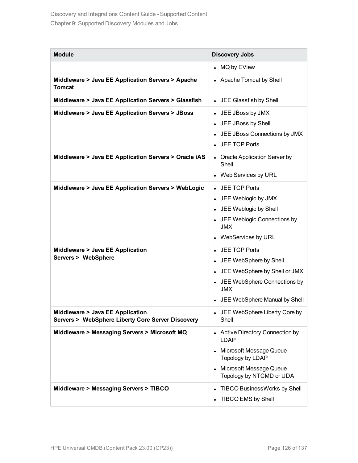| <b>Module</b>                                                                         | <b>Discovery Jobs</b>                                                                                                                                             |
|---------------------------------------------------------------------------------------|-------------------------------------------------------------------------------------------------------------------------------------------------------------------|
|                                                                                       | • MQ by EView                                                                                                                                                     |
| Middleware > Java EE Application Servers > Apache<br><b>Tomcat</b>                    | • Apache Tomcat by Shell                                                                                                                                          |
| Middleware > Java EE Application Servers > Glassfish                                  | • JEE Glassfish by Shell                                                                                                                                          |
| Middleware > Java EE Application Servers > JBoss                                      | • JEE JBoss by JMX<br>• JEE JBoss by Shell<br>• JEE JBoss Connections by JMX<br>• JEE TCP Ports                                                                   |
| Middleware > Java EE Application Servers > Oracle iAS                                 | • Oracle Application Server by<br>Shell<br>• Web Services by URL                                                                                                  |
| Middleware > Java EE Application Servers > WebLogic                                   | • JEE TCP Ports<br>• JEE Weblogic by JMX<br>• JEE Weblogic by Shell<br>• JEE Weblogic Connections by<br><b>JMX</b><br>• WebServices by URL                        |
| Middleware > Java EE Application<br>Servers > WebSphere                               | • JEE TCP Ports<br>• JEE WebSphere by Shell<br>• JEE WebSphere by Shell or JMX<br>• JEE WebSphere Connections by<br><b>JMX</b><br>• JEE WebSphere Manual by Shell |
| Middleware > Java EE Application<br>Servers > WebSphere Liberty Core Server Discovery | • JEE WebSphere Liberty Core by<br>Shell                                                                                                                          |
| Middleware > Messaging Servers > Microsoft MQ                                         | • Active Directory Connection by<br><b>LDAP</b><br>Microsoft Message Queue<br>Topology by LDAP<br>• Microsoft Message Queue<br>Topology by NTCMD or UDA           |
| Middleware > Messaging Servers > TIBCO                                                | TIBCO BusinessWorks by Shell<br>TIBCO EMS by Shell                                                                                                                |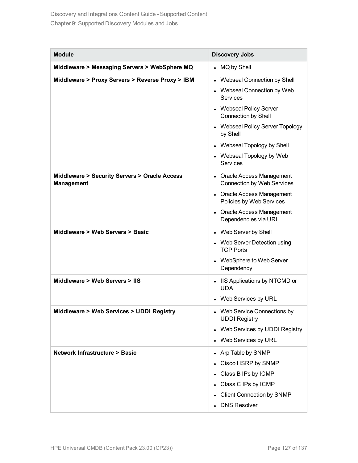| <b>Module</b>                                                      | <b>Discovery Jobs</b>                                                                                                                                                                                                                                                   |
|--------------------------------------------------------------------|-------------------------------------------------------------------------------------------------------------------------------------------------------------------------------------------------------------------------------------------------------------------------|
| Middleware > Messaging Servers > WebSphere MQ                      | • MQ by Shell                                                                                                                                                                                                                                                           |
| Middleware > Proxy Servers > Reverse Proxy > IBM                   | • Webseal Connection by Shell<br>• Webseal Connection by Web<br><b>Services</b><br>• Webseal Policy Server<br><b>Connection by Shell</b><br>• Webseal Policy Server Topology<br>by Shell<br>• Webseal Topology by Shell<br>• Webseal Topology by Web<br><b>Services</b> |
| Middleware > Security Servers > Oracle Access<br><b>Management</b> | • Oracle Access Management<br><b>Connection by Web Services</b><br>• Oracle Access Management<br>Policies by Web Services<br>• Oracle Access Management<br>Dependencies via URL                                                                                         |
| Middleware > Web Servers > Basic                                   | • Web Server by Shell<br>• Web Server Detection using<br><b>TCP Ports</b><br>• WebSphere to Web Server<br>Dependency                                                                                                                                                    |
| Middleware > Web Servers > IIS                                     | • IIS Applications by NTCMD or<br><b>UDA</b><br>• Web Services by URL                                                                                                                                                                                                   |
| Middleware > Web Services > UDDI Registry                          | • Web Service Connections by<br><b>UDDI Registry</b><br>Web Services by UDDI Registry<br>$\bullet$<br>• Web Services by URL                                                                                                                                             |
| <b>Network Infrastructure &gt; Basic</b>                           | • Arp Table by SNMP<br>Cisco HSRP by SNMP<br>• Class B IPs by ICMP<br>• Class C IPs by ICMP<br>• Client Connection by SNMP<br><b>DNS Resolver</b>                                                                                                                       |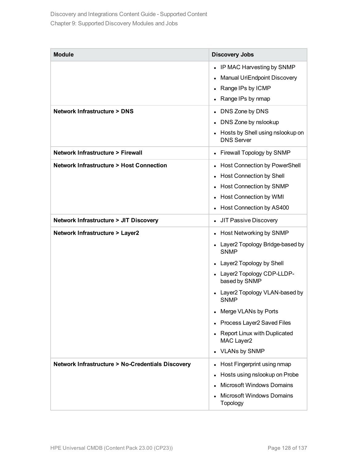| <b>Module</b>                                               | <b>Discovery Jobs</b>                                                                                                                                                                                                                                                                                                           |  |  |
|-------------------------------------------------------------|---------------------------------------------------------------------------------------------------------------------------------------------------------------------------------------------------------------------------------------------------------------------------------------------------------------------------------|--|--|
|                                                             | IP MAC Harvesting by SNMP<br>$\bullet$<br>Manual UriEndpoint Discovery<br>Range IPs by ICMP<br>Range IPs by nmap                                                                                                                                                                                                                |  |  |
| <b>Network Infrastructure &gt; DNS</b>                      | DNS Zone by DNS<br>$\bullet$<br>DNS Zone by nslookup<br>Hosts by Shell using nslookup on<br><b>DNS Server</b>                                                                                                                                                                                                                   |  |  |
| <b>Network Infrastructure &gt; Firewall</b>                 | Firewall Topology by SNMP                                                                                                                                                                                                                                                                                                       |  |  |
| <b>Network Infrastructure &gt; Host Connection</b>          | <b>Host Connection by PowerShell</b><br><b>Host Connection by Shell</b><br><b>Host Connection by SNMP</b><br><b>Host Connection by WMI</b><br>Host Connection by AS400                                                                                                                                                          |  |  |
| <b>Network Infrastructure &gt; JIT Discovery</b>            | JIT Passive Discovery<br>$\bullet$                                                                                                                                                                                                                                                                                              |  |  |
| <b>Network Infrastructure &gt; Layer2</b>                   | Host Networking by SNMP<br>Layer2 Topology Bridge-based by<br><b>SNMP</b><br>Layer2 Topology by Shell<br>Layer2 Topology CDP-LLDP-<br>based by SNMP<br>Layer2 Topology VLAN-based by<br><b>SNMP</b><br>Merge VLANs by Ports<br>٠<br>Process Layer2 Saved Files<br>Report Linux with Duplicated<br>MAC Layer2<br>• VLANs by SNMP |  |  |
| <b>Network Infrastructure &gt; No-Credentials Discovery</b> | Host Fingerprint using nmap<br>Hosts using nslookup on Probe<br><b>Microsoft Windows Domains</b><br><b>Microsoft Windows Domains</b><br>Topology                                                                                                                                                                                |  |  |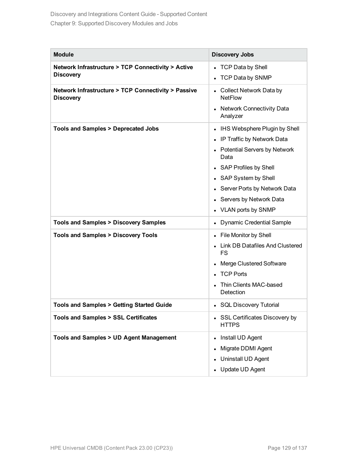| <b>Module</b>                                                           | <b>Discovery Jobs</b>                                                                                                                                                                                                                                |
|-------------------------------------------------------------------------|------------------------------------------------------------------------------------------------------------------------------------------------------------------------------------------------------------------------------------------------------|
| Network Infrastructure > TCP Connectivity > Active<br><b>Discovery</b>  | • TCP Data by Shell<br>• TCP Data by SNMP                                                                                                                                                                                                            |
| Network Infrastructure > TCP Connectivity > Passive<br><b>Discovery</b> | Collect Network Data by<br><b>NetFlow</b><br>• Network Connectivity Data<br>Analyzer                                                                                                                                                                 |
| <b>Tools and Samples &gt; Deprecated Jobs</b>                           | • IHS Websphere Plugin by Shell<br>• IP Traffic by Network Data<br>• Potential Servers by Network<br>Data<br>• SAP Profiles by Shell<br>• SAP System by Shell<br>• Server Ports by Network Data<br>• Servers by Network Data<br>• VLAN ports by SNMP |
| <b>Tools and Samples &gt; Discovery Samples</b>                         | <b>Dynamic Credential Sample</b>                                                                                                                                                                                                                     |
| <b>Tools and Samples &gt; Discovery Tools</b>                           | • File Monitor by Shell<br>• Link DB Datafiles And Clustered<br><b>FS</b><br><b>Merge Clustered Software</b><br><b>TCP Ports</b><br>Thin Clients MAC-based<br>Detection                                                                              |
| <b>Tools and Samples &gt; Getting Started Guide</b>                     | • SQL Discovery Tutorial                                                                                                                                                                                                                             |
| <b>Tools and Samples &gt; SSL Certificates</b>                          | • SSL Certificates Discovery by<br><b>HTTPS</b>                                                                                                                                                                                                      |
| <b>Tools and Samples &gt; UD Agent Management</b>                       | Install UD Agent<br>Migrate DDMI Agent<br>Uninstall UD Agent<br>• Update UD Agent                                                                                                                                                                    |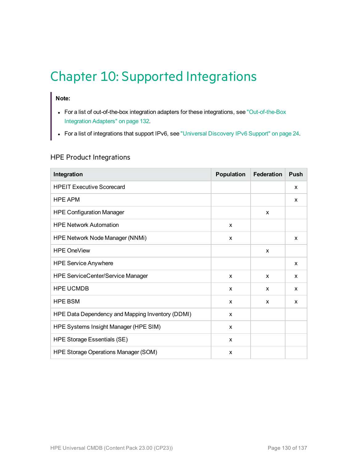# Chapter 10: Supported Integrations

## **Note:**

- For a list of out-of-the-box integration adapters for these integrations, see ["Out-of-the-Box](#page-131-0) [Integration](#page-131-0) Adapters" on page 132.
- For a list of integrations that support IPv6, see ["Universal](#page-23-0) Discovery IPv6 Support" on page 24.

### HPE Product Integrations

| Integration                                      | <b>Population</b> | <b>Federation</b> | Push |
|--------------------------------------------------|-------------------|-------------------|------|
| <b>HPEIT Executive Scorecard</b>                 |                   |                   | X    |
| <b>HPE APM</b>                                   |                   |                   | X    |
| <b>HPE Configuration Manager</b>                 |                   | X                 |      |
| <b>HPE Network Automation</b>                    | X                 |                   |      |
| <b>HPE Network Node Manager (NNMi)</b>           | X                 |                   | X    |
| <b>HPE OneView</b>                               |                   | X                 |      |
| <b>HPE Service Anywhere</b>                      |                   |                   | X    |
| <b>HPE ServiceCenter/Service Manager</b>         | X                 | X                 | X    |
| <b>HPE UCMDB</b>                                 | X                 | X                 | X    |
| <b>HPE BSM</b>                                   | X                 | X                 | X    |
| HPE Data Dependency and Mapping Inventory (DDMI) | X                 |                   |      |
| HPE Systems Insight Manager (HPE SIM)            | X                 |                   |      |
| HPE Storage Essentials (SE)                      | X                 |                   |      |
| HPE Storage Operations Manager (SOM)             | X                 |                   |      |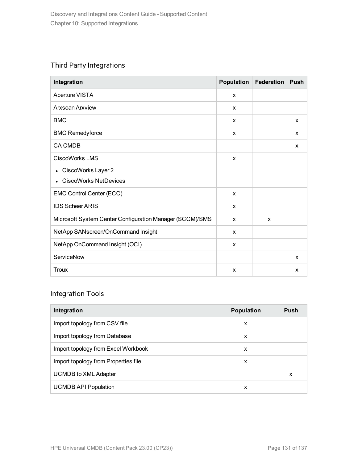## Third Party Integrations

| Integration                                              | <b>Population</b>         | <b>Federation</b> | <b>Push</b> |
|----------------------------------------------------------|---------------------------|-------------------|-------------|
| Aperture VISTA                                           | X                         |                   |             |
| <b>Arxscan Arxview</b>                                   | X                         |                   |             |
| <b>BMC</b>                                               | X                         |                   | X           |
| <b>BMC Remedyforce</b>                                   | X                         |                   | X           |
| <b>CA CMDB</b>                                           |                           |                   | X           |
| CiscoWorks LMS                                           | X                         |                   |             |
| CiscoWorks Layer 2                                       |                           |                   |             |
| <b>CiscoWorks NetDevices</b>                             |                           |                   |             |
| EMC Control Center (ECC)                                 | X                         |                   |             |
| <b>IDS Scheer ARIS</b>                                   | X                         |                   |             |
| Microsoft System Center Configuration Manager (SCCM)/SMS | X                         | X                 |             |
| NetApp SANscreen/OnCommand Insight                       | X                         |                   |             |
| NetApp OnCommand Insight (OCI)                           | X                         |                   |             |
| ServiceNow                                               |                           |                   | X           |
| <b>Troux</b>                                             | $\boldsymbol{\mathsf{x}}$ |                   | X           |

## Integration Tools

| Integration                          | <b>Population</b> | <b>Push</b> |
|--------------------------------------|-------------------|-------------|
| Import topology from CSV file        | x                 |             |
| Import topology from Database        | X                 |             |
| Import topology from Excel Workbook  | X                 |             |
| Import topology from Properties file | X                 |             |
| <b>UCMDB to XML Adapter</b>          |                   | x           |
| <b>UCMDB API Population</b>          | x                 |             |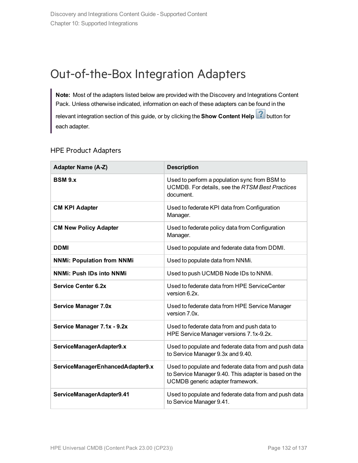## <span id="page-131-0"></span>Out-of-the-Box Integration Adapters

**Note:** Most of the adapters listed below are provided with the Discovery and Integrations Content Pack. Unless otherwise indicated, information on each of these adapters can be found in the

relevant integration section of this guide, or by clicking the **Show Content Help** button for each adapter.

### HPE Product Adapters

| <b>Adapter Name (A-Z)</b>         | <b>Description</b>                                                                                                                                 |
|-----------------------------------|----------------------------------------------------------------------------------------------------------------------------------------------------|
| <b>BSM 9.x</b>                    | Used to perform a population sync from BSM to<br>UCMDB. For details, see the RTSM Best Practices<br>document.                                      |
| <b>CM KPI Adapter</b>             | Used to federate KPI data from Configuration<br>Manager.                                                                                           |
| <b>CM New Policy Adapter</b>      | Used to federate policy data from Configuration<br>Manager.                                                                                        |
| <b>DDMI</b>                       | Used to populate and federate data from DDMI.                                                                                                      |
| <b>NNMi: Population from NNMi</b> | Used to populate data from NNMi.                                                                                                                   |
| <b>NNMi: Push IDs into NNMi</b>   | Used to push UCMDB Node IDs to NNMi.                                                                                                               |
| <b>Service Center 6.2x</b>        | Used to federate data from HPE ServiceCenter<br>version 6.2x.                                                                                      |
| <b>Service Manager 7.0x</b>       | Used to federate data from HPE Service Manager<br>version 7.0x.                                                                                    |
| Service Manager 7.1x - 9.2x       | Used to federate data from and push data to<br>HPE Service Manager versions 7.1x-9.2x.                                                             |
| ServiceManagerAdapter9.x          | Used to populate and federate data from and push data<br>to Service Manager 9.3x and 9.40.                                                         |
| ServiceManagerEnhancedAdapter9.x  | Used to populate and federate data from and push data<br>to Service Manager 9.40. This adapter is based on the<br>UCMDB generic adapter framework. |
| ServiceManagerAdapter9.41         | Used to populate and federate data from and push data<br>to Service Manager 9.41.                                                                  |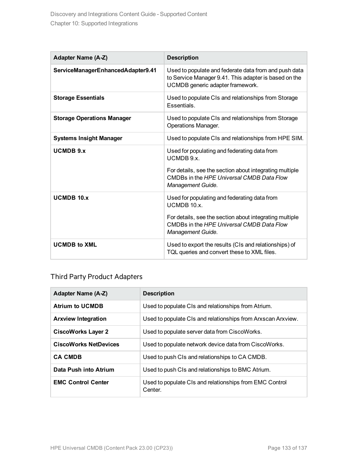| <b>Adapter Name (A-Z)</b>         | <b>Description</b>                                                                                                                                                                       |
|-----------------------------------|------------------------------------------------------------------------------------------------------------------------------------------------------------------------------------------|
| ServiceManagerEnhancedAdapter9.41 | Used to populate and federate data from and push data<br>to Service Manager 9.41. This adapter is based on the<br>UCMDB generic adapter framework.                                       |
| <b>Storage Essentials</b>         | Used to populate CIs and relationships from Storage<br>Essentials.                                                                                                                       |
| <b>Storage Operations Manager</b> | Used to populate CIs and relationships from Storage<br>Operations Manager.                                                                                                               |
| <b>Systems Insight Manager</b>    | Used to populate CIs and relationships from HPE SIM.                                                                                                                                     |
| <b>UCMDB 9.x</b>                  | Used for populating and federating data from<br>UCMDB 9.x.<br>For details, see the section about integrating multiple<br>CMDBs in the HPE Universal CMDB Data Flow<br>Management Guide.  |
| $UCMDB$ 10. $x$                   | Used for populating and federating data from<br>UCMDB 10.x.<br>For details, see the section about integrating multiple<br>CMDBs in the HPE Universal CMDB Data Flow<br>Management Guide. |
| <b>UCMDB to XML</b>               | Used to export the results (CIs and relationships) of<br>TQL queries and convert these to XML files.                                                                                     |

### Third Party Product Adapters

| Adapter Name (A-Z)           | <b>Description</b>                                                 |
|------------------------------|--------------------------------------------------------------------|
| <b>Atrium to UCMDB</b>       | Used to populate CIs and relationships from Atrium.                |
| <b>Arxview Integration</b>   | Used to populate CIs and relationships from Arxscan Arxview.       |
| <b>CiscoWorks Layer 2</b>    | Used to populate server data from CiscoWorks.                      |
| <b>CiscoWorks NetDevices</b> | Used to populate network device data from CiscoWorks.              |
| <b>CA CMDB</b>               | Used to push CIs and relationships to CA CMDB.                     |
| Data Push into Atrium        | Used to push CIs and relationships to BMC Atrium.                  |
| <b>EMC Control Center</b>    | Used to populate CIs and relationships from EMC Control<br>Center. |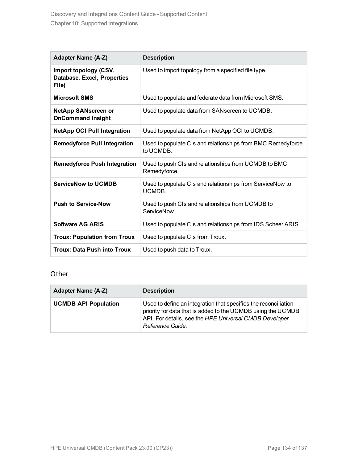| <b>Adapter Name (A-Z)</b>                                     | <b>Description</b>                                                       |
|---------------------------------------------------------------|--------------------------------------------------------------------------|
| Import topology (CSV,<br>Database, Excel, Properties<br>File) | Used to import topology from a specified file type.                      |
| <b>Microsoft SMS</b>                                          | Used to populate and federate data from Microsoft SMS.                   |
| <b>NetApp SANscreen or</b><br><b>OnCommand Insight</b>        | Used to populate data from SANscreen to UCMDB.                           |
| <b>NetApp OCI Pull Integration</b>                            | Used to populate data from NetApp OCI to UCMDB.                          |
| <b>Remedyforce Pull Integration</b>                           | Used to populate CIs and relationships from BMC Remedyforce<br>to UCMDB. |
| <b>Remedyforce Push Integration</b>                           | Used to push CIs and relationships from UCMDB to BMC<br>Remedyforce.     |
| <b>ServiceNow to UCMDB</b>                                    | Used to populate CIs and relationships from ServiceNow to<br>UCMDB.      |
| <b>Push to Service-Now</b>                                    | Used to push CIs and relationships from UCMDB to<br>ServiceNow.          |
| <b>Software AG ARIS</b>                                       | Used to populate CIs and relationships from IDS Scheer ARIS.             |
| <b>Troux: Population from Troux</b>                           | Used to populate CIs from Troux.                                         |
| <b>Troux: Data Push into Troux</b>                            | Used to push data to Troux.                                              |

### **Other**

| <b>Adapter Name (A-Z)</b>   | <b>Description</b>                                                                                                                                                                                            |
|-----------------------------|---------------------------------------------------------------------------------------------------------------------------------------------------------------------------------------------------------------|
| <b>UCMDB API Population</b> | Used to define an integration that specifies the reconciliation<br>priority for data that is added to the UCMDB using the UCMDB<br>API. For details, see the HPE Universal CMDB Developer<br>Reference Guide. |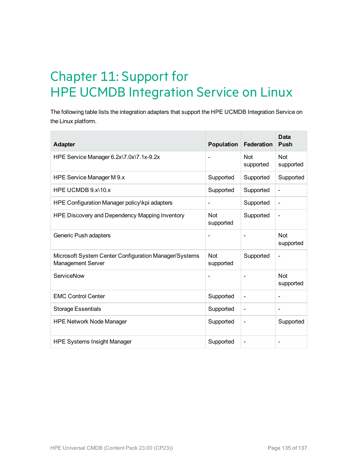# Chapter 11: Support for HPE UCMDB Integration Service on Linux

The following table lists the integration adapters that support the HPE UCMDB Integration Service on the Linux platform.

| <b>Adapter</b>                                                                    | Population              | Federation               | <b>Data</b><br><b>Push</b>   |
|-----------------------------------------------------------------------------------|-------------------------|--------------------------|------------------------------|
| HPE Service Manager 6.2x\7.0x\7.1x-9.2x                                           |                         | <b>Not</b><br>supported  | <b>Not</b><br>supported      |
| HPE Service Manager M 9.x                                                         | Supported               | Supported                | Supported                    |
| HPE UCMDB $9x/10x$                                                                | Supported               | Supported                | $\qquad \qquad \blacksquare$ |
| HPE Configuration Manager policy\kpi adapters                                     | -                       | Supported                | $\overline{\phantom{0}}$     |
| HPE Discovery and Dependency Mapping Inventory                                    | <b>Not</b><br>supported | Supported                | $\overline{\phantom{0}}$     |
| Generic Push adapters                                                             |                         |                          | Not<br>supported             |
| Microsoft System Center Configuration Manager/Systems<br><b>Management Server</b> | <b>Not</b><br>supported | Supported                | $\qquad \qquad$              |
| ServiceNow                                                                        |                         |                          | Not<br>supported             |
| <b>EMC Control Center</b>                                                         | Supported               | $\overline{\phantom{a}}$ | $\qquad \qquad$              |
| <b>Storage Essentials</b>                                                         | Supported               | $\overline{\phantom{a}}$ | $\overline{\phantom{a}}$     |
| <b>HPE Network Node Manager</b>                                                   | Supported               | $\overline{\phantom{a}}$ | Supported                    |
| <b>HPE Systems Insight Manager</b>                                                | Supported               | $\overline{\phantom{a}}$ |                              |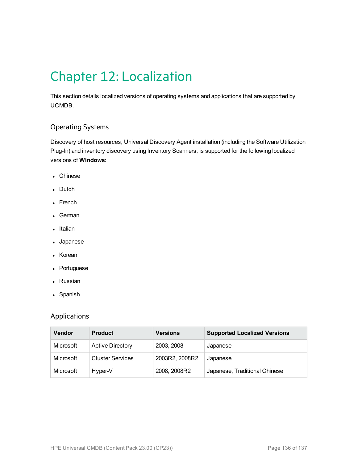# Chapter 12: Localization

This section details localized versions of operating systems and applications that are supported by UCMDB.

### Operating Systems

Discovery of host resources, Universal Discovery Agent installation (including the Software Utilization Plug-In) and inventory discovery using Inventory Scanners, is supported for the following localized versions of **Windows**:

- Chinese
- Dutch
- French
- German
- Italian
- Japanese
- Korean
- Portuguese
- Russian
- Spanish

### Applications

| <b>Vendor</b> | <b>Product</b>          | <b>Versions</b> | <b>Supported Localized Versions</b> |
|---------------|-------------------------|-----------------|-------------------------------------|
| Microsoft     | <b>Active Directory</b> | 2003, 2008      | Japanese                            |
| Microsoft     | <b>Cluster Services</b> | 2003R2, 2008R2  | Japanese                            |
| Microsoft     | Hyper-V                 | 2008, 2008R2    | Japanese, Traditional Chinese       |